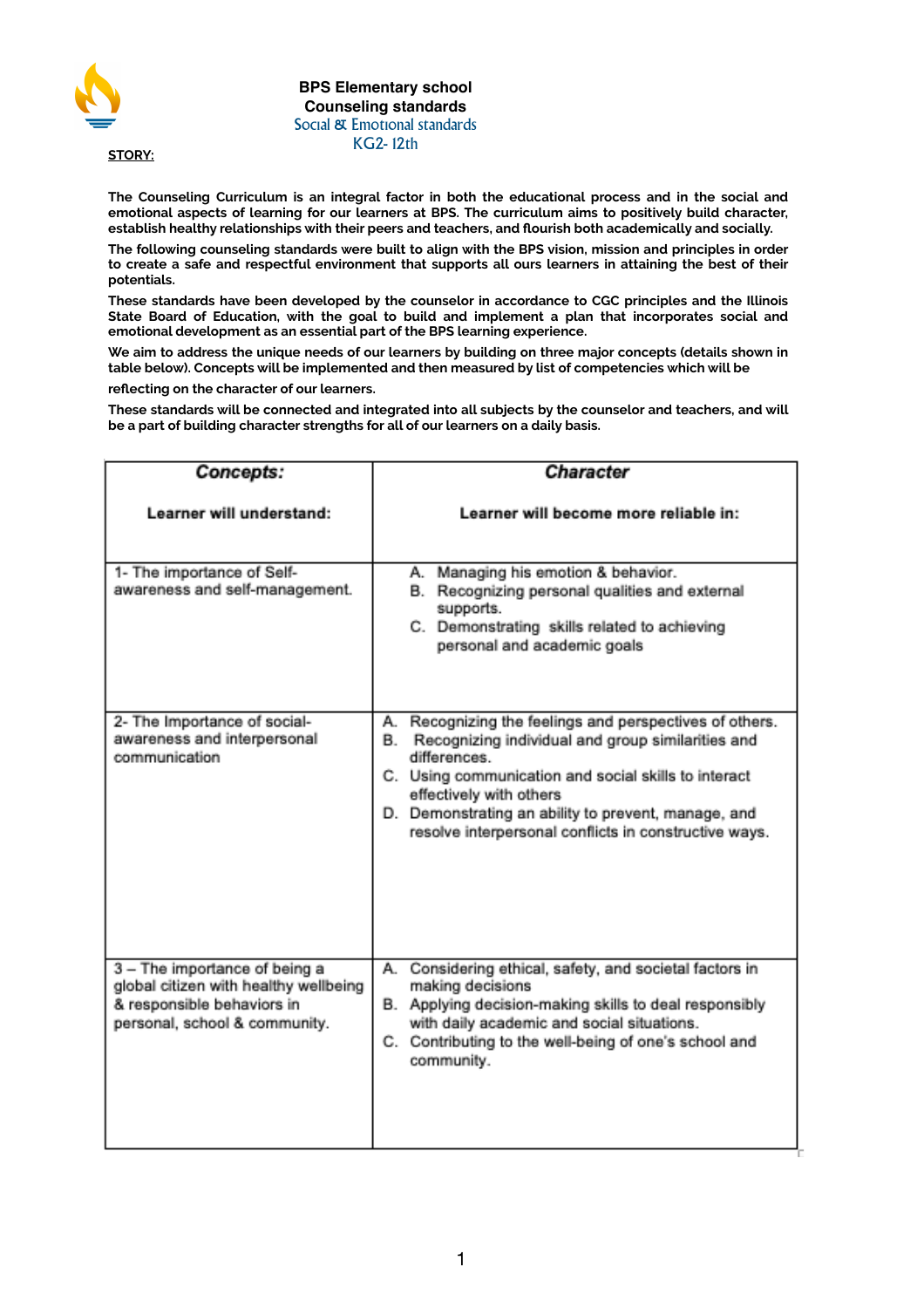

**BPS Elementary school Counseling standards** Social & Emotional standards KG2- 12th

**STORY:** 

**The Counseling Curriculum is an integral factor in both the educational process and in the social and emotional aspects of learning for our learners at BPS. The curriculum aims to positively build character, establish healthy relationships with their peers and teachers, and flourish both academically and socially.** 

**The following counseling standards were built to align with the BPS vision, mission and principles in order to create a safe and respectful environment that supports all ours learners in attaining the best of their potentials.** 

**These standards have been developed by the counselor in accordance to CGC principles and the Illinois State Board of Education, with the goal to build and implement a plan that incorporates social and emotional development as an essential part of the BPS learning experience.** 

**We aim to address the unique needs of our learners by building on three major concepts (details shown in table below). Concepts will be implemented and then measured by list of competencies which will be** 

**reflecting on the character of our learners.** 

**These standards will be connected and integrated into all subjects by the counselor and teachers, and will be a part of building character strengths for all of our learners on a daily basis.** 

| <b>Concepts:</b>                                                                                                                      | Character                                                                                                                                                                                                                                                                                                                                |
|---------------------------------------------------------------------------------------------------------------------------------------|------------------------------------------------------------------------------------------------------------------------------------------------------------------------------------------------------------------------------------------------------------------------------------------------------------------------------------------|
| Learner will understand:                                                                                                              | Learner will become more reliable in:                                                                                                                                                                                                                                                                                                    |
| 1- The importance of Self-<br>awareness and self-management.                                                                          | Managing his emotion & behavior.<br>А.<br>Recognizing personal qualities and external<br>В.<br>supports.<br>C. Demonstrating skills related to achieving<br>personal and academic goals                                                                                                                                                  |
| 2- The Importance of social-<br>awareness and interpersonal<br>communication                                                          | Recognizing the feelings and perspectives of others.<br>А.<br>Recognizing individual and group similarities and<br>В.<br>differences.<br>C. Using communication and social skills to interact<br>effectively with others<br>D. Demonstrating an ability to prevent, manage, and<br>resolve interpersonal conflicts in constructive ways. |
| 3 - The importance of being a<br>global citizen with healthy wellbeing<br>& responsible behaviors in<br>personal, school & community. | Considering ethical, safety, and societal factors in<br>А.<br>making decisions<br>B. Applying decision-making skills to deal responsibly<br>with daily academic and social situations.<br>C. Contributing to the well-being of one's school and<br>community.                                                                            |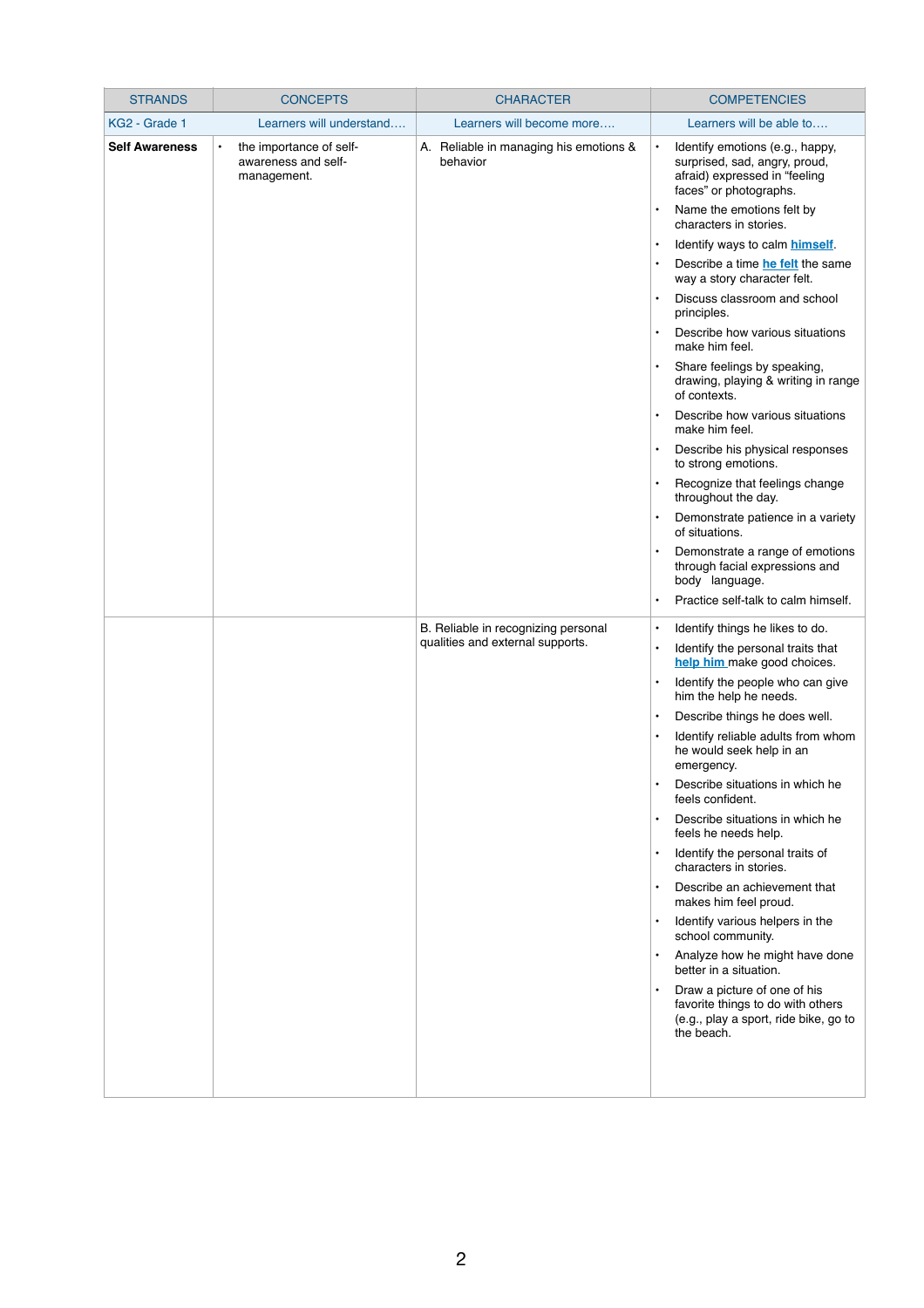| <b>STRANDS</b>        | <b>CONCEPTS</b>                                                            | <b>CHARACTER</b>                                   | <b>COMPETENCIES</b>                                                                                                                      |
|-----------------------|----------------------------------------------------------------------------|----------------------------------------------------|------------------------------------------------------------------------------------------------------------------------------------------|
| KG2 - Grade 1         | Learners will understand                                                   | Learners will become more                          | Learners will be able to                                                                                                                 |
| <b>Self Awareness</b> | the importance of self-<br>$\bullet$<br>awareness and self-<br>management. | A. Reliable in managing his emotions &<br>behavior | Identify emotions (e.g., happy,<br>$\bullet$<br>surprised, sad, angry, proud,<br>afraid) expressed in "feeling<br>faces" or photographs. |
|                       |                                                                            |                                                    | Name the emotions felt by<br>characters in stories.                                                                                      |
|                       |                                                                            |                                                    | Identify ways to calm himself.<br>$\bullet$                                                                                              |
|                       |                                                                            |                                                    | Describe a time he felt the same<br>$\bullet$<br>way a story character felt.                                                             |
|                       |                                                                            |                                                    | Discuss classroom and school<br>principles.                                                                                              |
|                       |                                                                            |                                                    | Describe how various situations<br>make him feel.                                                                                        |
|                       |                                                                            |                                                    | Share feelings by speaking,<br>$\bullet$<br>drawing, playing & writing in range<br>of contexts.                                          |
|                       |                                                                            |                                                    | Describe how various situations<br>make him feel.                                                                                        |
|                       |                                                                            |                                                    | Describe his physical responses<br>to strong emotions.                                                                                   |
|                       |                                                                            |                                                    | Recognize that feelings change<br>$\bullet$<br>throughout the day.                                                                       |
|                       |                                                                            |                                                    | Demonstrate patience in a variety<br>of situations.                                                                                      |
|                       |                                                                            |                                                    | Demonstrate a range of emotions<br>through facial expressions and<br>body language.                                                      |
|                       |                                                                            |                                                    | Practice self-talk to calm himself.                                                                                                      |
|                       |                                                                            | B. Reliable in recognizing personal                | Identify things he likes to do.<br>$\bullet$                                                                                             |
|                       |                                                                            | qualities and external supports.                   | Identify the personal traits that<br>$\bullet$<br>help him make good choices.                                                            |
|                       |                                                                            |                                                    | Identify the people who can give<br>$\bullet$<br>him the help he needs.                                                                  |
|                       |                                                                            |                                                    | Describe things he does well.<br>$\bullet$                                                                                               |
|                       |                                                                            |                                                    | Identify reliable adults from whom<br>$\bullet$<br>he would seek help in an<br>emergency.                                                |
|                       |                                                                            |                                                    | Describe situations in which he<br>$\bullet$<br>feels confident.                                                                         |
|                       |                                                                            |                                                    | Describe situations in which he<br>$\bullet$<br>feels he needs help.                                                                     |
|                       |                                                                            |                                                    | Identify the personal traits of<br>characters in stories.                                                                                |
|                       |                                                                            |                                                    | Describe an achievement that<br>makes him feel proud.                                                                                    |
|                       |                                                                            |                                                    | Identify various helpers in the<br>$\bullet$<br>school community.                                                                        |
|                       |                                                                            |                                                    | Analyze how he might have done<br>better in a situation.                                                                                 |
|                       |                                                                            |                                                    | Draw a picture of one of his<br>$\bullet$<br>favorite things to do with others<br>(e.g., play a sport, ride bike, go to<br>the beach.    |
|                       |                                                                            |                                                    |                                                                                                                                          |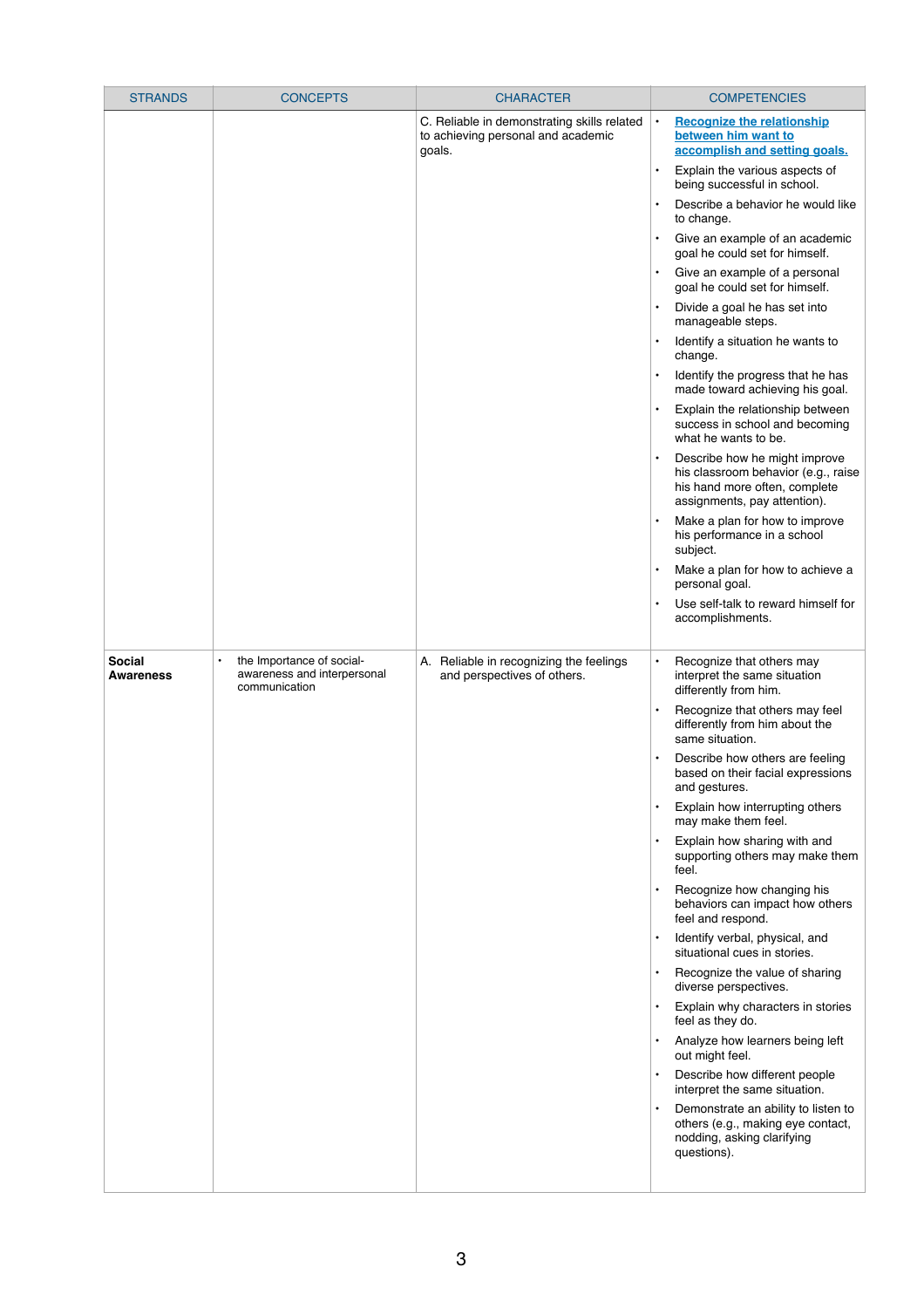| <b>STRANDS</b>                    | <b>CONCEPTS</b>                                                           | <b>CHARACTER</b>                                                                            | <b>COMPETENCIES</b>                                                                                                                                |
|-----------------------------------|---------------------------------------------------------------------------|---------------------------------------------------------------------------------------------|----------------------------------------------------------------------------------------------------------------------------------------------------|
|                                   |                                                                           | C. Reliable in demonstrating skills related<br>to achieving personal and academic<br>goals. | <b>Recognize the relationship</b><br>between him want to<br>accomplish and setting goals.                                                          |
|                                   |                                                                           |                                                                                             | Explain the various aspects of<br>$\bullet$<br>being successful in school.                                                                         |
|                                   |                                                                           |                                                                                             | Describe a behavior he would like<br>$\bullet$<br>to change.                                                                                       |
|                                   |                                                                           |                                                                                             | Give an example of an academic<br>goal he could set for himself.                                                                                   |
|                                   |                                                                           |                                                                                             | Give an example of a personal<br>$\bullet$<br>goal he could set for himself.                                                                       |
|                                   |                                                                           |                                                                                             | Divide a goal he has set into<br>$\bullet$<br>manageable steps.                                                                                    |
|                                   |                                                                           |                                                                                             | Identify a situation he wants to<br>change.                                                                                                        |
|                                   |                                                                           |                                                                                             | Identify the progress that he has<br>$\bullet$<br>made toward achieving his goal.                                                                  |
|                                   |                                                                           |                                                                                             | Explain the relationship between<br>$\bullet$<br>success in school and becoming<br>what he wants to be.                                            |
|                                   |                                                                           |                                                                                             | Describe how he might improve<br>$\bullet$<br>his classroom behavior (e.g., raise<br>his hand more often, complete<br>assignments, pay attention). |
|                                   |                                                                           |                                                                                             | Make a plan for how to improve<br>$\bullet$<br>his performance in a school<br>subject.                                                             |
|                                   |                                                                           |                                                                                             | Make a plan for how to achieve a<br>personal goal.                                                                                                 |
|                                   |                                                                           |                                                                                             | Use self-talk to reward himself for<br>$\bullet$<br>accomplishments.                                                                               |
| <b>Social</b><br><b>Awareness</b> | the Importance of social-<br>awareness and interpersonal<br>communication | A. Reliable in recognizing the feelings<br>and perspectives of others.                      | Recognize that others may<br>$\bullet$<br>interpret the same situation<br>differently from him.                                                    |
|                                   |                                                                           |                                                                                             | Recognize that others may feel<br>$\bullet$<br>differently from him about the<br>same situation.                                                   |
|                                   |                                                                           |                                                                                             | Describe how others are feeling<br>$\bullet$<br>based on their facial expressions<br>and gestures.                                                 |
|                                   |                                                                           |                                                                                             | Explain how interrupting others<br>$\bullet$<br>may make them feel.                                                                                |
|                                   |                                                                           |                                                                                             | Explain how sharing with and<br>$\bullet$<br>supporting others may make them<br>feel.                                                              |
|                                   |                                                                           |                                                                                             | Recognize how changing his<br>behaviors can impact how others<br>feel and respond.                                                                 |
|                                   |                                                                           |                                                                                             | Identify verbal, physical, and<br>$\bullet$<br>situational cues in stories.                                                                        |
|                                   |                                                                           |                                                                                             | Recognize the value of sharing<br>diverse perspectives.                                                                                            |
|                                   |                                                                           |                                                                                             | Explain why characters in stories<br>$\bullet$<br>feel as they do.                                                                                 |
|                                   |                                                                           |                                                                                             | Analyze how learners being left<br>$\bullet$<br>out might feel.                                                                                    |
|                                   |                                                                           |                                                                                             | Describe how different people<br>interpret the same situation.                                                                                     |
|                                   |                                                                           |                                                                                             | Demonstrate an ability to listen to<br>$\bullet$<br>others (e.g., making eye contact,<br>nodding, asking clarifying<br>questions).                 |
|                                   |                                                                           |                                                                                             |                                                                                                                                                    |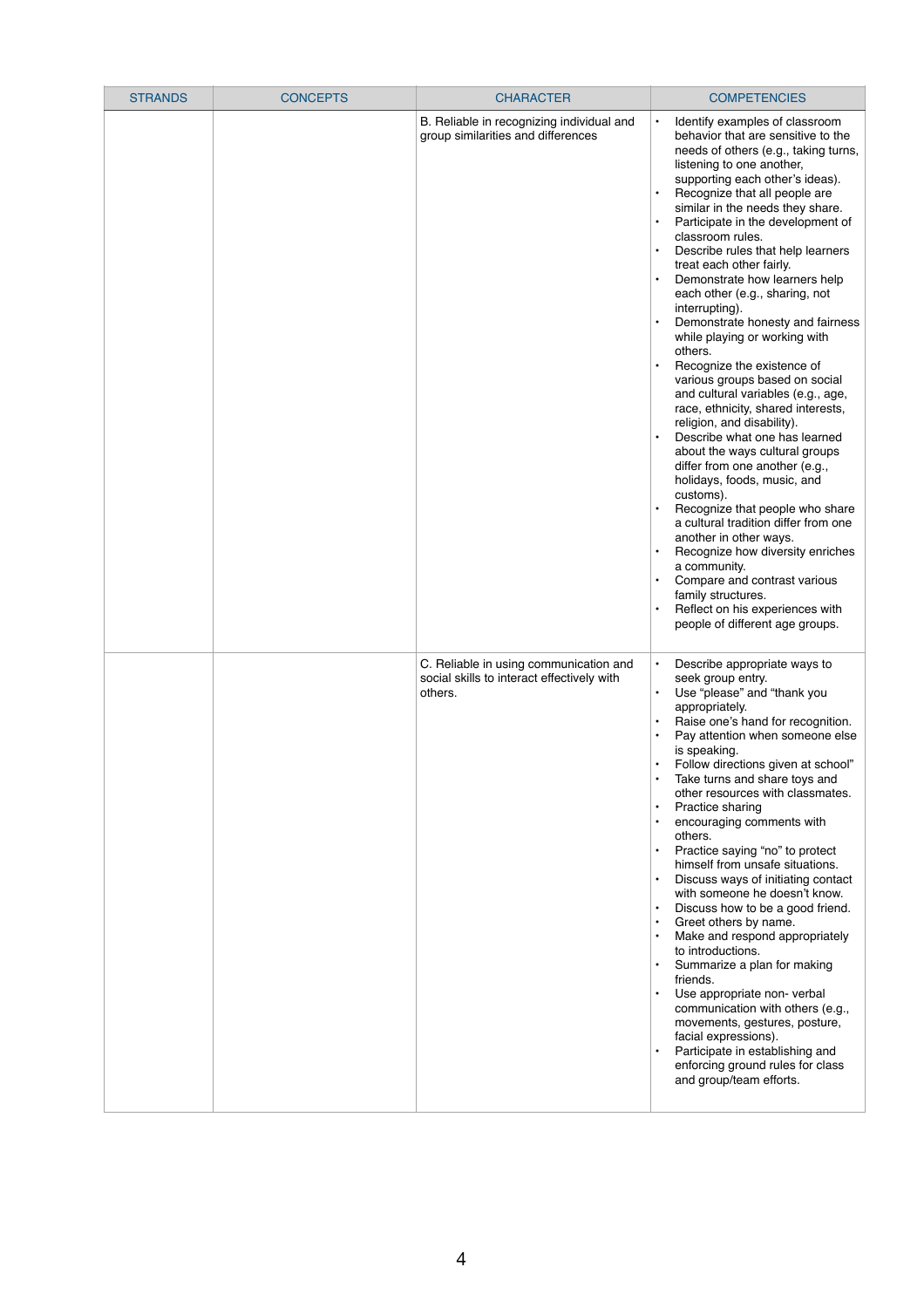| <b>STRANDS</b> | <b>CONCEPTS</b> | <b>CHARACTER</b>                                                                                | <b>COMPETENCIES</b>                                                                                                                                                                                                                                                                                                                                                                                                                                                                                                                                                                                                                                                                                                                                                                                                                                                                                                                                                                                                                                                                                                                                                                        |
|----------------|-----------------|-------------------------------------------------------------------------------------------------|--------------------------------------------------------------------------------------------------------------------------------------------------------------------------------------------------------------------------------------------------------------------------------------------------------------------------------------------------------------------------------------------------------------------------------------------------------------------------------------------------------------------------------------------------------------------------------------------------------------------------------------------------------------------------------------------------------------------------------------------------------------------------------------------------------------------------------------------------------------------------------------------------------------------------------------------------------------------------------------------------------------------------------------------------------------------------------------------------------------------------------------------------------------------------------------------|
|                |                 | B. Reliable in recognizing individual and<br>group similarities and differences                 | Identify examples of classroom<br>$\bullet$<br>behavior that are sensitive to the<br>needs of others (e.g., taking turns,<br>listening to one another,<br>supporting each other's ideas).<br>Recognize that all people are<br>similar in the needs they share.<br>Participate in the development of<br>classroom rules.<br>Describe rules that help learners<br>$\bullet$<br>treat each other fairly.<br>Demonstrate how learners help<br>each other (e.g., sharing, not<br>interrupting).<br>Demonstrate honesty and fairness<br>while playing or working with<br>others.<br>Recognize the existence of<br>various groups based on social<br>and cultural variables (e.g., age,<br>race, ethnicity, shared interests,<br>religion, and disability).<br>Describe what one has learned<br>about the ways cultural groups<br>differ from one another (e.g.,<br>holidays, foods, music, and<br>customs).<br>Recognize that people who share<br>a cultural tradition differ from one<br>another in other ways.<br>Recognize how diversity enriches<br>a community.<br>Compare and contrast various<br>family structures.<br>Reflect on his experiences with<br>people of different age groups. |
|                |                 | C. Reliable in using communication and<br>social skills to interact effectively with<br>others. | Describe appropriate ways to<br>$\bullet$<br>seek group entry.<br>Use "please" and "thank you<br>appropriately.<br>Raise one's hand for recognition.<br>$\bullet$<br>Pay attention when someone else<br>is speaking.<br>Follow directions given at school"<br>Take turns and share toys and<br>other resources with classmates.<br>Practice sharing<br>$\bullet$<br>encouraging comments with<br>others.<br>Practice saying "no" to protect<br>himself from unsafe situations.<br>Discuss ways of initiating contact<br>$\bullet$<br>with someone he doesn't know.<br>Discuss how to be a good friend.<br>Greet others by name.<br>$\bullet$<br>Make and respond appropriately<br>to introductions.<br>Summarize a plan for making<br>$\bullet$<br>friends.<br>Use appropriate non-verbal<br>communication with others (e.g.,<br>movements, gestures, posture,<br>facial expressions).<br>Participate in establishing and<br>enforcing ground rules for class<br>and group/team efforts.                                                                                                                                                                                                   |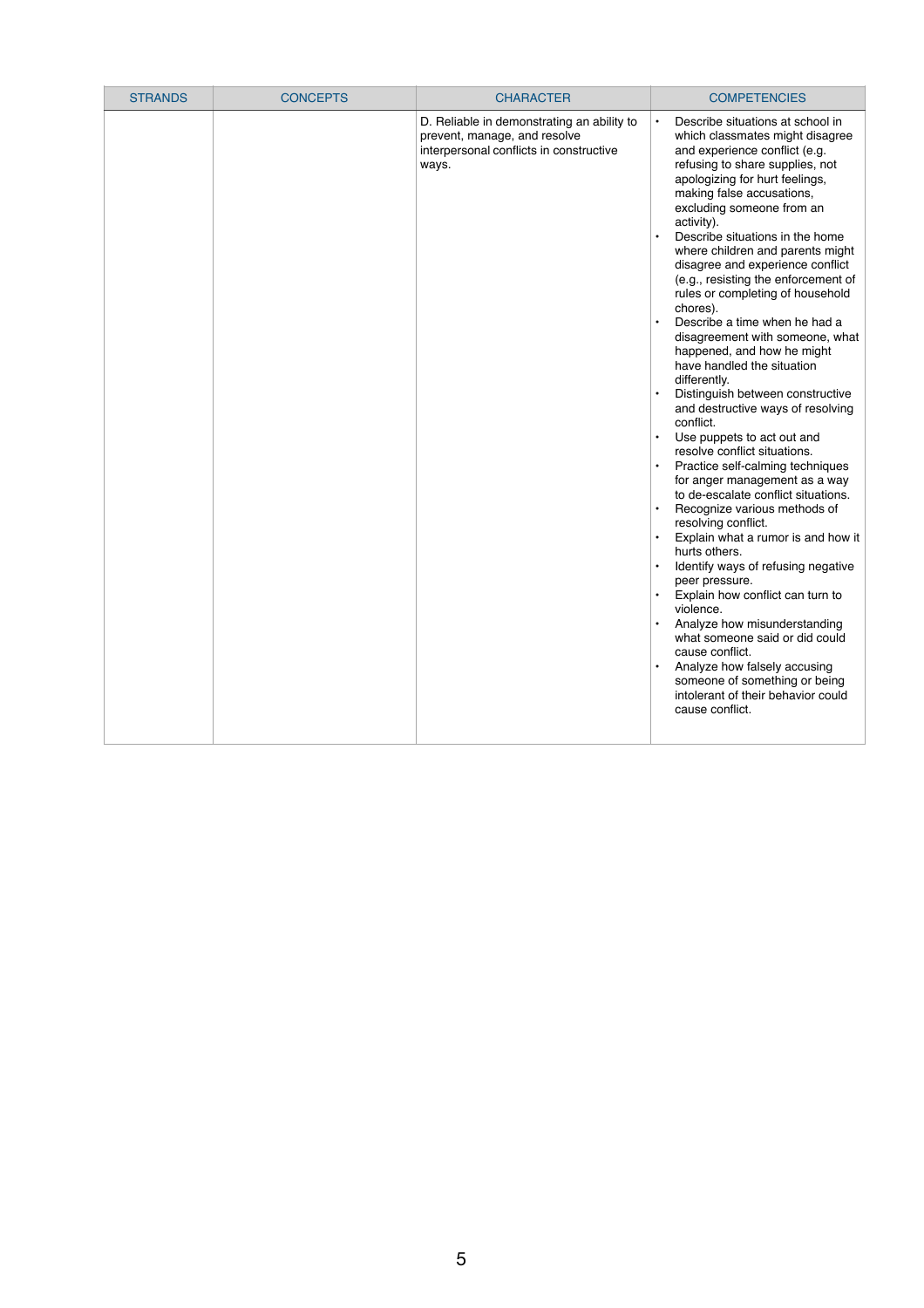| <b>STRANDS</b> | <b>CONCEPTS</b> | <b>CHARACTER</b>                                                                                                               | <b>COMPETENCIES</b>                                                                                                                                                                                                                                                                                                                                                                                                                                                                                                                                                                                                                                                                                                                                                                                                                                                                                                                                                                                                                                                                                                                                                                                                                                                                                                                                                        |
|----------------|-----------------|--------------------------------------------------------------------------------------------------------------------------------|----------------------------------------------------------------------------------------------------------------------------------------------------------------------------------------------------------------------------------------------------------------------------------------------------------------------------------------------------------------------------------------------------------------------------------------------------------------------------------------------------------------------------------------------------------------------------------------------------------------------------------------------------------------------------------------------------------------------------------------------------------------------------------------------------------------------------------------------------------------------------------------------------------------------------------------------------------------------------------------------------------------------------------------------------------------------------------------------------------------------------------------------------------------------------------------------------------------------------------------------------------------------------------------------------------------------------------------------------------------------------|
|                |                 | D. Reliable in demonstrating an ability to<br>prevent, manage, and resolve<br>interpersonal conflicts in constructive<br>ways. | Describe situations at school in<br>$\bullet$<br>which classmates might disagree<br>and experience conflict (e.g.<br>refusing to share supplies, not<br>apologizing for hurt feelings,<br>making false accusations,<br>excluding someone from an<br>activity).<br>Describe situations in the home<br>where children and parents might<br>disagree and experience conflict<br>(e.g., resisting the enforcement of<br>rules or completing of household<br>chores).<br>Describe a time when he had a<br>$\bullet$<br>disagreement with someone, what<br>happened, and how he might<br>have handled the situation<br>differently.<br>Distinguish between constructive<br>and destructive ways of resolving<br>conflict.<br>Use puppets to act out and<br>resolve conflict situations.<br>Practice self-calming techniques<br>$\bullet$<br>for anger management as a way<br>to de-escalate conflict situations.<br>Recognize various methods of<br>resolving conflict.<br>Explain what a rumor is and how it<br>hurts others.<br>Identify ways of refusing negative<br>peer pressure.<br>Explain how conflict can turn to<br>violence.<br>Analyze how misunderstanding<br>$\bullet$<br>what someone said or did could<br>cause conflict.<br>Analyze how falsely accusing<br>$\bullet$<br>someone of something or being<br>intolerant of their behavior could<br>cause conflict. |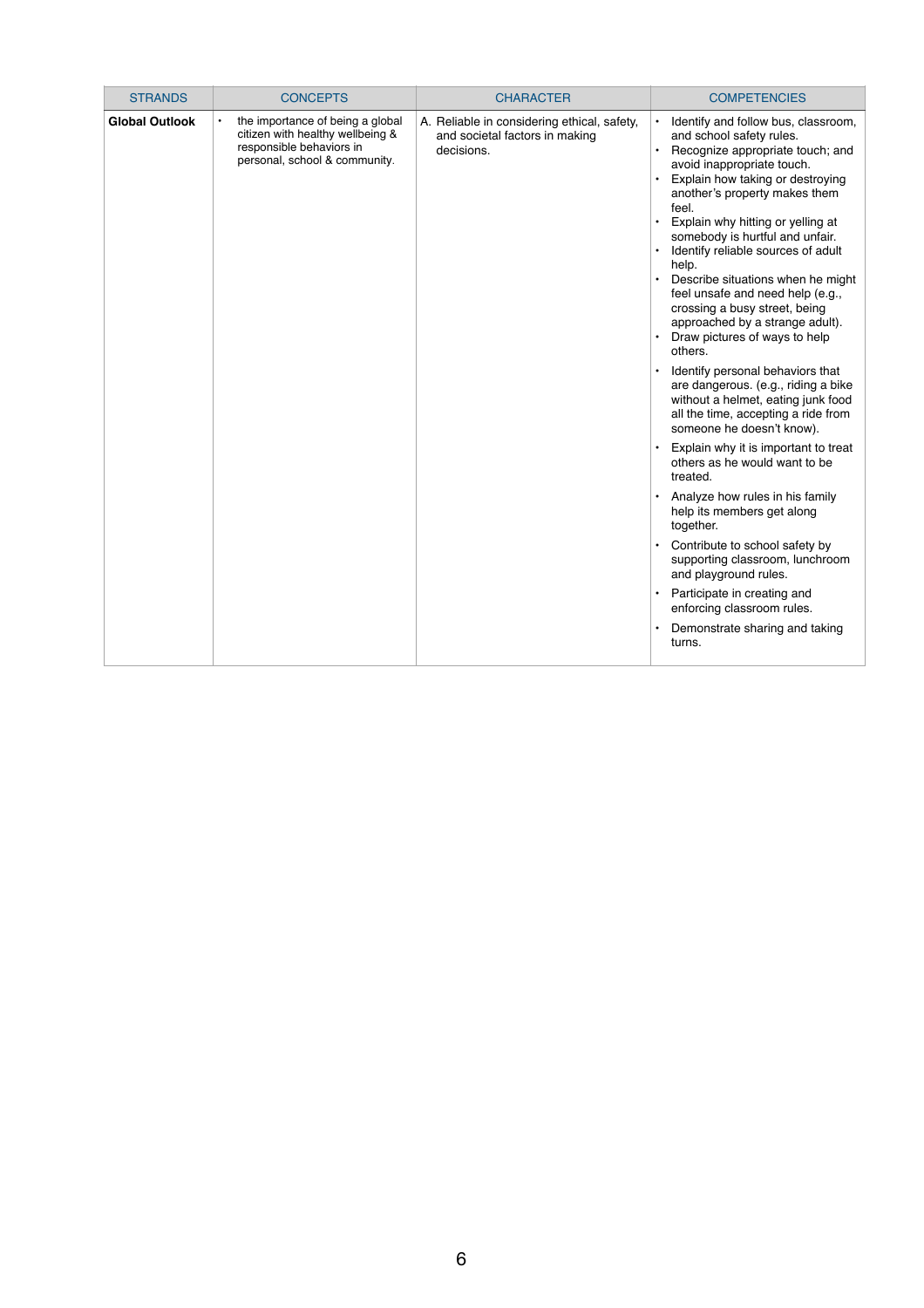| <b>STRANDS</b>        | <b>CONCEPTS</b>                                                                                                                   | <b>CHARACTER</b>                                                                            | <b>COMPETENCIES</b>                                                                                                                                                                                                                                                                                                                                                                                                                                                                                                                                                                                                                                                                                                                                                                                                                                                                                                                                                                                                                                                                            |
|-----------------------|-----------------------------------------------------------------------------------------------------------------------------------|---------------------------------------------------------------------------------------------|------------------------------------------------------------------------------------------------------------------------------------------------------------------------------------------------------------------------------------------------------------------------------------------------------------------------------------------------------------------------------------------------------------------------------------------------------------------------------------------------------------------------------------------------------------------------------------------------------------------------------------------------------------------------------------------------------------------------------------------------------------------------------------------------------------------------------------------------------------------------------------------------------------------------------------------------------------------------------------------------------------------------------------------------------------------------------------------------|
| <b>Global Outlook</b> | the importance of being a global<br>citizen with healthy wellbeing &<br>responsible behaviors in<br>personal, school & community. | A. Reliable in considering ethical, safety,<br>and societal factors in making<br>decisions. | Identify and follow bus, classroom,<br>and school safety rules.<br>Recognize appropriate touch; and<br>avoid inappropriate touch.<br>Explain how taking or destroying<br>another's property makes them<br>feel.<br>Explain why hitting or yelling at<br>somebody is hurtful and unfair.<br>Identify reliable sources of adult<br>help.<br>Describe situations when he might<br>feel unsafe and need help (e.g.,<br>crossing a busy street, being<br>approached by a strange adult).<br>Draw pictures of ways to help<br>others.<br>Identify personal behaviors that<br>are dangerous. (e.g., riding a bike<br>without a helmet, eating junk food<br>all the time, accepting a ride from<br>someone he doesn't know).<br>Explain why it is important to treat<br>others as he would want to be<br>treated.<br>Analyze how rules in his family<br>help its members get along<br>together.<br>Contribute to school safety by<br>supporting classroom, lunchroom<br>and playground rules.<br>Participate in creating and<br>enforcing classroom rules.<br>Demonstrate sharing and taking<br>turns. |
|                       |                                                                                                                                   |                                                                                             |                                                                                                                                                                                                                                                                                                                                                                                                                                                                                                                                                                                                                                                                                                                                                                                                                                                                                                                                                                                                                                                                                                |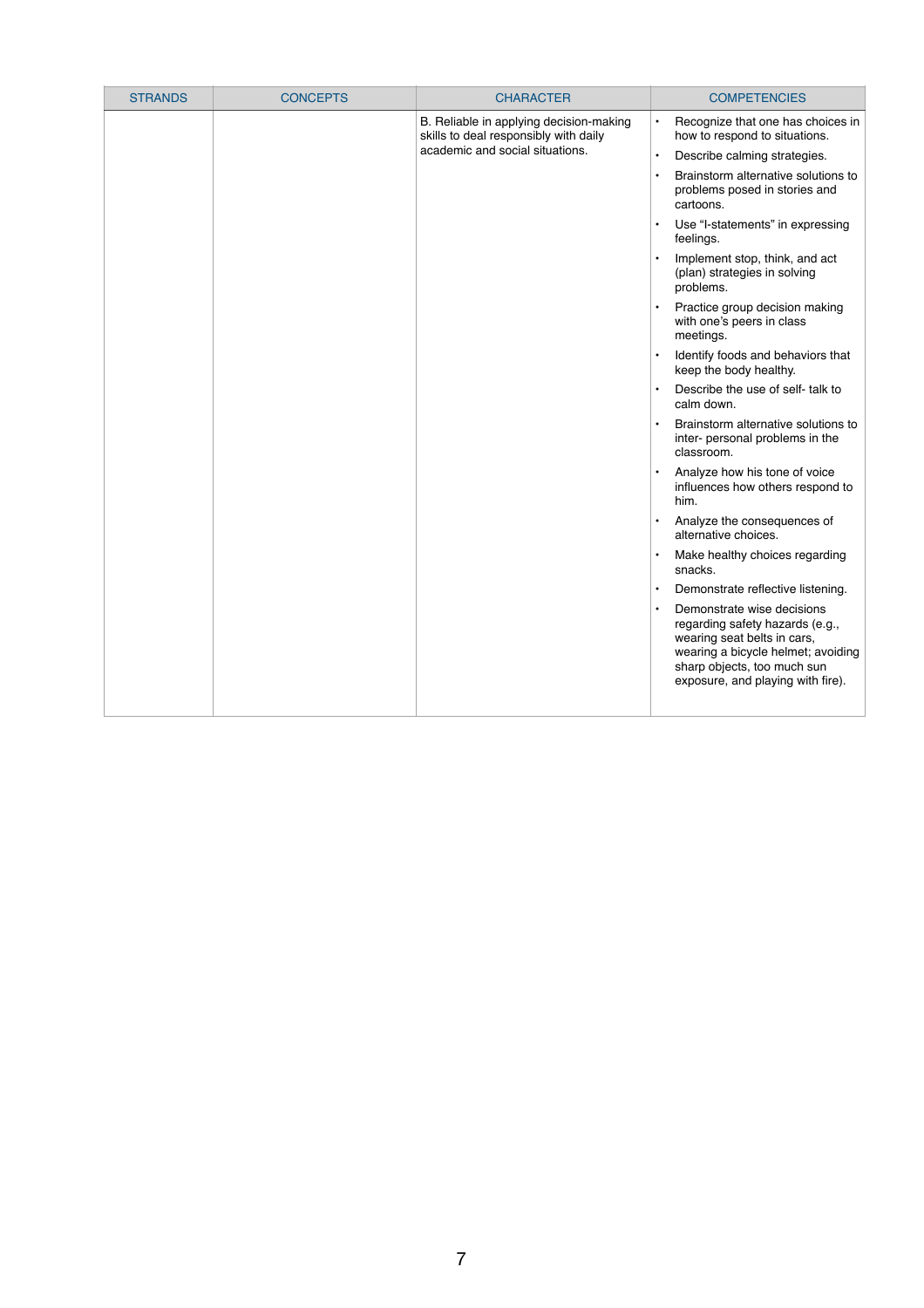| <b>STRANDS</b> | <b>CONCEPTS</b> | <b>CHARACTER</b>                                                                 | <b>COMPETENCIES</b>                                                                                                                                                                                    |
|----------------|-----------------|----------------------------------------------------------------------------------|--------------------------------------------------------------------------------------------------------------------------------------------------------------------------------------------------------|
|                |                 | B. Reliable in applying decision-making<br>skills to deal responsibly with daily | Recognize that one has choices in<br>$\bullet$<br>how to respond to situations.                                                                                                                        |
|                |                 | academic and social situations.                                                  | Describe calming strategies.<br>$\bullet$                                                                                                                                                              |
|                |                 |                                                                                  | Brainstorm alternative solutions to<br>$\bullet$<br>problems posed in stories and<br>cartoons.                                                                                                         |
|                |                 |                                                                                  | Use "I-statements" in expressing<br>$\bullet$<br>feelings.                                                                                                                                             |
|                |                 |                                                                                  | Implement stop, think, and act<br>(plan) strategies in solving<br>problems.                                                                                                                            |
|                |                 |                                                                                  | Practice group decision making<br>$\bullet$<br>with one's peers in class<br>meetings.                                                                                                                  |
|                |                 |                                                                                  | Identify foods and behaviors that<br>$\bullet$<br>keep the body healthy.                                                                                                                               |
|                |                 |                                                                                  | Describe the use of self- talk to<br>$\bullet$<br>calm down.                                                                                                                                           |
|                |                 |                                                                                  | Brainstorm alternative solutions to<br>inter- personal problems in the<br>classroom.                                                                                                                   |
|                |                 |                                                                                  | Analyze how his tone of voice<br>$\bullet$<br>influences how others respond to<br>him.                                                                                                                 |
|                |                 |                                                                                  | Analyze the consequences of<br>$\bullet$<br>alternative choices.                                                                                                                                       |
|                |                 |                                                                                  | Make healthy choices regarding<br>snacks.                                                                                                                                                              |
|                |                 |                                                                                  | Demonstrate reflective listening.                                                                                                                                                                      |
|                |                 |                                                                                  | Demonstrate wise decisions<br>regarding safety hazards (e.g.,<br>wearing seat belts in cars,<br>wearing a bicycle helmet; avoiding<br>sharp objects, too much sun<br>exposure, and playing with fire). |
|                |                 |                                                                                  |                                                                                                                                                                                                        |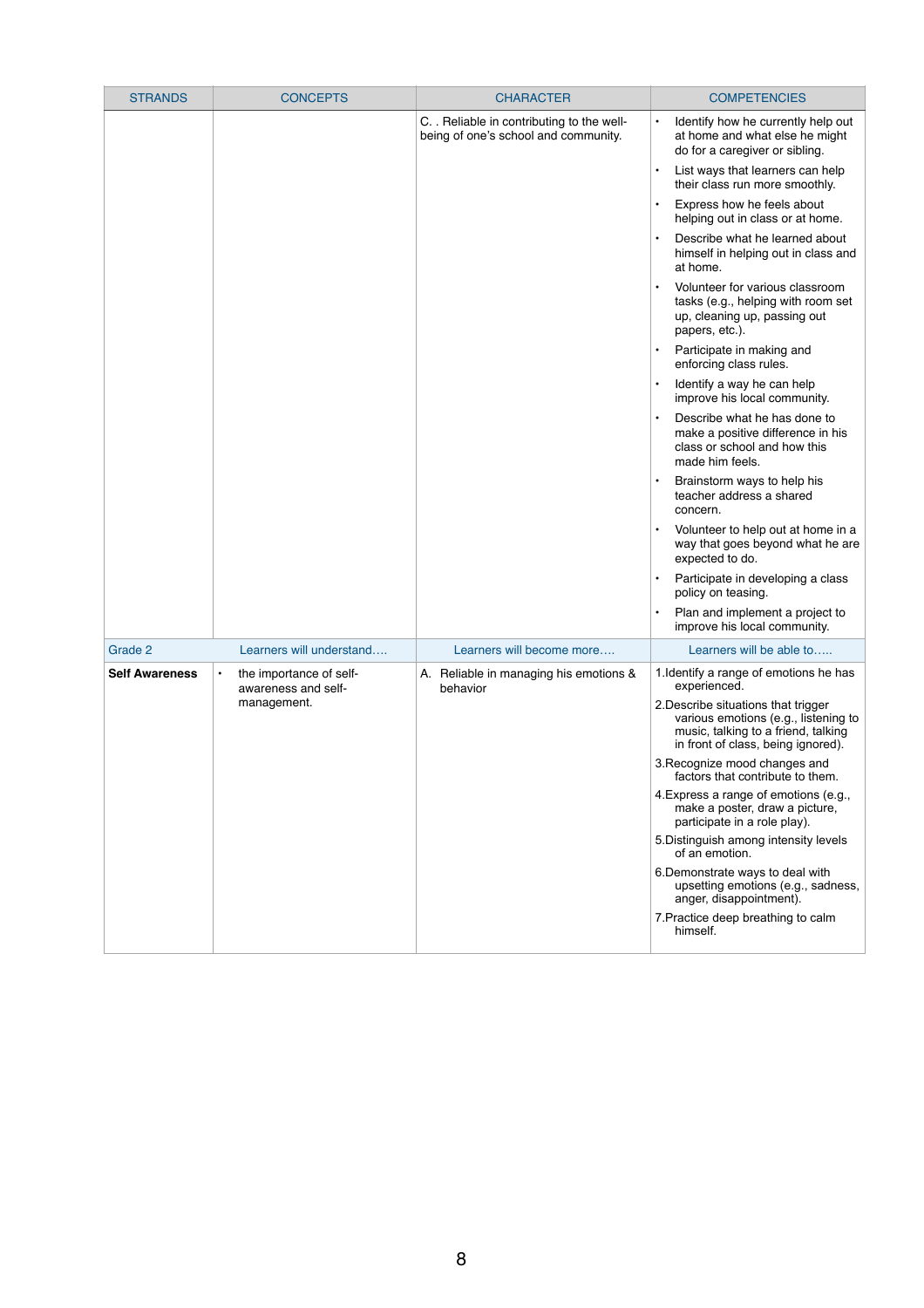| <b>STRANDS</b>        | <b>CONCEPTS</b>                                             | <b>CHARACTER</b>                                                                   | <b>COMPETENCIES</b>                                                                                                                                      |
|-----------------------|-------------------------------------------------------------|------------------------------------------------------------------------------------|----------------------------------------------------------------------------------------------------------------------------------------------------------|
|                       |                                                             | C. . Reliable in contributing to the well-<br>being of one's school and community. | Identify how he currently help out<br>$\bullet$<br>at home and what else he might<br>do for a caregiver or sibling.                                      |
|                       |                                                             |                                                                                    | List ways that learners can help<br>$\bullet$<br>their class run more smoothly.                                                                          |
|                       |                                                             |                                                                                    | Express how he feels about<br>$\bullet$<br>helping out in class or at home.                                                                              |
|                       |                                                             |                                                                                    | Describe what he learned about<br>$\bullet$<br>himself in helping out in class and<br>at home.                                                           |
|                       |                                                             |                                                                                    | Volunteer for various classroom<br>$\bullet$<br>tasks (e.g., helping with room set<br>up, cleaning up, passing out<br>papers, etc.).                     |
|                       |                                                             |                                                                                    | Participate in making and<br>$\bullet$<br>enforcing class rules.                                                                                         |
|                       |                                                             |                                                                                    | Identify a way he can help<br>improve his local community.                                                                                               |
|                       |                                                             |                                                                                    | Describe what he has done to<br>make a positive difference in his<br>class or school and how this<br>made him feels.                                     |
|                       |                                                             |                                                                                    | Brainstorm ways to help his<br>$\bullet$<br>teacher address a shared<br>concern.                                                                         |
|                       |                                                             |                                                                                    | Volunteer to help out at home in a<br>$\bullet$<br>way that goes beyond what he are<br>expected to do.                                                   |
|                       |                                                             |                                                                                    | Participate in developing a class<br>policy on teasing.                                                                                                  |
|                       |                                                             |                                                                                    | Plan and implement a project to<br>improve his local community.                                                                                          |
| Grade 2               | Learners will understand                                    | Learners will become more                                                          | Learners will be able to                                                                                                                                 |
| <b>Self Awareness</b> | the importance of self-<br>$\bullet$<br>awareness and self- | A. Reliable in managing his emotions &<br>behavior                                 | 1. Identify a range of emotions he has<br>experienced.                                                                                                   |
|                       | management.                                                 |                                                                                    | 2. Describe situations that trigger<br>various emotions (e.g., listening to<br>music, talking to a friend, talking<br>in front of class, being ignored). |
|                       |                                                             |                                                                                    | 3. Recognize mood changes and<br>factors that contribute to them.                                                                                        |
|                       |                                                             |                                                                                    | 4. Express a range of emotions (e.g.,<br>make a poster, draw a picture,<br>participate in a role play).                                                  |
|                       |                                                             |                                                                                    | 5. Distinguish among intensity levels<br>of an emotion.                                                                                                  |
|                       |                                                             |                                                                                    | 6. Demonstrate ways to deal with<br>upsetting emotions (e.g., sadness,<br>anger, disappointment).                                                        |
|                       |                                                             |                                                                                    | 7. Practice deep breathing to calm<br>himself.                                                                                                           |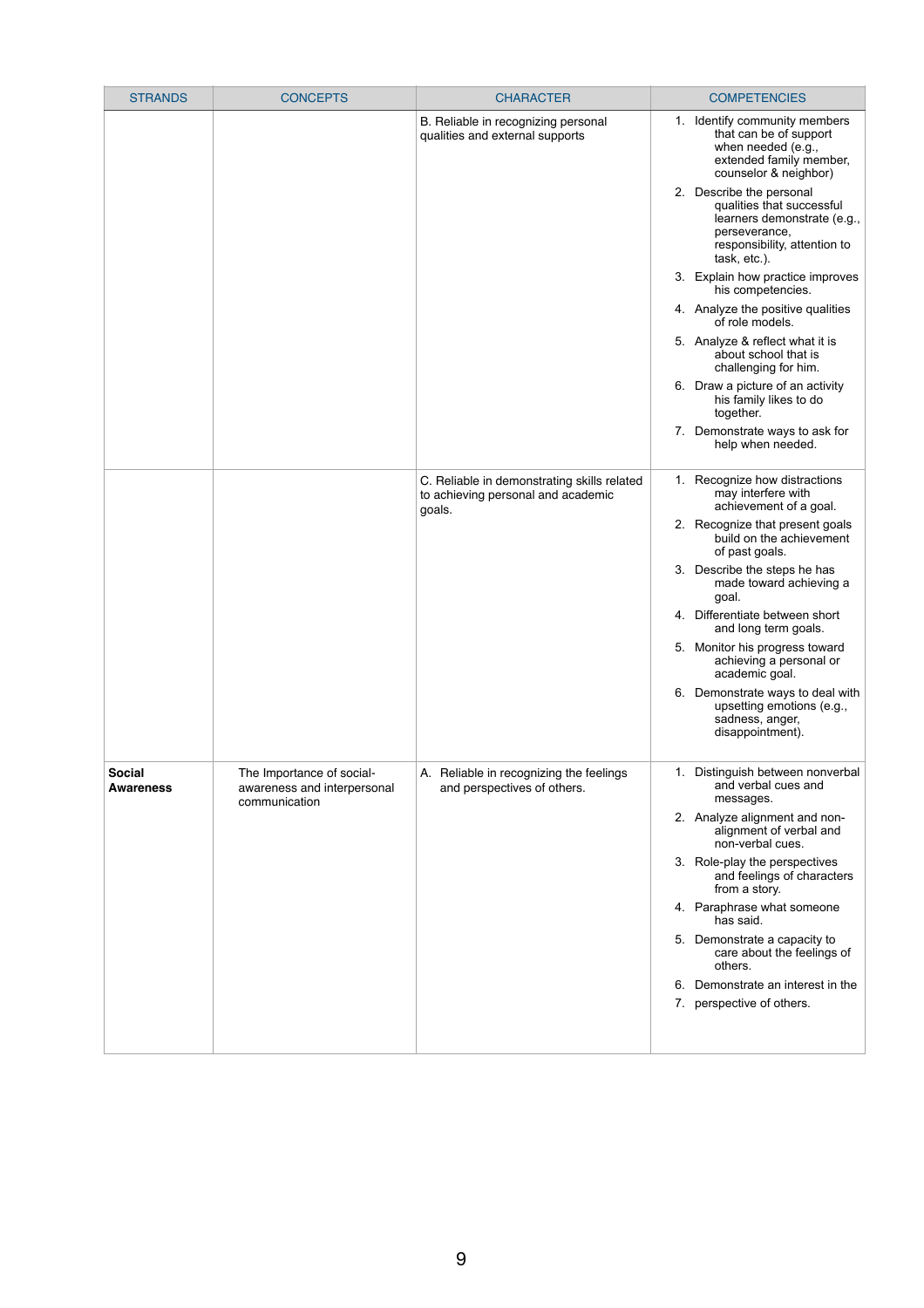| <b>STRANDS</b>                    | <b>CONCEPTS</b>                                                           | <b>CHARACTER</b>                                                                            |                                                                              | <b>COMPETENCIES</b>                                                                                                                                   |
|-----------------------------------|---------------------------------------------------------------------------|---------------------------------------------------------------------------------------------|------------------------------------------------------------------------------|-------------------------------------------------------------------------------------------------------------------------------------------------------|
|                                   |                                                                           | B. Reliable in recognizing personal                                                         |                                                                              | 1. Identify community members                                                                                                                         |
|                                   |                                                                           | qualities and external supports                                                             |                                                                              | that can be of support<br>when needed (e.g.,<br>extended family member,<br>counselor & neighbor)                                                      |
|                                   |                                                                           |                                                                                             |                                                                              | 2. Describe the personal<br>qualities that successful<br>learners demonstrate (e.g.,<br>perseverance,<br>responsibility, attention to<br>task, etc.). |
|                                   |                                                                           |                                                                                             |                                                                              | 3. Explain how practice improves<br>his competencies.                                                                                                 |
|                                   |                                                                           |                                                                                             |                                                                              | 4. Analyze the positive qualities<br>of role models.                                                                                                  |
|                                   |                                                                           |                                                                                             |                                                                              | 5. Analyze & reflect what it is<br>about school that is<br>challenging for him.                                                                       |
|                                   |                                                                           |                                                                                             |                                                                              | 6. Draw a picture of an activity<br>his family likes to do<br>together.                                                                               |
|                                   |                                                                           |                                                                                             |                                                                              | 7. Demonstrate ways to ask for<br>help when needed.                                                                                                   |
|                                   |                                                                           | C. Reliable in demonstrating skills related<br>to achieving personal and academic<br>goals. |                                                                              | 1. Recognize how distractions<br>may interfere with<br>achievement of a goal.                                                                         |
|                                   |                                                                           |                                                                                             |                                                                              | 2. Recognize that present goals<br>build on the achievement<br>of past goals.                                                                         |
|                                   |                                                                           |                                                                                             |                                                                              | 3. Describe the steps he has<br>made toward achieving a<br>goal.                                                                                      |
|                                   |                                                                           |                                                                                             | 4.                                                                           | Differentiate between short<br>and long term goals.                                                                                                   |
|                                   |                                                                           |                                                                                             | 5.                                                                           | Monitor his progress toward<br>achieving a personal or<br>academic goal.                                                                              |
|                                   |                                                                           |                                                                                             |                                                                              | 6. Demonstrate ways to deal with<br>upsetting emotions (e.g.,<br>sadness, anger,<br>disappointment).                                                  |
| <b>Social</b><br><b>Awareness</b> | The Importance of social-<br>awareness and interpersonal<br>communication | A. Reliable in recognizing the feelings<br>and perspectives of others.                      |                                                                              | 1. Distinguish between nonverbal<br>and verbal cues and<br>messages.                                                                                  |
|                                   |                                                                           |                                                                                             | 2. Analyze alignment and non-<br>alignment of verbal and<br>non-verbal cues. |                                                                                                                                                       |
|                                   |                                                                           |                                                                                             |                                                                              | 3. Role-play the perspectives<br>and feelings of characters<br>from a story.                                                                          |
|                                   |                                                                           |                                                                                             |                                                                              | 4. Paraphrase what someone<br>has said.                                                                                                               |
|                                   |                                                                           |                                                                                             |                                                                              | 5. Demonstrate a capacity to<br>care about the feelings of<br>others.                                                                                 |
|                                   |                                                                           |                                                                                             |                                                                              | 6. Demonstrate an interest in the                                                                                                                     |

|  | 7. perspective of others. |
|--|---------------------------|
|  |                           |
|  |                           |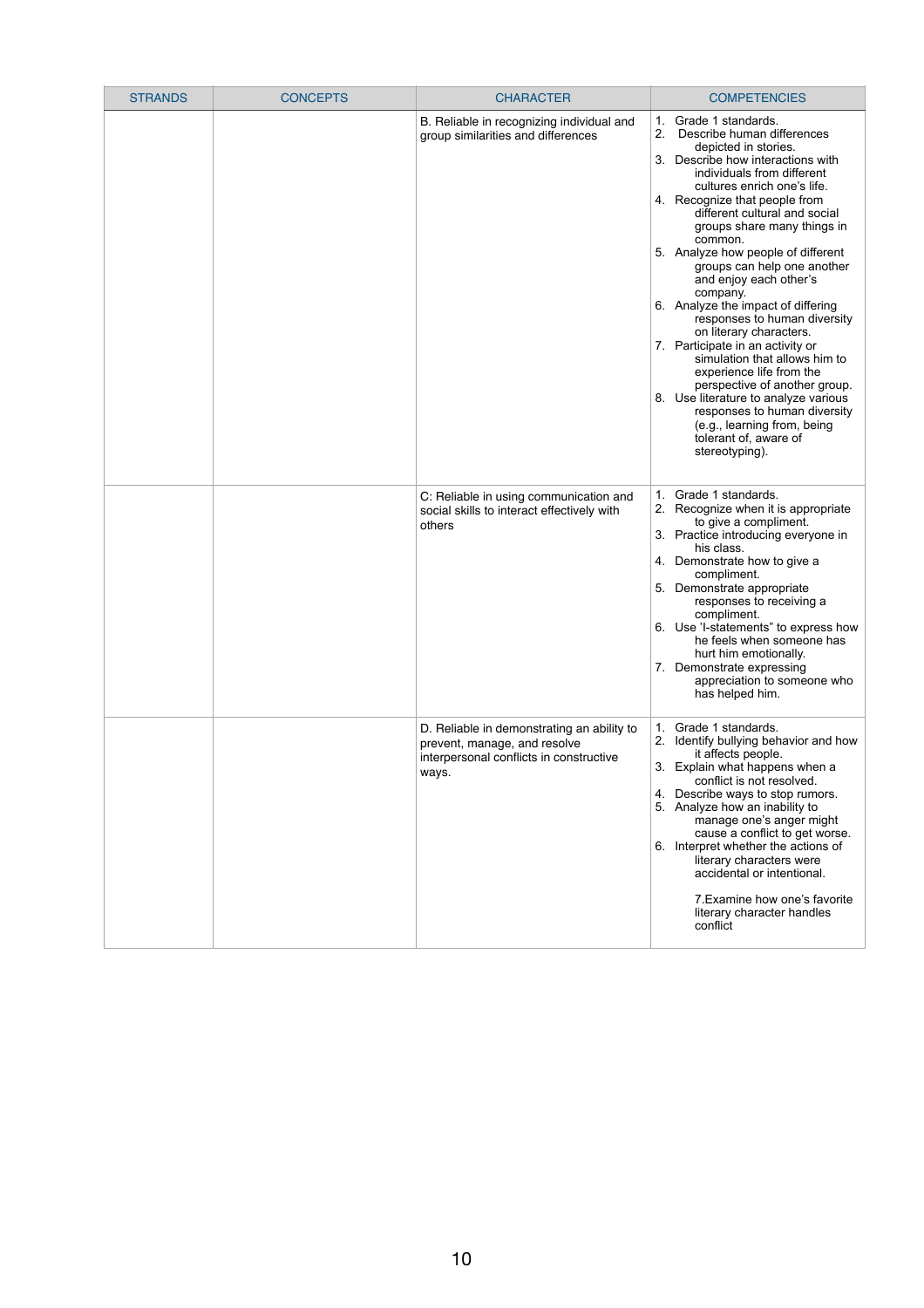| <b>STRANDS</b> | <b>CONCEPTS</b> | <b>CHARACTER</b>                                                                                                               | <b>COMPETENCIES</b>                                                                                                                                                                                                                                                                                                                                                                                                                                                                                                                                                                                                                                                                                                                                                                                   |
|----------------|-----------------|--------------------------------------------------------------------------------------------------------------------------------|-------------------------------------------------------------------------------------------------------------------------------------------------------------------------------------------------------------------------------------------------------------------------------------------------------------------------------------------------------------------------------------------------------------------------------------------------------------------------------------------------------------------------------------------------------------------------------------------------------------------------------------------------------------------------------------------------------------------------------------------------------------------------------------------------------|
|                |                 | B. Reliable in recognizing individual and<br>group similarities and differences                                                | Grade 1 standards.<br>1.<br>2.<br>Describe human differences<br>depicted in stories.<br>Describe how interactions with<br>3.<br>individuals from different<br>cultures enrich one's life.<br>4. Recognize that people from<br>different cultural and social<br>groups share many things in<br>common.<br>5. Analyze how people of different<br>groups can help one another<br>and enjoy each other's<br>company.<br>6. Analyze the impact of differing<br>responses to human diversity<br>on literary characters.<br>7. Participate in an activity or<br>simulation that allows him to<br>experience life from the<br>perspective of another group.<br>8. Use literature to analyze various<br>responses to human diversity<br>(e.g., learning from, being<br>tolerant of, aware of<br>stereotyping). |
|                |                 | C: Reliable in using communication and<br>social skills to interact effectively with<br>others                                 | Grade 1 standards.<br>1.<br>2. Recognize when it is appropriate<br>to give a compliment.<br>3. Practice introducing everyone in<br>his class.<br>Demonstrate how to give a<br>4.<br>compliment.<br>5. Demonstrate appropriate<br>responses to receiving a<br>compliment.<br>6. Use 'I-statements" to express how<br>he feels when someone has<br>hurt him emotionally.<br>7. Demonstrate expressing<br>appreciation to someone who<br>has helped him.                                                                                                                                                                                                                                                                                                                                                 |
|                |                 | D. Reliable in demonstrating an ability to<br>prevent, manage, and resolve<br>interpersonal conflicts in constructive<br>ways. | Grade 1 standards.<br>1.<br>Identify bullying behavior and how<br>it affects people.<br>3. Explain what happens when a<br>conflict is not resolved.<br>4. Describe ways to stop rumors.<br>5. Analyze how an inability to<br>manage one's anger might<br>cause a conflict to get worse.<br>6. Interpret whether the actions of<br>literary characters were<br>accidental or intentional.<br>7. Examine how one's favorite<br>literary character handles<br>conflict                                                                                                                                                                                                                                                                                                                                   |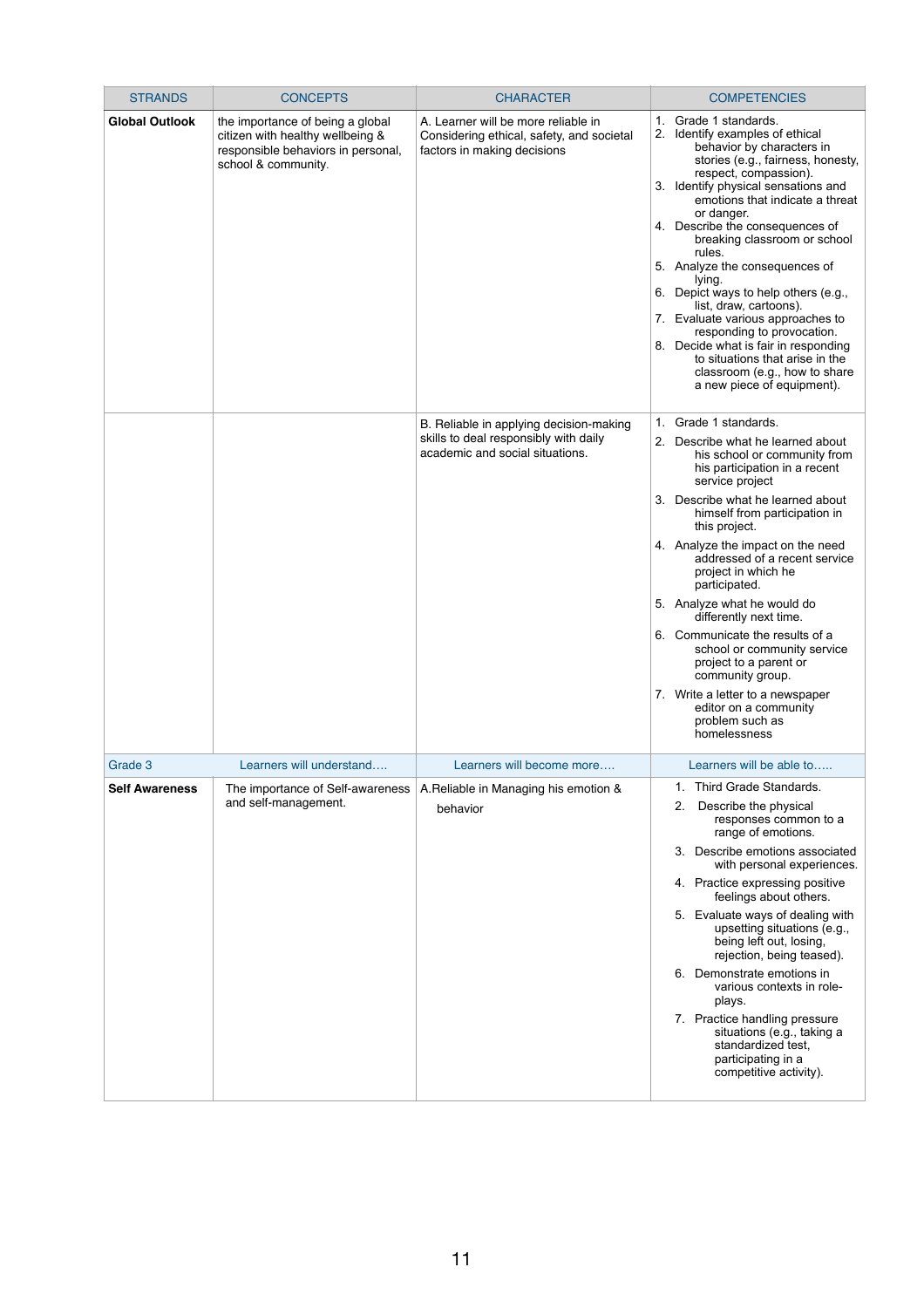| <b>STRANDS</b>        | <b>CONCEPTS</b>                                                                                                                   | <b>CHARACTER</b>                                                                                                    | <b>COMPETENCIES</b>                                                                                                                                                                                                                                                                                                                                                                                                                                                                                                                                                                                                                                 |
|-----------------------|-----------------------------------------------------------------------------------------------------------------------------------|---------------------------------------------------------------------------------------------------------------------|-----------------------------------------------------------------------------------------------------------------------------------------------------------------------------------------------------------------------------------------------------------------------------------------------------------------------------------------------------------------------------------------------------------------------------------------------------------------------------------------------------------------------------------------------------------------------------------------------------------------------------------------------------|
| <b>Global Outlook</b> | the importance of being a global<br>citizen with healthy wellbeing &<br>responsible behaviors in personal,<br>school & community. | A. Learner will be more reliable in<br>Considering ethical, safety, and societal<br>factors in making decisions     | 1. Grade 1 standards.<br>2. Identify examples of ethical<br>behavior by characters in<br>stories (e.g., fairness, honesty,<br>respect, compassion).<br>3. Identify physical sensations and<br>emotions that indicate a threat<br>or danger.<br>4. Describe the consequences of<br>breaking classroom or school<br>rules.<br>5. Analyze the consequences of<br>lying.<br>6. Depict ways to help others (e.g.,<br>list, draw, cartoons).<br>7. Evaluate various approaches to<br>responding to provocation.<br>8. Decide what is fair in responding<br>to situations that arise in the<br>classroom (e.g., how to share<br>a new piece of equipment). |
|                       |                                                                                                                                   | B. Reliable in applying decision-making<br>skills to deal responsibly with daily<br>academic and social situations. | Grade 1 standards.<br>1.<br>Describe what he learned about<br>2.<br>his school or community from<br>his participation in a recent<br>service project<br>Describe what he learned about<br>3.<br>himself from participation in<br>this project.<br>4. Analyze the impact on the need<br>addressed of a recent service<br>project in which he<br>participated.<br>5. Analyze what he would do<br>differently next time.<br>6. Communicate the results of a<br>school or community service<br>project to a parent or<br>community group.<br>7. Write a letter to a newspaper<br>editor on a community<br>problem such as<br>homelessness               |
| Grade 3               | Learners will understand                                                                                                          | Learners will become more                                                                                           | Learners will be able to                                                                                                                                                                                                                                                                                                                                                                                                                                                                                                                                                                                                                            |
| <b>Self Awareness</b> | The importance of Self-awareness<br>and self-management.                                                                          | A. Reliable in Managing his emotion &<br>behavior                                                                   | Third Grade Standards.<br>1.<br>Describe the physical<br>2.<br>responses common to a<br>range of emotions.<br>Describe emotions associated<br>3.<br>with personal experiences.<br>4. Practice expressing positive<br>feelings about others.<br>5. Evaluate ways of dealing with<br>upsetting situations (e.g.,<br>being left out, losing,<br>rejection, being teased).                                                                                                                                                                                                                                                                              |
|                       |                                                                                                                                   |                                                                                                                     | Demonstrate emotions in<br>6.<br>various contexts in role-                                                                                                                                                                                                                                                                                                                                                                                                                                                                                                                                                                                          |

| 7. Practice handling pressure<br>situations (e.g., taking a<br>standardized test,<br>participating in a<br>competitive activity). |
|-----------------------------------------------------------------------------------------------------------------------------------|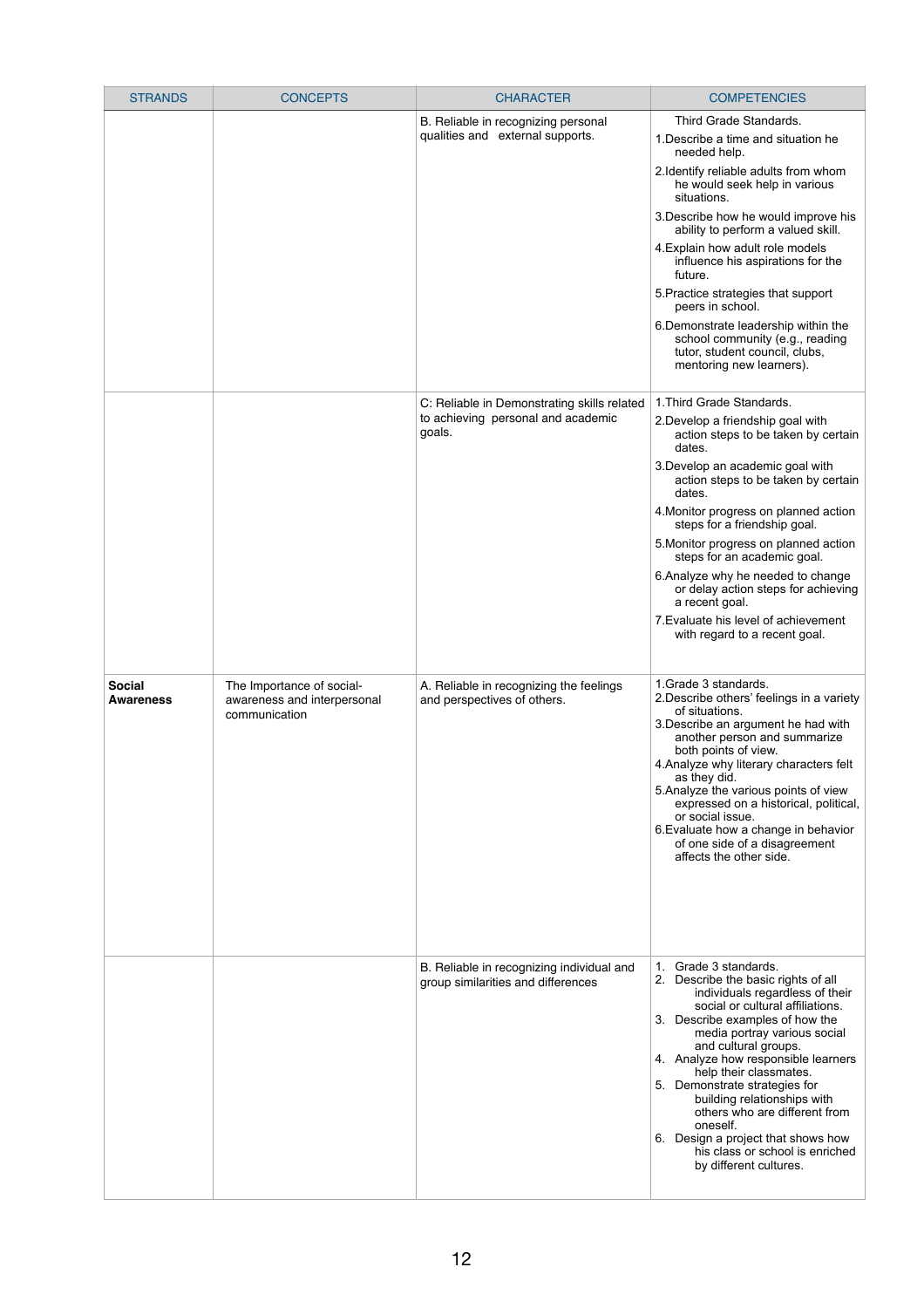| <b>STRANDS</b>                    | <b>CONCEPTS</b>                                                           | <b>CHARACTER</b>                                                                            | <b>COMPETENCIES</b>                                                                                                                                                                                                                                                                                                                                                                                                                                                                                                                          |
|-----------------------------------|---------------------------------------------------------------------------|---------------------------------------------------------------------------------------------|----------------------------------------------------------------------------------------------------------------------------------------------------------------------------------------------------------------------------------------------------------------------------------------------------------------------------------------------------------------------------------------------------------------------------------------------------------------------------------------------------------------------------------------------|
|                                   |                                                                           | B. Reliable in recognizing personal<br>qualities and external supports.                     | Third Grade Standards.<br>1. Describe a time and situation he<br>needed help.<br>2. Identify reliable adults from whom<br>he would seek help in various<br>situations.<br>3. Describe how he would improve his<br>ability to perform a valued skill.<br>4. Explain how adult role models<br>influence his aspirations for the<br>future.<br>5. Practice strategies that support<br>peers in school.<br>6. Demonstrate leadership within the<br>school community (e.g., reading<br>tutor, student council, clubs,<br>mentoring new learners). |
|                                   |                                                                           | C: Reliable in Demonstrating skills related<br>to achieving personal and academic<br>goals. | 1. Third Grade Standards.<br>2. Develop a friendship goal with<br>action steps to be taken by certain<br>dates.<br>3. Develop an academic goal with<br>action steps to be taken by certain<br>dates.<br>4. Monitor progress on planned action<br>steps for a friendship goal.<br>5. Monitor progress on planned action<br>steps for an academic goal.<br>6. Analyze why he needed to change<br>or delay action steps for achieving<br>a recent goal.<br>7. Evaluate his level of achievement<br>with regard to a recent goal.                |
| <b>Social</b><br><b>Awareness</b> | The Importance of social-<br>awareness and interpersonal<br>communication | A. Reliable in recognizing the feelings<br>and perspectives of others.                      | 1. Grade 3 standards.<br>2. Describe others' feelings in a variety<br>of situations.<br>3. Describe an argument he had with<br>another person and summarize<br>both points of view.<br>4. Analyze why literary characters felt<br>as they did.<br>5. Analyze the various points of view<br>expressed on a historical, political,<br>or social issue.<br>6. Evaluate how a change in behavior<br>of one side of a disagreement<br>affects the other side.                                                                                     |
|                                   |                                                                           | B. Reliable in recognizing individual and<br>group similarities and differences             | 1. Grade 3 standards.<br>2. Describe the basic rights of all<br>individuals regardless of their<br>social or cultural affiliations.<br>3. Describe examples of how the<br>media portray various social<br>and cultural groups.<br>4. Analyze how responsible learners<br>help their classmates.<br>5.<br>Demonstrate strategies for<br>building relationships with<br>others who are different from<br>oneself.<br>6. Design a project that shows how<br>his class or school is enriched<br>by different cultures.                           |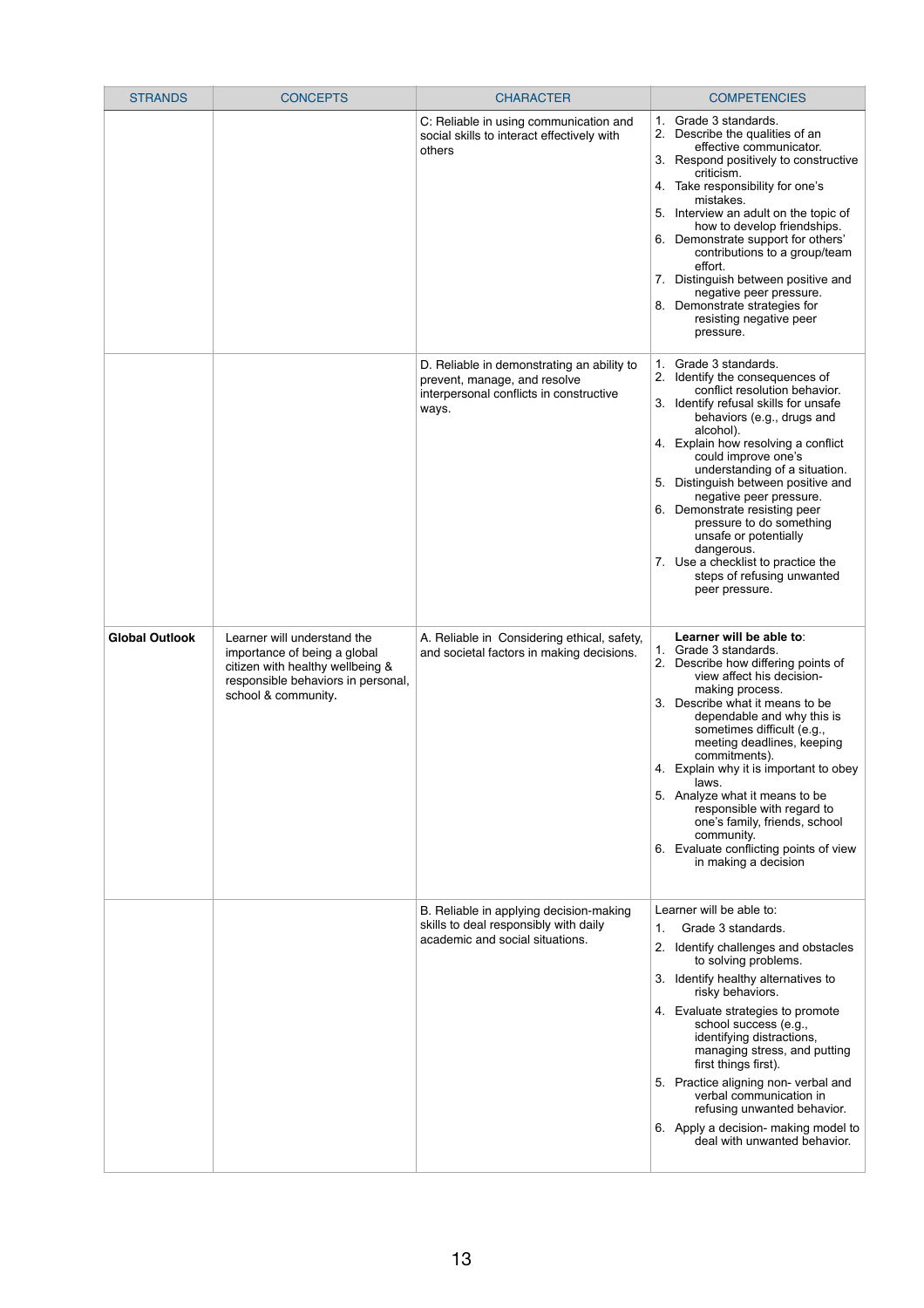| <b>STRANDS</b>        | <b>CONCEPTS</b>                                                                                                                                              | <b>CHARACTER</b>                                                                                                               | <b>COMPETENCIES</b>                                                                                                                                                                                                                                                                                                                                                                                                                                                                                                                         |
|-----------------------|--------------------------------------------------------------------------------------------------------------------------------------------------------------|--------------------------------------------------------------------------------------------------------------------------------|---------------------------------------------------------------------------------------------------------------------------------------------------------------------------------------------------------------------------------------------------------------------------------------------------------------------------------------------------------------------------------------------------------------------------------------------------------------------------------------------------------------------------------------------|
|                       |                                                                                                                                                              | C: Reliable in using communication and<br>social skills to interact effectively with<br>others                                 | 1. Grade 3 standards.<br>2. Describe the qualities of an<br>effective communicator.<br>3. Respond positively to constructive<br>criticism.<br>4. Take responsibility for one's<br>mistakes.<br>Interview an adult on the topic of<br>5.<br>how to develop friendships.<br>6. Demonstrate support for others'<br>contributions to a group/team<br>effort.<br>7. Distinguish between positive and<br>negative peer pressure.<br>8. Demonstrate strategies for<br>resisting negative peer<br>pressure.                                         |
|                       |                                                                                                                                                              | D. Reliable in demonstrating an ability to<br>prevent, manage, and resolve<br>interpersonal conflicts in constructive<br>ways. | 1. Grade 3 standards.<br>2. Identify the consequences of<br>conflict resolution behavior.<br>3. Identify refusal skills for unsafe<br>behaviors (e.g., drugs and<br>alcohol).<br>4. Explain how resolving a conflict<br>could improve one's<br>understanding of a situation.<br>Distinguish between positive and<br>5.<br>negative peer pressure.<br>6. Demonstrate resisting peer<br>pressure to do something<br>unsafe or potentially<br>dangerous.<br>7. Use a checklist to practice the<br>steps of refusing unwanted<br>peer pressure. |
| <b>Global Outlook</b> | Learner will understand the<br>importance of being a global<br>citizen with healthy wellbeing &<br>responsible behaviors in personal,<br>school & community. | A. Reliable in Considering ethical, safety,<br>and societal factors in making decisions.                                       | Learner will be able to:<br>1. Grade 3 standards.<br>2. Describe how differing points of<br>view affect his decision-<br>making process.<br>3. Describe what it means to be<br>dependable and why this is<br>sometimes difficult (e.g.,<br>meeting deadlines, keeping<br>commitments).<br>4. Explain why it is important to obey<br>laws.<br>5. Analyze what it means to be<br>responsible with regard to<br>one's family, friends, school<br>community.<br>Evaluate conflicting points of view<br>6.<br>in making a decision               |
|                       |                                                                                                                                                              | B. Reliable in applying decision-making<br>skills to deal responsibly with daily<br>academic and social situations.            | Learner will be able to:<br>Grade 3 standards.<br>$\mathbf{1}$ .<br>2. Identify challenges and obstacles<br>to solving problems.<br>3. Identify healthy alternatives to<br>risky behaviors.<br>4. Evaluate strategies to promote<br>school success (e.g.,<br>identifying distractions,<br>managing stress, and putting<br>first things first).<br>Practice aligning non- verbal and<br>verbal communication in<br>refusing unwanted behavior.<br>6. Apply a decision- making model to<br>deal with unwanted behavior.                       |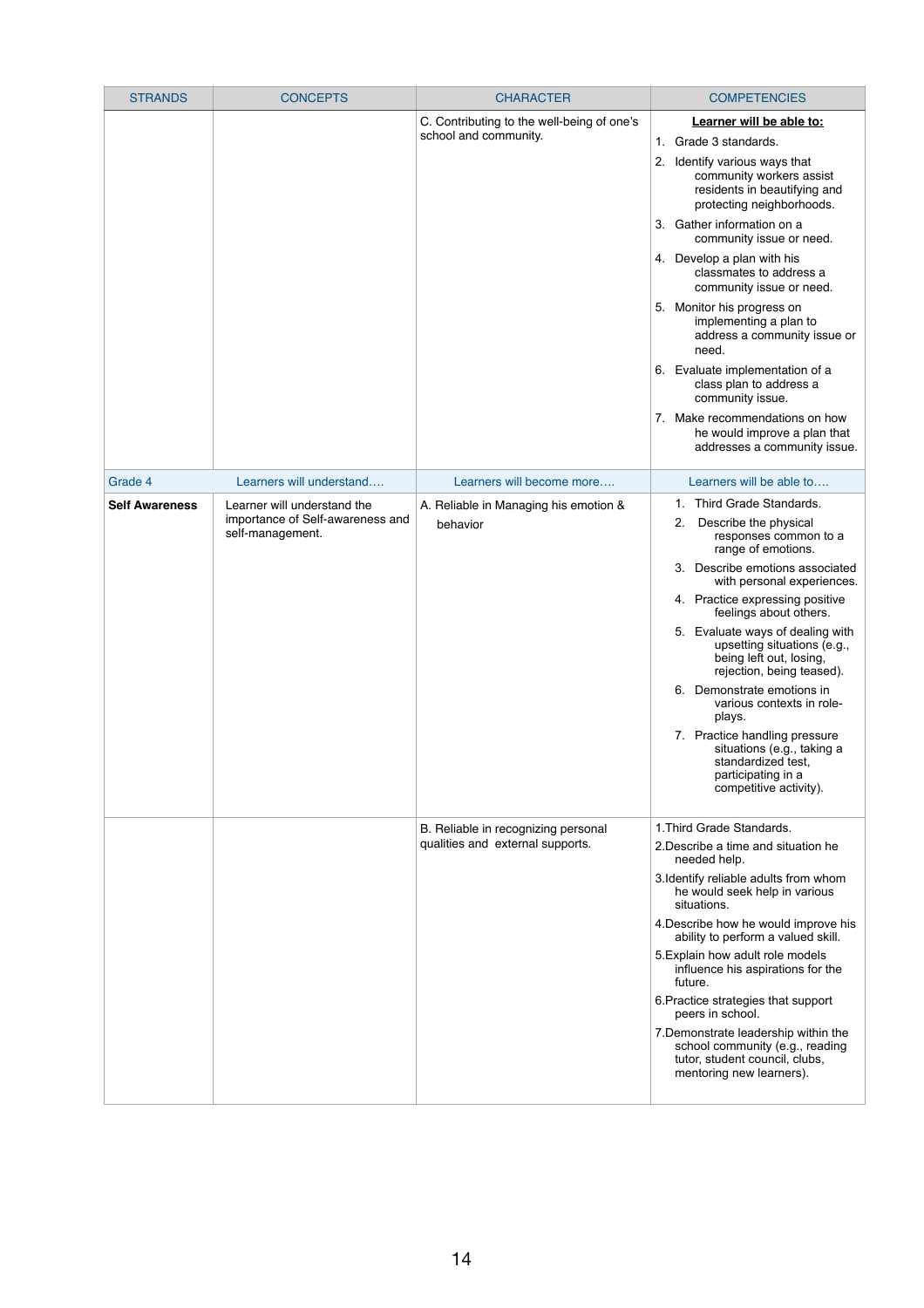| <b>STRANDS</b>        | <b>CONCEPTS</b>                                                                     | <b>CHARACTER</b>                                                        | <b>COMPETENCIES</b>                                                                                                                                                                                                                                                                                                                                                                                                                                                                                                                                                                                                            |
|-----------------------|-------------------------------------------------------------------------------------|-------------------------------------------------------------------------|--------------------------------------------------------------------------------------------------------------------------------------------------------------------------------------------------------------------------------------------------------------------------------------------------------------------------------------------------------------------------------------------------------------------------------------------------------------------------------------------------------------------------------------------------------------------------------------------------------------------------------|
|                       |                                                                                     | C. Contributing to the well-being of one's<br>school and community.     | Learner will be able to:<br>Grade 3 standards.<br>$1_{\cdot}$<br>Identify various ways that<br>2.<br>community workers assist<br>residents in beautifying and<br>protecting neighborhoods.<br>3. Gather information on a<br>community issue or need.<br>4. Develop a plan with his<br>classmates to address a<br>community issue or need.<br>5. Monitor his progress on<br>implementing a plan to<br>address a community issue or<br>need.<br>6. Evaluate implementation of a<br>class plan to address a<br>community issue.<br>7. Make recommendations on how<br>he would improve a plan that<br>addresses a community issue. |
| Grade 4               | Learners will understand                                                            | Learners will become more                                               | Learners will be able to                                                                                                                                                                                                                                                                                                                                                                                                                                                                                                                                                                                                       |
| <b>Self Awareness</b> | Learner will understand the<br>importance of Self-awareness and<br>self-management. | A. Reliable in Managing his emotion &<br>behavior                       | Third Grade Standards.<br>1.<br>Describe the physical<br>2.<br>responses common to a<br>range of emotions.<br>Describe emotions associated<br>3 <sub>1</sub><br>with personal experiences.<br>4. Practice expressing positive<br>feelings about others.<br>5. Evaluate ways of dealing with<br>upsetting situations (e.g.,<br>being left out, losing,<br>rejection, being teased).<br>6. Demonstrate emotions in<br>various contexts in role-<br>plays.<br>7. Practice handling pressure<br>situations (e.g., taking a<br>standardized test,<br>participating in a<br>competitive activity).                                   |
|                       |                                                                                     | B. Reliable in recognizing personal<br>qualities and external supports. | 1. Third Grade Standards.<br>2. Describe a time and situation he<br>needed help.<br>3. Identify reliable adults from whom<br>he would seek help in various<br>situations.<br>4. Describe how he would improve his<br>ability to perform a valued skill.<br>5. Explain how adult role models<br>influence his aspirations for the<br>future.                                                                                                                                                                                                                                                                                    |

| 6. Practice strategies that support<br>peers in school.                                                                               |  |
|---------------------------------------------------------------------------------------------------------------------------------------|--|
| 7. Demonstrate leadership within the<br>school community (e.g., reading<br>tutor, student council, clubs,<br>mentoring new learners). |  |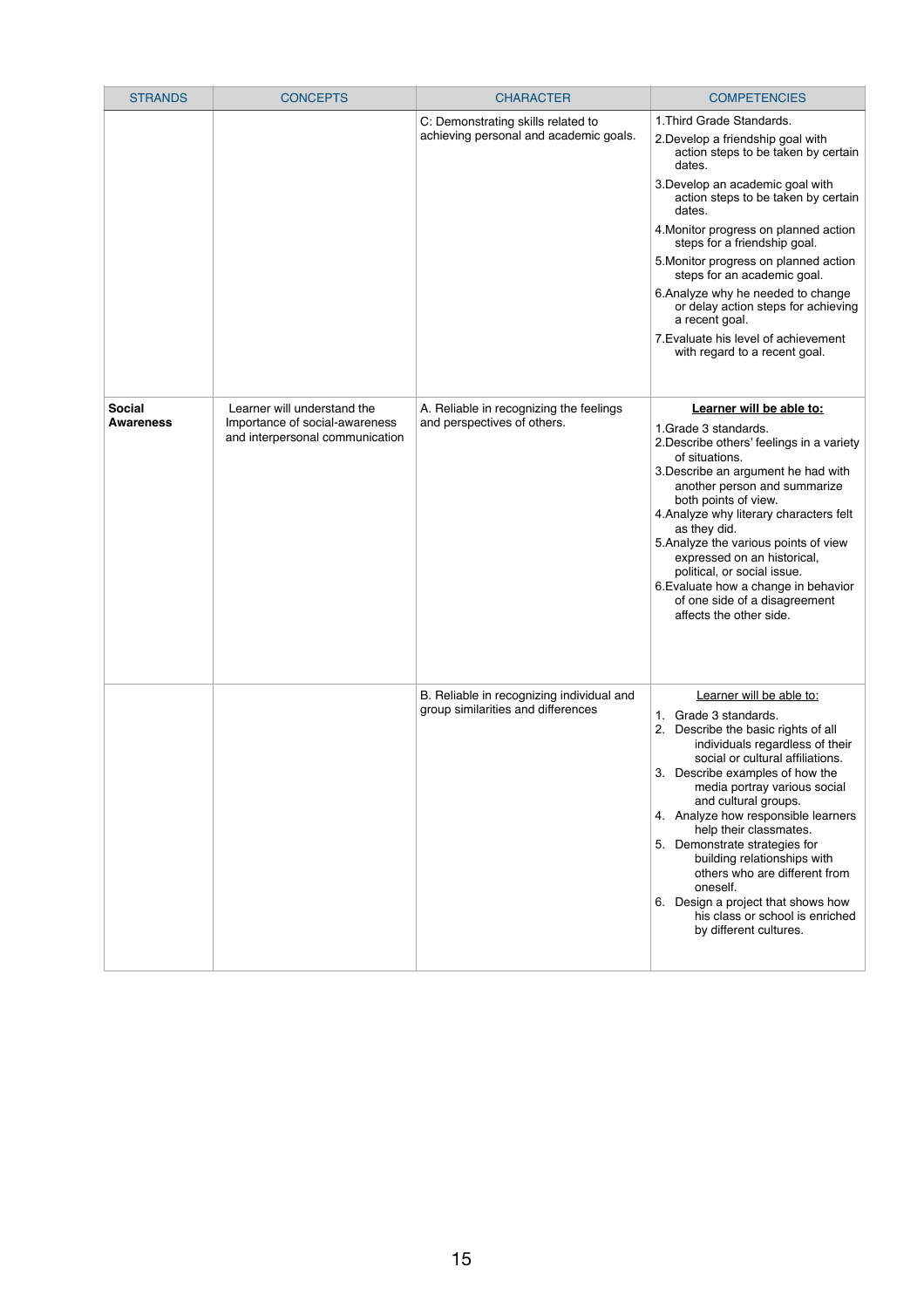| <b>STRANDS</b>   | <b>CONCEPTS</b>                                                   | <b>CHARACTER</b>                                                                | <b>COMPETENCIES</b>                                                                                                                                                                                                                                                                                                                                                                                                                                                                                                                                 |
|------------------|-------------------------------------------------------------------|---------------------------------------------------------------------------------|-----------------------------------------------------------------------------------------------------------------------------------------------------------------------------------------------------------------------------------------------------------------------------------------------------------------------------------------------------------------------------------------------------------------------------------------------------------------------------------------------------------------------------------------------------|
|                  |                                                                   | C: Demonstrating skills related to<br>achieving personal and academic goals.    | 1. Third Grade Standards.<br>2. Develop a friendship goal with<br>action steps to be taken by certain<br>dates.<br>3. Develop an academic goal with<br>action steps to be taken by certain<br>dates.<br>4. Monitor progress on planned action<br>steps for a friendship goal.<br>5. Monitor progress on planned action<br>steps for an academic goal.<br>6. Analyze why he needed to change<br>or delay action steps for achieving<br>a recent goal.<br>7. Evaluate his level of achievement                                                        |
| <b>Social</b>    | Learner will understand the                                       |                                                                                 | with regard to a recent goal.                                                                                                                                                                                                                                                                                                                                                                                                                                                                                                                       |
| <b>Awareness</b> | Importance of social-awareness<br>and interpersonal communication | A. Reliable in recognizing the feelings<br>and perspectives of others.          | Learner will be able to:<br>1. Grade 3 standards.<br>2. Describe others' feelings in a variety<br>of situations.<br>3. Describe an argument he had with<br>another person and summarize<br>both points of view.<br>4. Analyze why literary characters felt<br>as they did.<br>5. Analyze the various points of view<br>expressed on an historical,<br>political, or social issue.<br>6. Evaluate how a change in behavior<br>of one side of a disagreement<br>affects the other side.                                                               |
|                  |                                                                   | B. Reliable in recognizing individual and<br>group similarities and differences | Learner will be able to:<br>Grade 3 standards.<br>$1_{-}$<br>2. Describe the basic rights of all<br>individuals regardless of their<br>social or cultural affiliations.<br>3. Describe examples of how the<br>media portray various social<br>and cultural groups.<br>4. Analyze how responsible learners<br>help their classmates.<br>5. Demonstrate strategies for<br>building relationships with<br>others who are different from<br>oneself.<br>6. Design a project that shows how<br>his class or school is enriched<br>by different cultures. |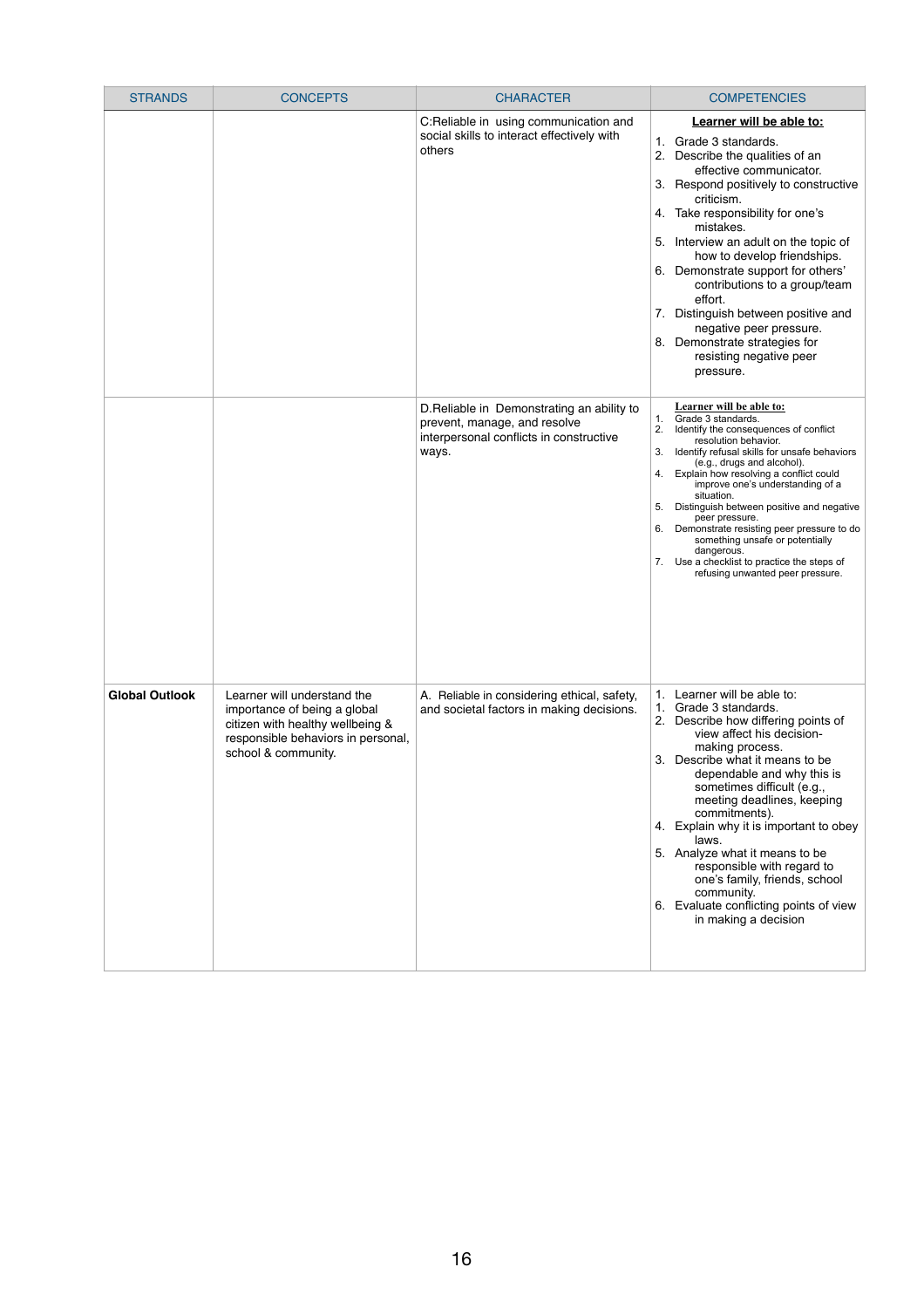| <b>STRANDS</b>        | <b>CONCEPTS</b>                                                                                                                                              | <b>CHARACTER</b>                                                                                                               | <b>COMPETENCIES</b>                                                                                                                                                                                                                                                                                                                                                                                                                                                                                                                                                           |
|-----------------------|--------------------------------------------------------------------------------------------------------------------------------------------------------------|--------------------------------------------------------------------------------------------------------------------------------|-------------------------------------------------------------------------------------------------------------------------------------------------------------------------------------------------------------------------------------------------------------------------------------------------------------------------------------------------------------------------------------------------------------------------------------------------------------------------------------------------------------------------------------------------------------------------------|
|                       |                                                                                                                                                              | C:Reliable in using communication and<br>social skills to interact effectively with<br>others                                  | Learner will be able to:<br>1. Grade 3 standards.<br>2. Describe the qualities of an<br>effective communicator.<br>Respond positively to constructive<br>3.<br>criticism.<br>Take responsibility for one's<br>4.<br>mistakes.<br>5. Interview an adult on the topic of<br>how to develop friendships.<br>Demonstrate support for others'<br>6.<br>contributions to a group/team<br>effort.<br>7. Distinguish between positive and<br>negative peer pressure.<br>8. Demonstrate strategies for<br>resisting negative peer<br>pressure.                                         |
|                       |                                                                                                                                                              | D. Reliable in Demonstrating an ability to<br>prevent, manage, and resolve<br>interpersonal conflicts in constructive<br>ways. | Learner will be able to:<br>1. Grade 3 standards.<br>2.<br>Identify the consequences of conflict<br>resolution behavior.<br>3.<br>Identify refusal skills for unsafe behaviors<br>(e.g., drugs and alcohol).<br>Explain how resolving a conflict could<br>4.<br>improve one's understanding of a<br>situation.<br>Distinguish between positive and negative<br>5.<br>peer pressure.<br>Demonstrate resisting peer pressure to do<br>6.<br>something unsafe or potentially<br>dangerous.<br>Use a checklist to practice the steps of<br>7.<br>refusing unwanted peer pressure. |
| <b>Global Outlook</b> | Learner will understand the<br>importance of being a global<br>citizen with healthy wellbeing &<br>responsible behaviors in personal,<br>school & community. | A. Reliable in considering ethical, safety,<br>and societal factors in making decisions.                                       | 1. Learner will be able to:<br>1. Grade 3 standards.<br>2.<br>Describe how differing points of<br>view affect his decision-<br>making process.<br>3. Describe what it means to be<br>dependable and why this is<br>sometimes difficult (e.g.,<br>meeting deadlines, keeping<br>commitments).<br>4. Explain why it is important to obey<br>laws.<br>5. Analyze what it means to be<br>responsible with regard to<br>one's family, friends, school<br>community.<br>6. Evaluate conflicting points of view<br>in making a decision                                              |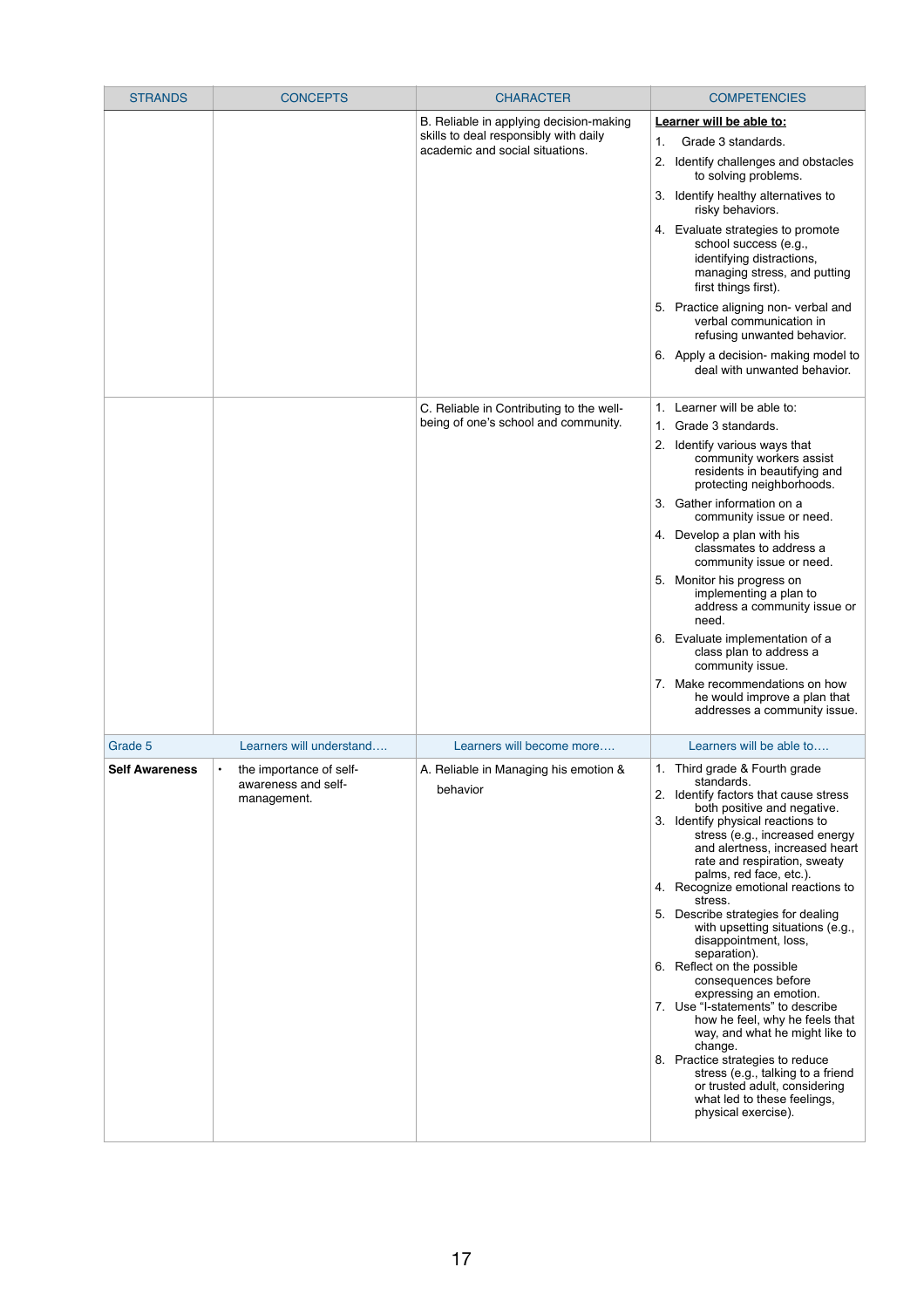| <b>STRANDS</b>        | <b>CONCEPTS</b>                                                            | <b>CHARACTER</b>                                                                                                    | <b>COMPETENCIES</b>                                                                                                                                                                                                                                                                                                                                                                                                                                                                                                                                                                                                                                                                                                                                                                                                                |
|-----------------------|----------------------------------------------------------------------------|---------------------------------------------------------------------------------------------------------------------|------------------------------------------------------------------------------------------------------------------------------------------------------------------------------------------------------------------------------------------------------------------------------------------------------------------------------------------------------------------------------------------------------------------------------------------------------------------------------------------------------------------------------------------------------------------------------------------------------------------------------------------------------------------------------------------------------------------------------------------------------------------------------------------------------------------------------------|
|                       |                                                                            | B. Reliable in applying decision-making<br>skills to deal responsibly with daily<br>academic and social situations. | Learner will be able to:<br>Grade 3 standards.<br>$\mathbf{1}$ .<br>Identify challenges and obstacles<br>2.<br>to solving problems.<br>Identify healthy alternatives to<br>3.<br>risky behaviors.<br>4. Evaluate strategies to promote<br>school success (e.g.,<br>identifying distractions,<br>managing stress, and putting<br>first things first).<br>5. Practice aligning non-verbal and<br>verbal communication in<br>refusing unwanted behavior.<br>6. Apply a decision- making model to<br>deal with unwanted behavior.                                                                                                                                                                                                                                                                                                      |
|                       |                                                                            | C. Reliable in Contributing to the well-<br>being of one's school and community.                                    | Learner will be able to:<br>1.<br>Grade 3 standards.<br>1.<br>2. Identify various ways that<br>community workers assist<br>residents in beautifying and<br>protecting neighborhoods.<br>Gather information on a<br>3.<br>community issue or need.<br>4. Develop a plan with his<br>classmates to address a<br>community issue or need.<br>5. Monitor his progress on<br>implementing a plan to<br>address a community issue or<br>need.<br>6. Evaluate implementation of a<br>class plan to address a<br>community issue.<br>Make recommendations on how<br>7.<br>he would improve a plan that<br>addresses a community issue.                                                                                                                                                                                                     |
| Grade 5               | Learners will understand                                                   | Learners will become more                                                                                           | Learners will be able to                                                                                                                                                                                                                                                                                                                                                                                                                                                                                                                                                                                                                                                                                                                                                                                                           |
| <b>Self Awareness</b> | the importance of self-<br>$\bullet$<br>awareness and self-<br>management. | A. Reliable in Managing his emotion &<br>behavior                                                                   | 1. Third grade & Fourth grade<br>standards.<br>2. Identify factors that cause stress<br>both positive and negative.<br>3. Identify physical reactions to<br>stress (e.g., increased energy<br>and alertness, increased heart<br>rate and respiration, sweaty<br>palms, red face, etc.).<br>4. Recognize emotional reactions to<br>stress.<br>5. Describe strategies for dealing<br>with upsetting situations (e.g.,<br>disappointment, loss,<br>separation).<br>6. Reflect on the possible<br>consequences before<br>expressing an emotion.<br>7. Use "I-statements" to describe<br>how he feel, why he feels that<br>way, and what he might like to<br>change.<br>Practice strategies to reduce<br>8.<br>stress (e.g., talking to a friend<br>or trusted adult, considering<br>what led to these feelings,<br>physical exercise). |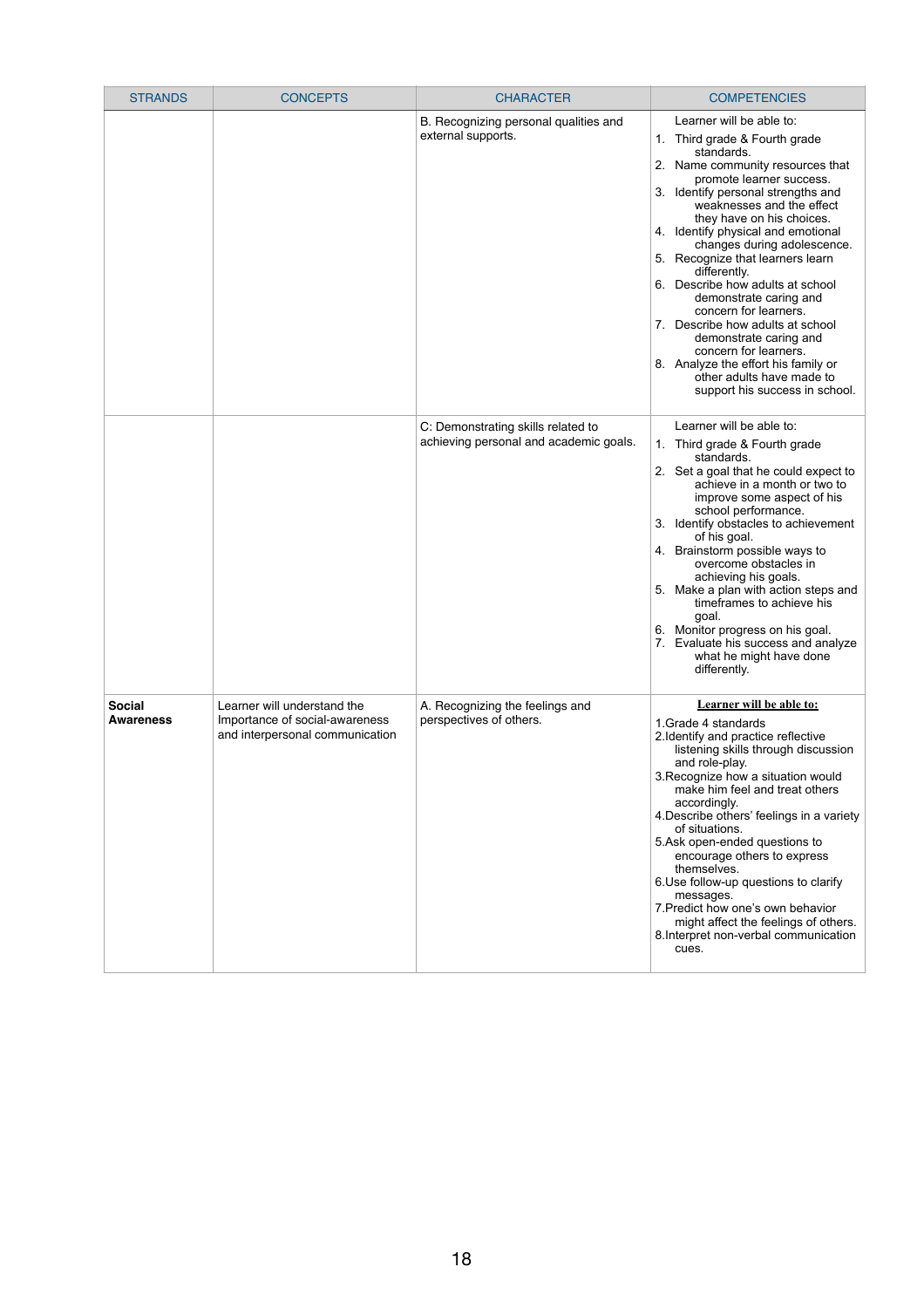| <b>STRANDS</b>                    | <b>CONCEPTS</b>                                                                                  | <b>CHARACTER</b>                                                             | <b>COMPETENCIES</b>                                                                                                                                                                                                                                                                                                                                                                                                                                                                                                                                                                                                                                  |
|-----------------------------------|--------------------------------------------------------------------------------------------------|------------------------------------------------------------------------------|------------------------------------------------------------------------------------------------------------------------------------------------------------------------------------------------------------------------------------------------------------------------------------------------------------------------------------------------------------------------------------------------------------------------------------------------------------------------------------------------------------------------------------------------------------------------------------------------------------------------------------------------------|
|                                   |                                                                                                  | B. Recognizing personal qualities and<br>external supports.                  | Learner will be able to:<br>1. Third grade & Fourth grade<br>standards.<br>2. Name community resources that<br>promote learner success.<br>3. Identify personal strengths and<br>weaknesses and the effect<br>they have on his choices.<br>4. Identify physical and emotional<br>changes during adolescence.<br>5. Recognize that learners learn<br>differently.<br>6. Describe how adults at school<br>demonstrate caring and<br>concern for learners.<br>7. Describe how adults at school<br>demonstrate caring and<br>concern for learners.<br>8. Analyze the effort his family or<br>other adults have made to<br>support his success in school. |
|                                   |                                                                                                  | C: Demonstrating skills related to<br>achieving personal and academic goals. | Learner will be able to:<br>1. Third grade & Fourth grade<br>standards.<br>2. Set a goal that he could expect to<br>achieve in a month or two to<br>improve some aspect of his<br>school performance.<br>3. Identify obstacles to achievement<br>of his goal.<br>4. Brainstorm possible ways to<br>overcome obstacles in<br>achieving his goals.<br>5. Make a plan with action steps and<br>timeframes to achieve his<br>goal.<br>6. Monitor progress on his goal.<br>7. Evaluate his success and analyze<br>what he might have done<br>differently.                                                                                                 |
| <b>Social</b><br><b>Awareness</b> | Learner will understand the<br>Importance of social-awareness<br>and interpersonal communication | A. Recognizing the feelings and<br>perspectives of others.                   | <b>Learner will be able to:</b><br>1. Grade 4 standards<br>2. Identify and practice reflective<br>listening skills through discussion<br>and role-play.<br>3. Recognize how a situation would<br>make him feel and treat others<br>accordingly.<br>4. Describe others' feelings in a variety<br>of situations.<br>5.Ask open-ended questions to<br>encourage others to express<br>themselves.<br>6. Use follow-up questions to clarify<br>messages.<br>7. Predict how one's own behavior<br>might affect the feelings of others.<br>8. Interpret non-verbal communication<br>cues.                                                                   |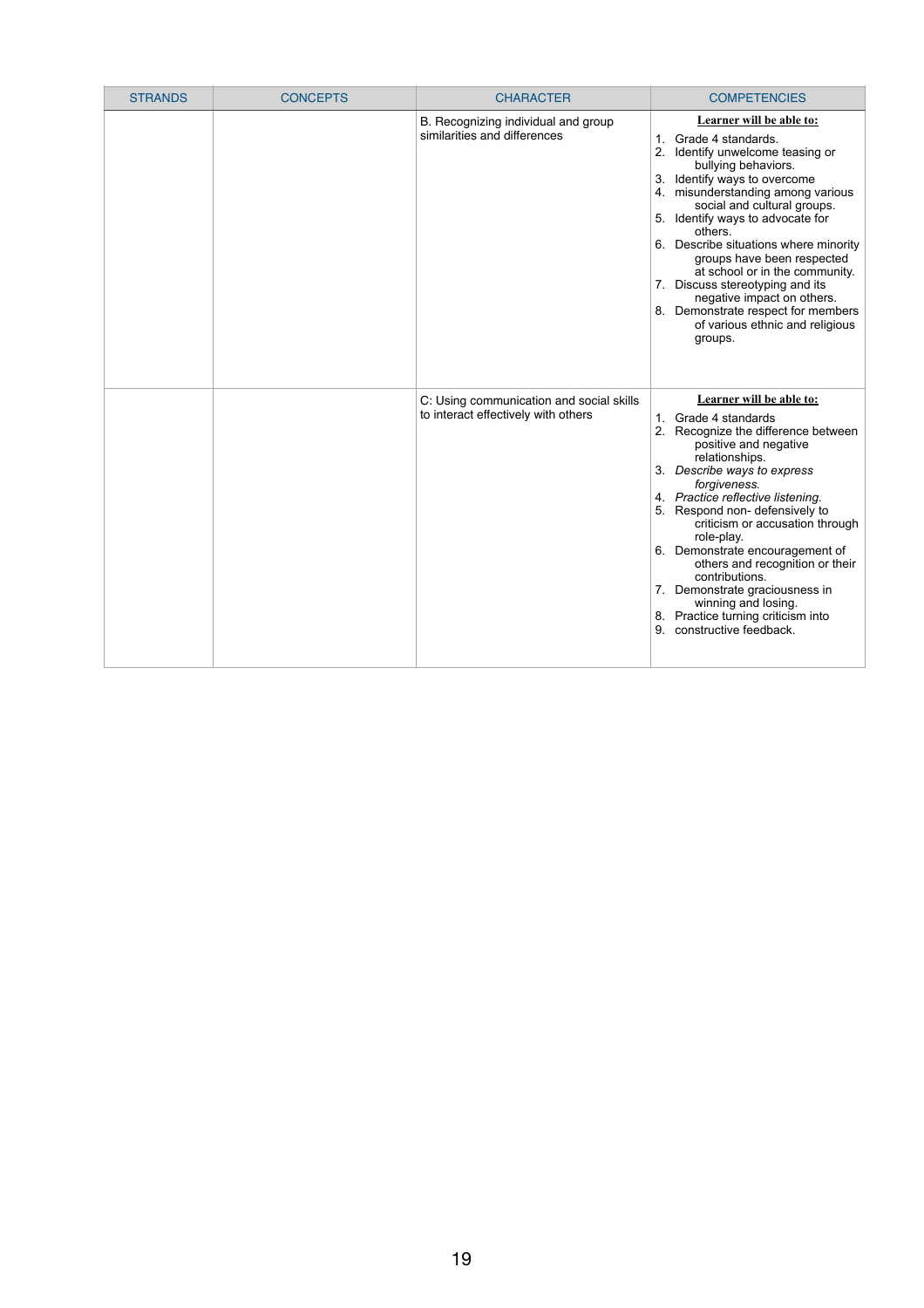| <b>STRANDS</b> | <b>CONCEPTS</b> | <b>CHARACTER</b>                                                                | <b>COMPETENCIES</b>                                                                                                                                                                                                                                                                                                                                                                                                                                                                                                                  |
|----------------|-----------------|---------------------------------------------------------------------------------|--------------------------------------------------------------------------------------------------------------------------------------------------------------------------------------------------------------------------------------------------------------------------------------------------------------------------------------------------------------------------------------------------------------------------------------------------------------------------------------------------------------------------------------|
|                |                 | B. Recognizing individual and group<br>similarities and differences             | <b>Learner will be able to:</b><br>1. Grade 4 standards.<br>2. Identify unwelcome teasing or<br>bullying behaviors.<br>3. Identify ways to overcome<br>4. misunderstanding among various<br>social and cultural groups.<br>5. Identify ways to advocate for<br>others.<br>6. Describe situations where minority<br>groups have been respected<br>at school or in the community.<br>7. Discuss stereotyping and its<br>negative impact on others.<br>8. Demonstrate respect for members<br>of various ethnic and religious<br>groups. |
|                |                 | C: Using communication and social skills<br>to interact effectively with others | Learner will be able to:<br>1. Grade 4 standards<br>2. Recognize the difference between<br>positive and negative<br>relationships.<br>3. Describe ways to express<br>forgiveness.<br>4. Practice reflective listening.<br>5. Respond non-defensively to<br>criticism or accusation through<br>role-play.<br>6. Demonstrate encouragement of<br>others and recognition or their<br>contributions.<br>7. Demonstrate graciousness in<br>winning and losing.<br>8. Practice turning criticism into<br>9. constructive feedback.         |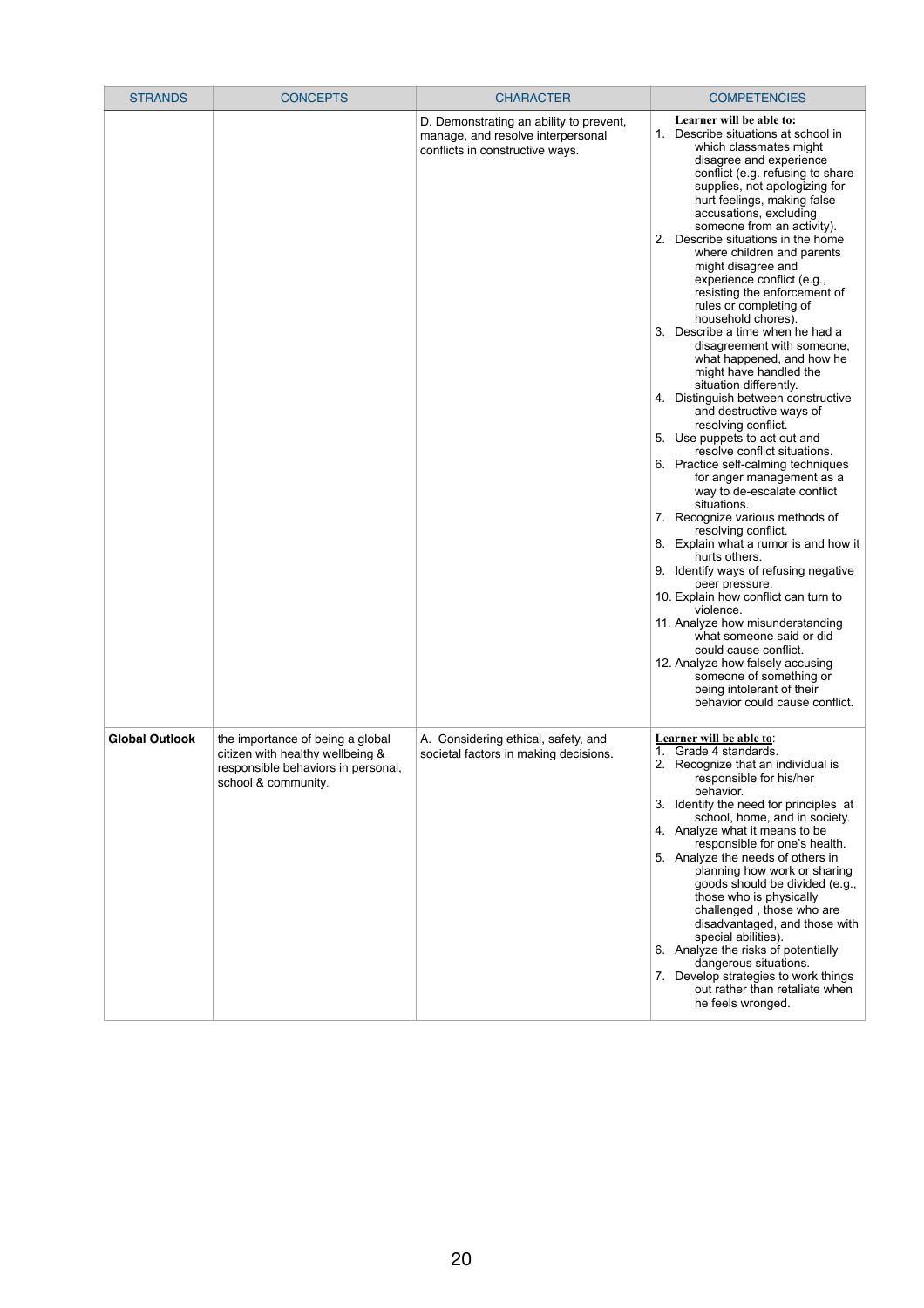| <b>STRANDS</b>        | <b>CONCEPTS</b>                                                                                                                   | <b>CHARACTER</b>                                                                                                | <b>COMPETENCIES</b>                                                                                                                                                                                                                                                                                                                                                                                                                                                                                                                                                                                                                                                                                                                                                                                                                                                                                                                                                                                                                                                                                                                                                                                                                                                                                                                                                                |
|-----------------------|-----------------------------------------------------------------------------------------------------------------------------------|-----------------------------------------------------------------------------------------------------------------|------------------------------------------------------------------------------------------------------------------------------------------------------------------------------------------------------------------------------------------------------------------------------------------------------------------------------------------------------------------------------------------------------------------------------------------------------------------------------------------------------------------------------------------------------------------------------------------------------------------------------------------------------------------------------------------------------------------------------------------------------------------------------------------------------------------------------------------------------------------------------------------------------------------------------------------------------------------------------------------------------------------------------------------------------------------------------------------------------------------------------------------------------------------------------------------------------------------------------------------------------------------------------------------------------------------------------------------------------------------------------------|
|                       |                                                                                                                                   | D. Demonstrating an ability to prevent,<br>manage, and resolve interpersonal<br>conflicts in constructive ways. | Learner will be able to:<br>1. Describe situations at school in<br>which classmates might<br>disagree and experience<br>conflict (e.g. refusing to share<br>supplies, not apologizing for<br>hurt feelings, making false<br>accusations, excluding<br>someone from an activity).<br>2. Describe situations in the home<br>where children and parents<br>might disagree and<br>experience conflict (e.g.,<br>resisting the enforcement of<br>rules or completing of<br>household chores).<br>3. Describe a time when he had a<br>disagreement with someone,<br>what happened, and how he<br>might have handled the<br>situation differently.<br>4. Distinguish between constructive<br>and destructive ways of<br>resolving conflict.<br>5. Use puppets to act out and<br>resolve conflict situations.<br>6. Practice self-calming techniques<br>for anger management as a<br>way to de-escalate conflict<br>situations.<br>7. Recognize various methods of<br>resolving conflict.<br>8. Explain what a rumor is and how it<br>hurts others.<br>9. Identify ways of refusing negative<br>peer pressure.<br>10. Explain how conflict can turn to<br>violence.<br>11. Analyze how misunderstanding<br>what someone said or did<br>could cause conflict.<br>12. Analyze how falsely accusing<br>someone of something or<br>being intolerant of their<br>behavior could cause conflict. |
| <b>Global Outlook</b> | the importance of being a global<br>citizen with healthy wellbeing &<br>responsible behaviors in personal,<br>school & community. | A. Considering ethical, safety, and<br>societal factors in making decisions.                                    | <b>Learner will be able to:</b><br>Grade 4 standards.<br>$1_{-}$<br>2. Recognize that an individual is<br>responsible for his/her<br>behavior.<br>Identify the need for principles at<br>3.<br>school, home, and in society.<br>4. Analyze what it means to be<br>responsible for one's health.<br>5. Analyze the needs of others in<br>planning how work or sharing<br>goods should be divided (e.g.,<br>those who is physically<br>challenged, those who are<br>disadvantaged, and those with<br>special abilities).<br>6. Analyze the risks of potentially<br>dangerous situations.<br>7. Develop strategies to work things<br>out rather than retaliate when                                                                                                                                                                                                                                                                                                                                                                                                                                                                                                                                                                                                                                                                                                                   |

| he feels wronged. |
|-------------------|
|-------------------|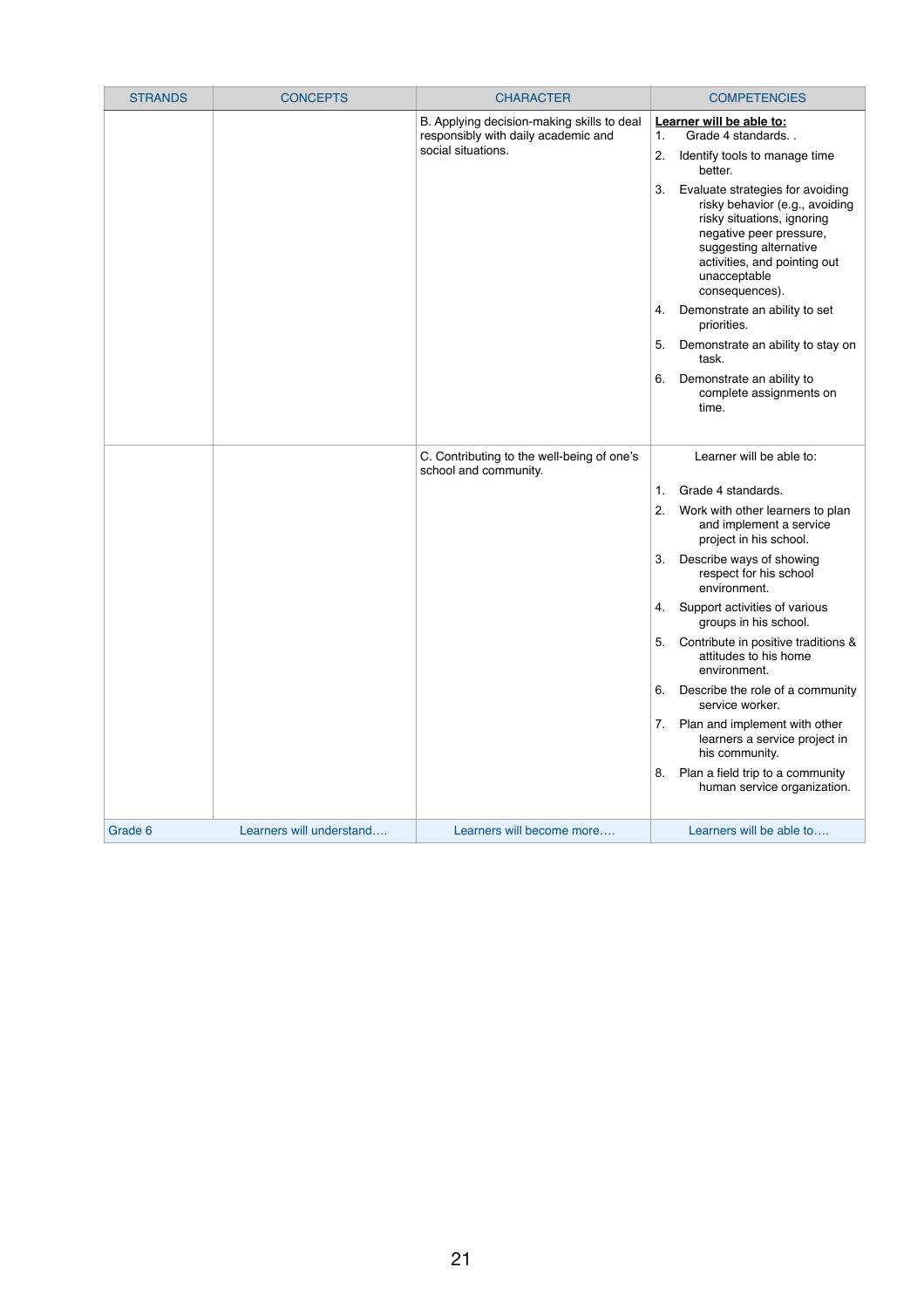| <b>STRANDS</b> | <b>CONCEPTS</b>          | <b>CHARACTER</b>                                                                                        | <b>COMPETENCIES</b>                                                                                                                                                                                                                                                                                                                                                                                                                                                                                                                                                                                                   |
|----------------|--------------------------|---------------------------------------------------------------------------------------------------------|-----------------------------------------------------------------------------------------------------------------------------------------------------------------------------------------------------------------------------------------------------------------------------------------------------------------------------------------------------------------------------------------------------------------------------------------------------------------------------------------------------------------------------------------------------------------------------------------------------------------------|
|                |                          | B. Applying decision-making skills to deal<br>responsibly with daily academic and<br>social situations. | Learner will be able to:<br>Grade 4 standards<br>1.<br>2.<br>Identify tools to manage time<br>better.<br>Evaluate strategies for avoiding<br>3.<br>risky behavior (e.g., avoiding<br>risky situations, ignoring<br>negative peer pressure,<br>suggesting alternative<br>activities, and pointing out<br>unacceptable<br>consequences).<br>Demonstrate an ability to set<br>4.<br>priorities.<br>5.<br>Demonstrate an ability to stay on<br>task.<br>6.<br>Demonstrate an ability to<br>complete assignments on<br>time.                                                                                               |
|                |                          | C. Contributing to the well-being of one's<br>school and community.                                     | Learner will be able to:<br>Grade 4 standards.<br>1.<br>2.<br>Work with other learners to plan<br>and implement a service<br>project in his school.<br>Describe ways of showing<br>3.<br>respect for his school<br>environment.<br>Support activities of various<br>4.<br>groups in his school.<br>5.<br>Contribute in positive traditions &<br>attitudes to his home<br>environment.<br>Describe the role of a community<br>6.<br>service worker.<br>Plan and implement with other<br>7.<br>learners a service project in<br>his community.<br>Plan a field trip to a community<br>8.<br>human service organization. |
| Grade 6        | Learners will understand | Learners will become more                                                                               | Learners will be able to                                                                                                                                                                                                                                                                                                                                                                                                                                                                                                                                                                                              |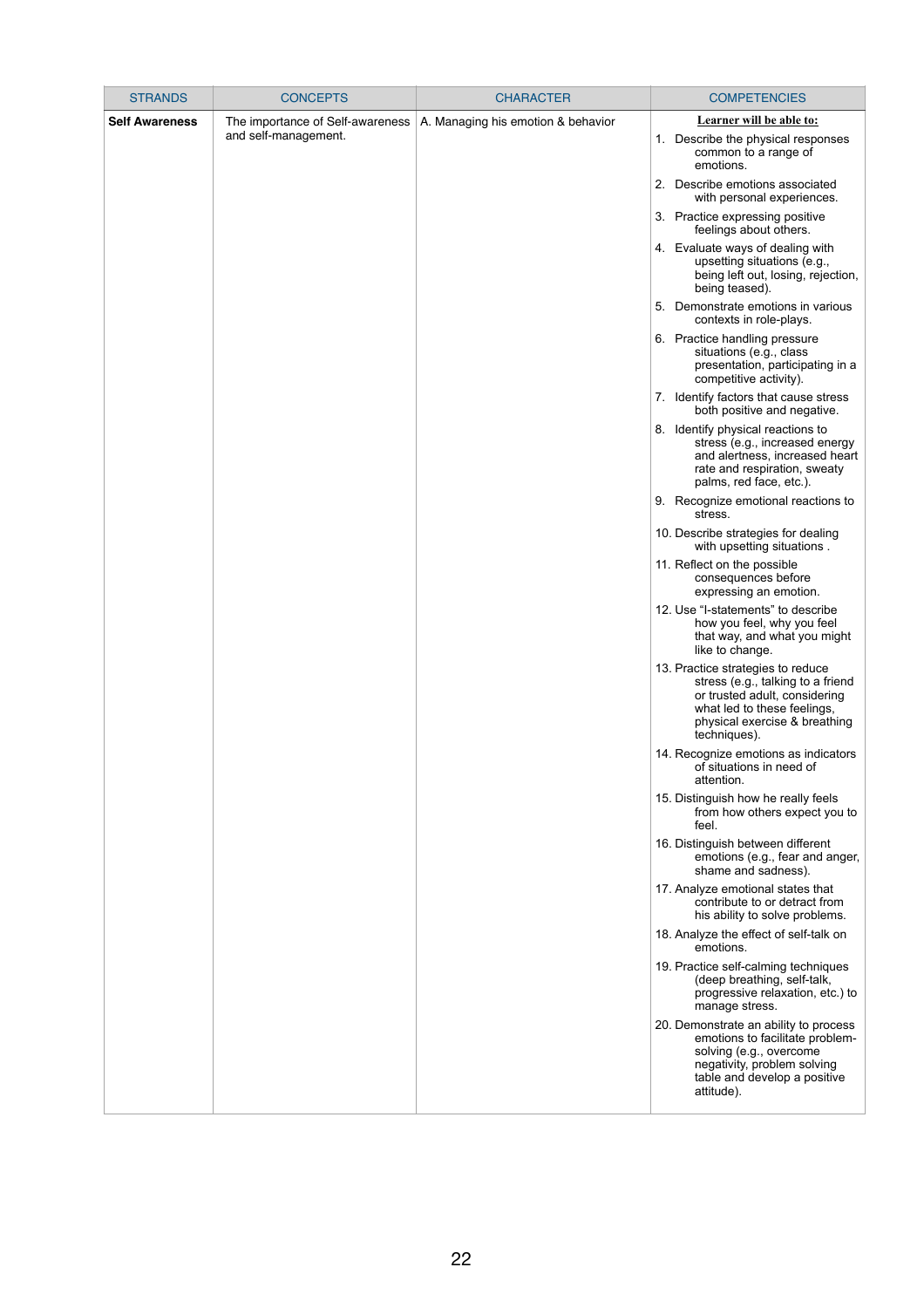| <b>STRANDS</b>        | <b>CONCEPTS</b>                  | <b>CHARACTER</b>                   | <b>COMPETENCIES</b>                                                                                                                                                                     |
|-----------------------|----------------------------------|------------------------------------|-----------------------------------------------------------------------------------------------------------------------------------------------------------------------------------------|
| <b>Self Awareness</b> | The importance of Self-awareness | A. Managing his emotion & behavior | Learner will be able to:                                                                                                                                                                |
|                       | and self-management.             |                                    | Describe the physical responses<br>1.<br>common to a range of<br>emotions.                                                                                                              |
|                       |                                  |                                    | 2. Describe emotions associated<br>with personal experiences.                                                                                                                           |
|                       |                                  |                                    | 3. Practice expressing positive<br>feelings about others.                                                                                                                               |
|                       |                                  |                                    | 4. Evaluate ways of dealing with<br>upsetting situations (e.g.,<br>being left out, losing, rejection,<br>being teased).                                                                 |
|                       |                                  |                                    | Demonstrate emotions in various<br>5.<br>contexts in role-plays.                                                                                                                        |
|                       |                                  |                                    | 6. Practice handling pressure<br>situations (e.g., class<br>presentation, participating in a<br>competitive activity).                                                                  |
|                       |                                  |                                    | 7. Identify factors that cause stress<br>both positive and negative.                                                                                                                    |
|                       |                                  |                                    | 8. Identify physical reactions to<br>stress (e.g., increased energy<br>and alertness, increased heart<br>rate and respiration, sweaty<br>palms, red face, etc.).                        |
|                       |                                  |                                    | 9. Recognize emotional reactions to<br>stress.                                                                                                                                          |
|                       |                                  |                                    | 10. Describe strategies for dealing<br>with upsetting situations.                                                                                                                       |
|                       |                                  |                                    | 11. Reflect on the possible<br>consequences before<br>expressing an emotion.                                                                                                            |
|                       |                                  |                                    | 12. Use "I-statements" to describe<br>how you feel, why you feel<br>that way, and what you might<br>like to change.                                                                     |
|                       |                                  |                                    | 13. Practice strategies to reduce<br>stress (e.g., talking to a friend<br>or trusted adult, considering<br>what led to these feelings,<br>physical exercise & breathing<br>techniques). |
|                       |                                  |                                    | 14. Recognize emotions as indicators<br>of situations in need of<br>attention.                                                                                                          |
|                       |                                  |                                    | 15. Distinguish how he really feels<br>from how others expect you to<br>feel.                                                                                                           |
|                       |                                  |                                    | 16. Distinguish between different<br>emotions (e.g., fear and anger,<br>shame and sadness).                                                                                             |
|                       |                                  |                                    | 17. Analyze emotional states that<br>contribute to or detract from<br>his ability to solve problems.                                                                                    |
|                       |                                  |                                    | 18. Analyze the effect of self-talk on<br>emotions.                                                                                                                                     |
|                       |                                  |                                    | 19. Practice self-calming techniques<br>(deep breathing, self-talk,                                                                                                                     |

|  | progressive relaxation, etc.) to<br>manage stress.                                                                                                                               |
|--|----------------------------------------------------------------------------------------------------------------------------------------------------------------------------------|
|  | 20. Demonstrate an ability to process<br>emotions to facilitate problem-<br>solving (e.g., overcome<br>negativity, problem solving<br>table and develop a positive<br>attitude). |
|  |                                                                                                                                                                                  |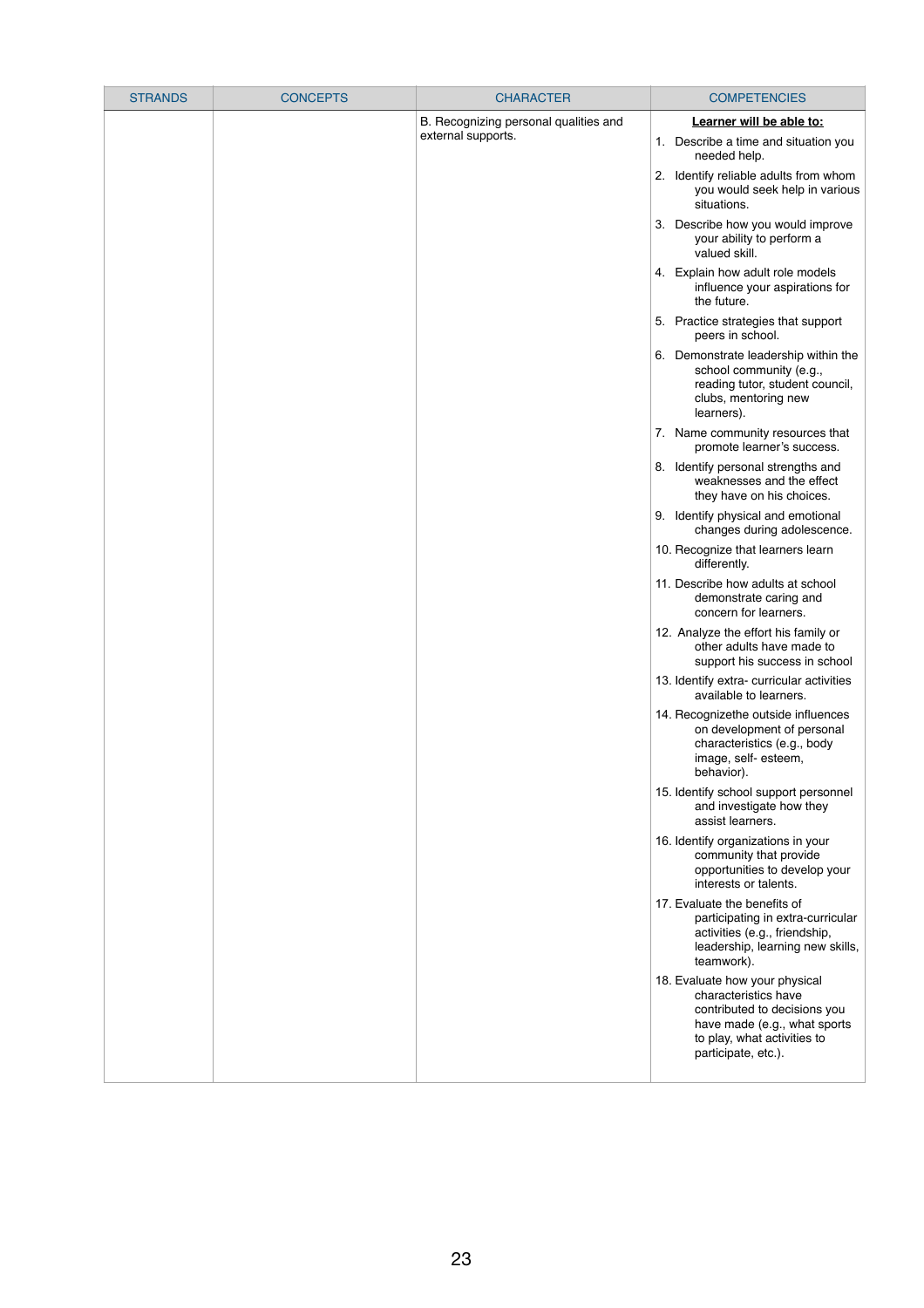| <b>STRANDS</b> | <b>CONCEPTS</b> | <b>CHARACTER</b>                      | <b>COMPETENCIES</b>                                                                                                                                  |
|----------------|-----------------|---------------------------------------|------------------------------------------------------------------------------------------------------------------------------------------------------|
|                |                 | B. Recognizing personal qualities and | Learner will be able to:                                                                                                                             |
|                |                 | external supports.                    | 1. Describe a time and situation you<br>needed help.                                                                                                 |
|                |                 |                                       | 2. Identify reliable adults from whom<br>you would seek help in various<br>situations.                                                               |
|                |                 |                                       | 3. Describe how you would improve<br>your ability to perform a<br>valued skill.                                                                      |
|                |                 |                                       | 4. Explain how adult role models<br>influence your aspirations for<br>the future.                                                                    |
|                |                 |                                       | 5. Practice strategies that support<br>peers in school.                                                                                              |
|                |                 |                                       | 6. Demonstrate leadership within the<br>school community (e.g.,<br>reading tutor, student council,<br>clubs, mentoring new<br>learners).             |
|                |                 |                                       | 7. Name community resources that<br>promote learner's success.                                                                                       |
|                |                 |                                       | 8. Identify personal strengths and<br>weaknesses and the effect<br>they have on his choices.                                                         |
|                |                 |                                       | 9. Identify physical and emotional<br>changes during adolescence.                                                                                    |
|                |                 |                                       | 10. Recognize that learners learn<br>differently.                                                                                                    |
|                |                 |                                       | 11. Describe how adults at school<br>demonstrate caring and<br>concern for learners.                                                                 |
|                |                 |                                       | 12. Analyze the effort his family or<br>other adults have made to<br>support his success in school                                                   |
|                |                 |                                       | 13. Identify extra-curricular activities<br>available to learners.                                                                                   |
|                |                 |                                       | 14. Recognizethe outside influences<br>on development of personal<br>characteristics (e.g., body<br>image, self-esteem,<br>behavior).                |
|                |                 |                                       | 15. Identify school support personnel<br>and investigate how they<br>assist learners.                                                                |
|                |                 |                                       | 16. Identify organizations in your<br>community that provide<br>opportunities to develop your<br>interests or talents.                               |
|                |                 |                                       | 17. Evaluate the benefits of<br>participating in extra-curricular<br>activities (e.g., friendship,<br>leadership, learning new skills,<br>teamwork). |
|                |                 |                                       | 18. Evaluate how your physical                                                                                                                       |

|  | characteristics have         |  |
|--|------------------------------|--|
|  | contributed to decisions you |  |
|  | have made (e.g., what sports |  |
|  | to play, what activities to  |  |
|  | participate, etc.).          |  |
|  |                              |  |
|  |                              |  |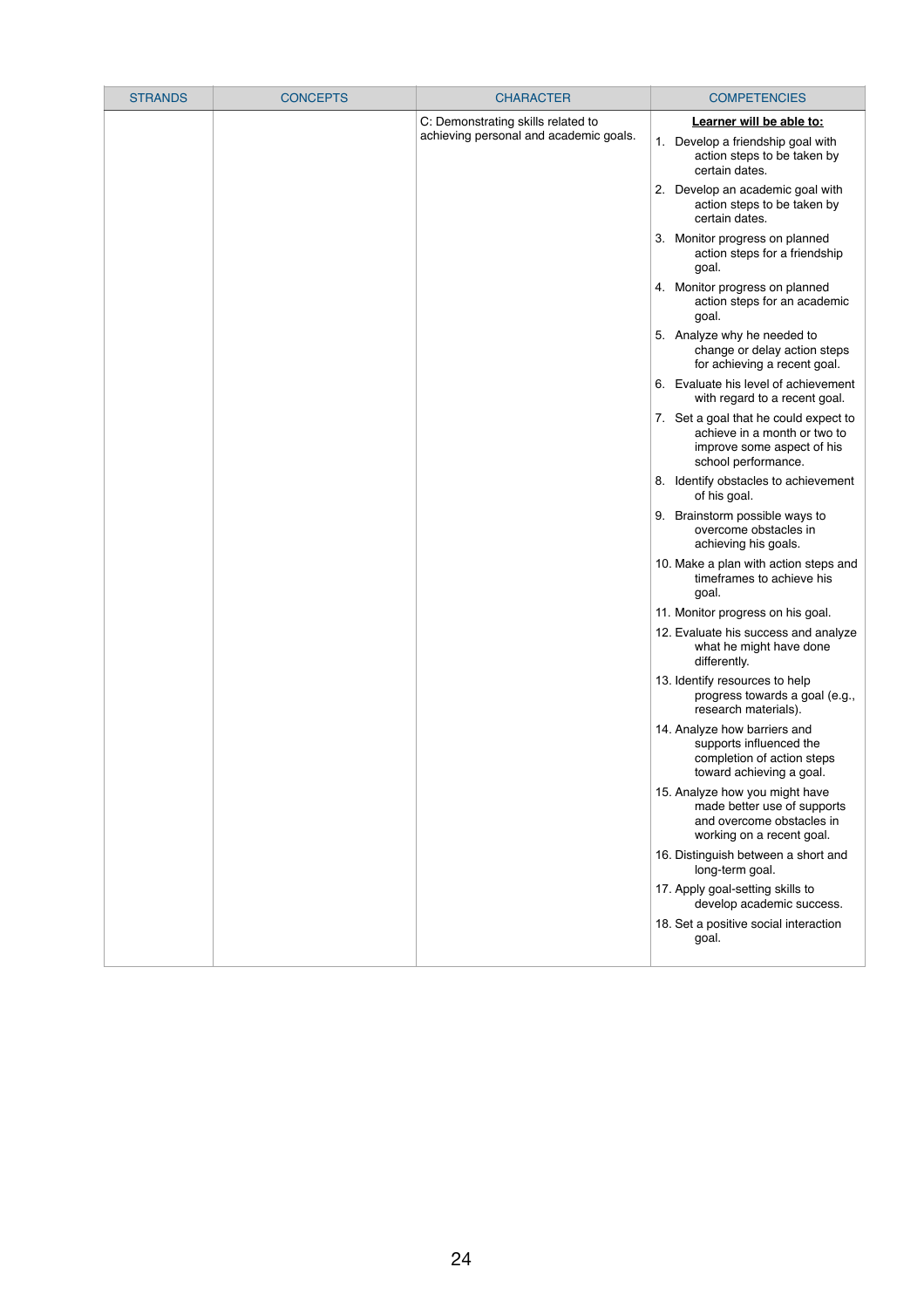| <b>STRANDS</b> | <b>CONCEPTS</b> | <b>CHARACTER</b>                       |    | <b>COMPETENCIES</b>                                                                                                        |
|----------------|-----------------|----------------------------------------|----|----------------------------------------------------------------------------------------------------------------------------|
|                |                 | C: Demonstrating skills related to     |    | Learner will be able to:                                                                                                   |
|                |                 | achieving personal and academic goals. |    | 1. Develop a friendship goal with<br>action steps to be taken by<br>certain dates.                                         |
|                |                 |                                        | 2. | Develop an academic goal with<br>action steps to be taken by<br>certain dates.                                             |
|                |                 |                                        |    | 3. Monitor progress on planned<br>action steps for a friendship<br>goal.                                                   |
|                |                 |                                        |    | 4. Monitor progress on planned<br>action steps for an academic<br>goal.                                                    |
|                |                 |                                        |    | 5. Analyze why he needed to<br>change or delay action steps<br>for achieving a recent goal.                                |
|                |                 |                                        |    | 6. Evaluate his level of achievement<br>with regard to a recent goal.                                                      |
|                |                 |                                        |    | 7. Set a goal that he could expect to<br>achieve in a month or two to<br>improve some aspect of his<br>school performance. |
|                |                 |                                        | 8. | Identify obstacles to achievement<br>of his goal.                                                                          |
|                |                 |                                        |    | 9. Brainstorm possible ways to<br>overcome obstacles in<br>achieving his goals.                                            |
|                |                 |                                        |    | 10. Make a plan with action steps and<br>timeframes to achieve his<br>goal.                                                |
|                |                 |                                        |    | 11. Monitor progress on his goal.                                                                                          |
|                |                 |                                        |    | 12. Evaluate his success and analyze<br>what he might have done<br>differently.                                            |
|                |                 |                                        |    | 13. Identify resources to help<br>progress towards a goal (e.g.,<br>research materials).                                   |
|                |                 |                                        |    | 14. Analyze how barriers and<br>supports influenced the<br>completion of action steps<br>toward achieving a goal.          |
|                |                 |                                        |    | 15. Analyze how you might have<br>made better use of supports<br>and overcome obstacles in<br>working on a recent goal.    |
|                |                 |                                        |    | 16. Distinguish between a short and<br>long-term goal.                                                                     |
|                |                 |                                        |    | 17. Apply goal-setting skills to<br>develop academic success.                                                              |
|                |                 |                                        |    | 18. Set a positive social interaction<br>goal.                                                                             |

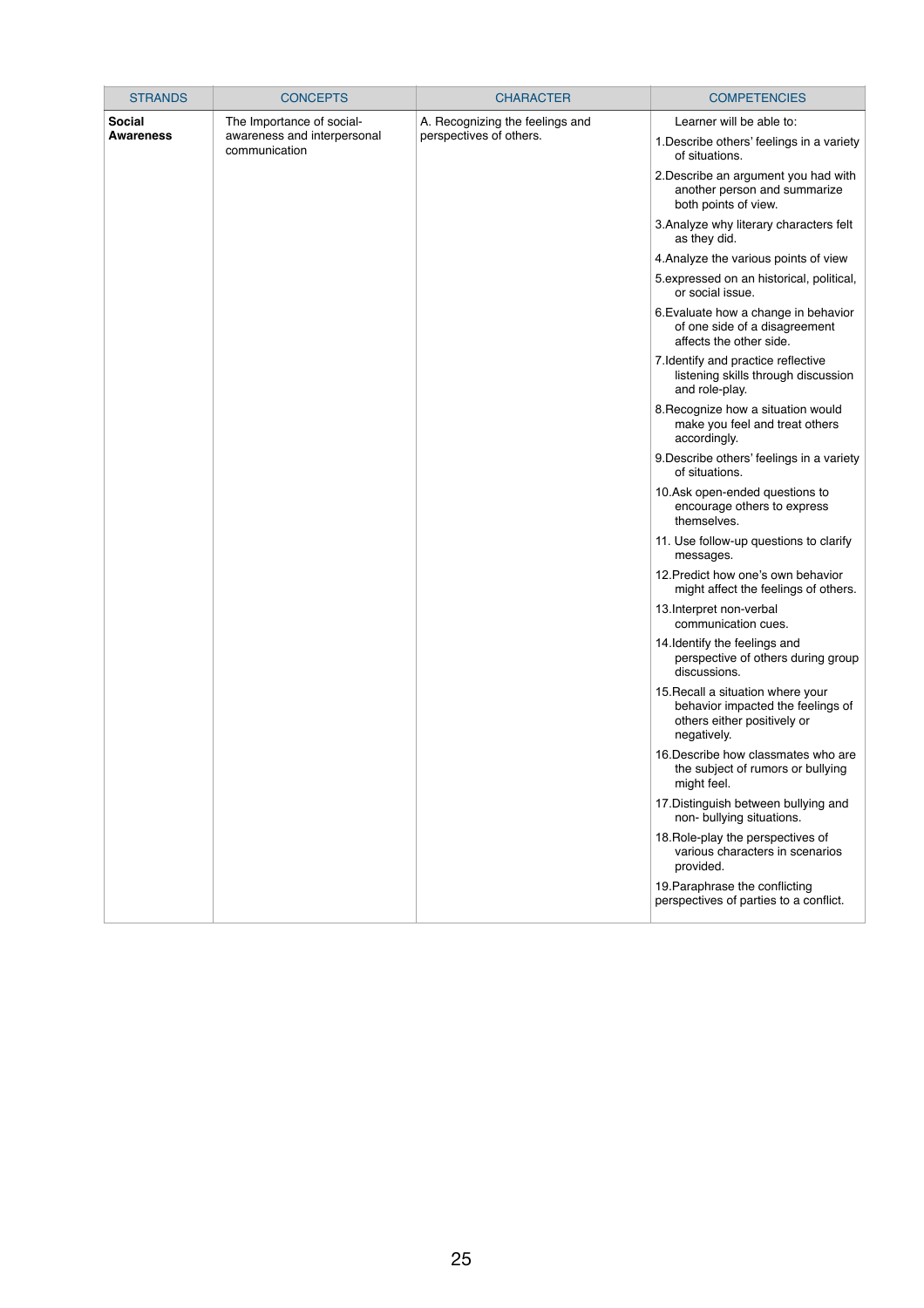| <b>STRANDS</b>   | <b>CONCEPTS</b>                              | <b>CHARACTER</b>                | <b>COMPETENCIES</b>                                                                                                  |
|------------------|----------------------------------------------|---------------------------------|----------------------------------------------------------------------------------------------------------------------|
| <b>Social</b>    | The Importance of social-                    | A. Recognizing the feelings and | Learner will be able to:                                                                                             |
| <b>Awareness</b> | awareness and interpersonal<br>communication | perspectives of others.         | 1. Describe others' feelings in a variety<br>of situations.                                                          |
|                  |                                              |                                 | 2. Describe an argument you had with<br>another person and summarize<br>both points of view.                         |
|                  |                                              |                                 | 3. Analyze why literary characters felt<br>as they did.                                                              |
|                  |                                              |                                 | 4. Analyze the various points of view                                                                                |
|                  |                                              |                                 | 5. expressed on an historical, political,<br>or social issue.                                                        |
|                  |                                              |                                 | 6. Evaluate how a change in behavior<br>of one side of a disagreement<br>affects the other side.                     |
|                  |                                              |                                 | 7. Identify and practice reflective<br>listening skills through discussion<br>and role-play.                         |
|                  |                                              |                                 | 8. Recognize how a situation would<br>make you feel and treat others<br>accordingly.                                 |
|                  |                                              |                                 | 9. Describe others' feelings in a variety<br>of situations.                                                          |
|                  |                                              |                                 | 10.Ask open-ended questions to<br>encourage others to express<br>themselves.                                         |
|                  |                                              |                                 | 11. Use follow-up questions to clarify<br>messages.                                                                  |
|                  |                                              |                                 | 12. Predict how one's own behavior<br>might affect the feelings of others.                                           |
|                  |                                              |                                 | 13. Interpret non-verbal<br>communication cues.                                                                      |
|                  |                                              |                                 | 14. Identify the feelings and<br>perspective of others during group<br>discussions.                                  |
|                  |                                              |                                 | 15. Recall a situation where your<br>behavior impacted the feelings of<br>others either positively or<br>negatively. |
|                  |                                              |                                 | 16. Describe how classmates who are<br>the subject of rumors or bullying<br>might feel.                              |
|                  |                                              |                                 | 17. Distinguish between bullying and<br>non- bullying situations.                                                    |
|                  |                                              |                                 | 18. Role-play the perspectives of<br>various characters in scenarios<br>provided.                                    |
|                  |                                              |                                 | 19. Paraphrase the conflicting<br>perspectives of parties to a conflict.                                             |
|                  |                                              |                                 |                                                                                                                      |

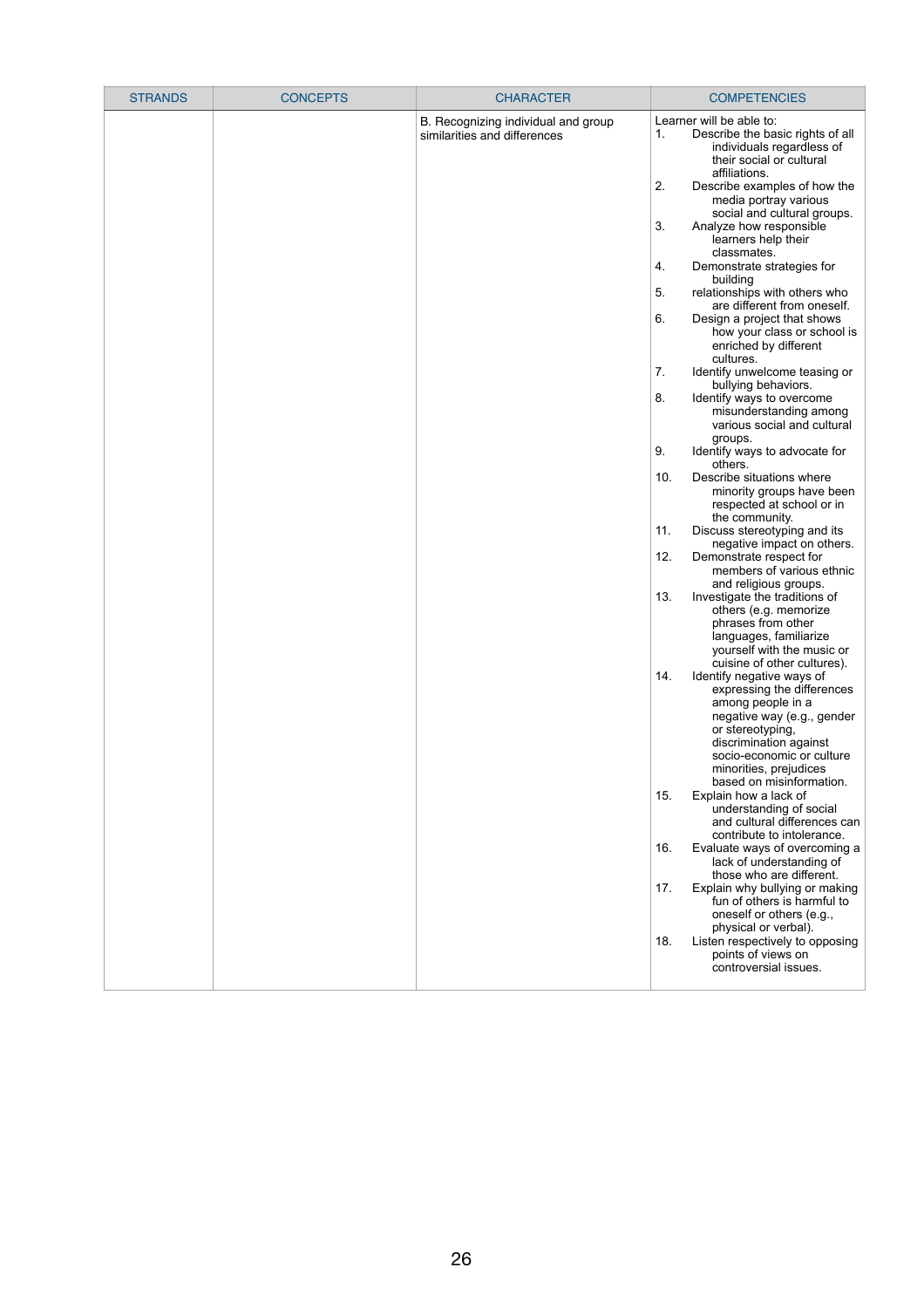| <b>STRANDS</b> | <b>CONCEPTS</b> | <b>CHARACTER</b>                                                    | <b>COMPETENCIES</b>                                                                                                                                                                                                                                                                                                                                                                                                                                                                                                                                                                                                                                                                                                                                                                                                                                                                                                                                                                                                                                                                                                                                                                                                                                                                                                                                                                                                                                                                                                                                                                                                                                                                                                                                                                                                                                                                      |
|----------------|-----------------|---------------------------------------------------------------------|------------------------------------------------------------------------------------------------------------------------------------------------------------------------------------------------------------------------------------------------------------------------------------------------------------------------------------------------------------------------------------------------------------------------------------------------------------------------------------------------------------------------------------------------------------------------------------------------------------------------------------------------------------------------------------------------------------------------------------------------------------------------------------------------------------------------------------------------------------------------------------------------------------------------------------------------------------------------------------------------------------------------------------------------------------------------------------------------------------------------------------------------------------------------------------------------------------------------------------------------------------------------------------------------------------------------------------------------------------------------------------------------------------------------------------------------------------------------------------------------------------------------------------------------------------------------------------------------------------------------------------------------------------------------------------------------------------------------------------------------------------------------------------------------------------------------------------------------------------------------------------------|
|                |                 | B. Recognizing individual and group<br>similarities and differences | Learner will be able to:<br>1.<br>Describe the basic rights of all<br>individuals regardless of<br>their social or cultural<br>affiliations.<br>2.<br>Describe examples of how the<br>media portray various<br>social and cultural groups.<br>3.<br>Analyze how responsible<br>learners help their<br>classmates.<br>Demonstrate strategies for<br>4.<br>building<br>relationships with others who<br>5.<br>are different from oneself.<br>6.<br>Design a project that shows<br>how your class or school is<br>enriched by different<br>cultures.<br>7.<br>Identify unwelcome teasing or<br>bullying behaviors.<br>Identify ways to overcome<br>8.<br>misunderstanding among<br>various social and cultural<br>groups.<br>Identify ways to advocate for<br>9.<br>others.<br>Describe situations where<br>10.<br>minority groups have been<br>respected at school or in<br>the community.<br>Discuss stereotyping and its<br>11.<br>negative impact on others.<br>12.<br>Demonstrate respect for<br>members of various ethnic<br>and religious groups.<br>13.<br>Investigate the traditions of<br>others (e.g. memorize<br>phrases from other<br>languages, familiarize<br>yourself with the music or<br>cuisine of other cultures).<br>14.<br>Identify negative ways of<br>expressing the differences<br>among people in a<br>negative way (e.g., gender<br>or stereotyping,<br>discrimination against<br>socio-economic or culture<br>minorities, prejudices<br>based on misinformation.<br>Explain how a lack of<br>15.<br>understanding of social<br>and cultural differences can<br>contribute to intolerance.<br>16.<br>Evaluate ways of overcoming a<br>lack of understanding of<br>those who are different.<br>17.<br>Explain why bullying or making<br>fun of others is harmful to<br>oneself or others (e.g.,<br>physical or verbal).<br>18.<br>Listen respectively to opposing |
|                |                 |                                                                     | points of views on<br>controversial issues.                                                                                                                                                                                                                                                                                                                                                                                                                                                                                                                                                                                                                                                                                                                                                                                                                                                                                                                                                                                                                                                                                                                                                                                                                                                                                                                                                                                                                                                                                                                                                                                                                                                                                                                                                                                                                                              |

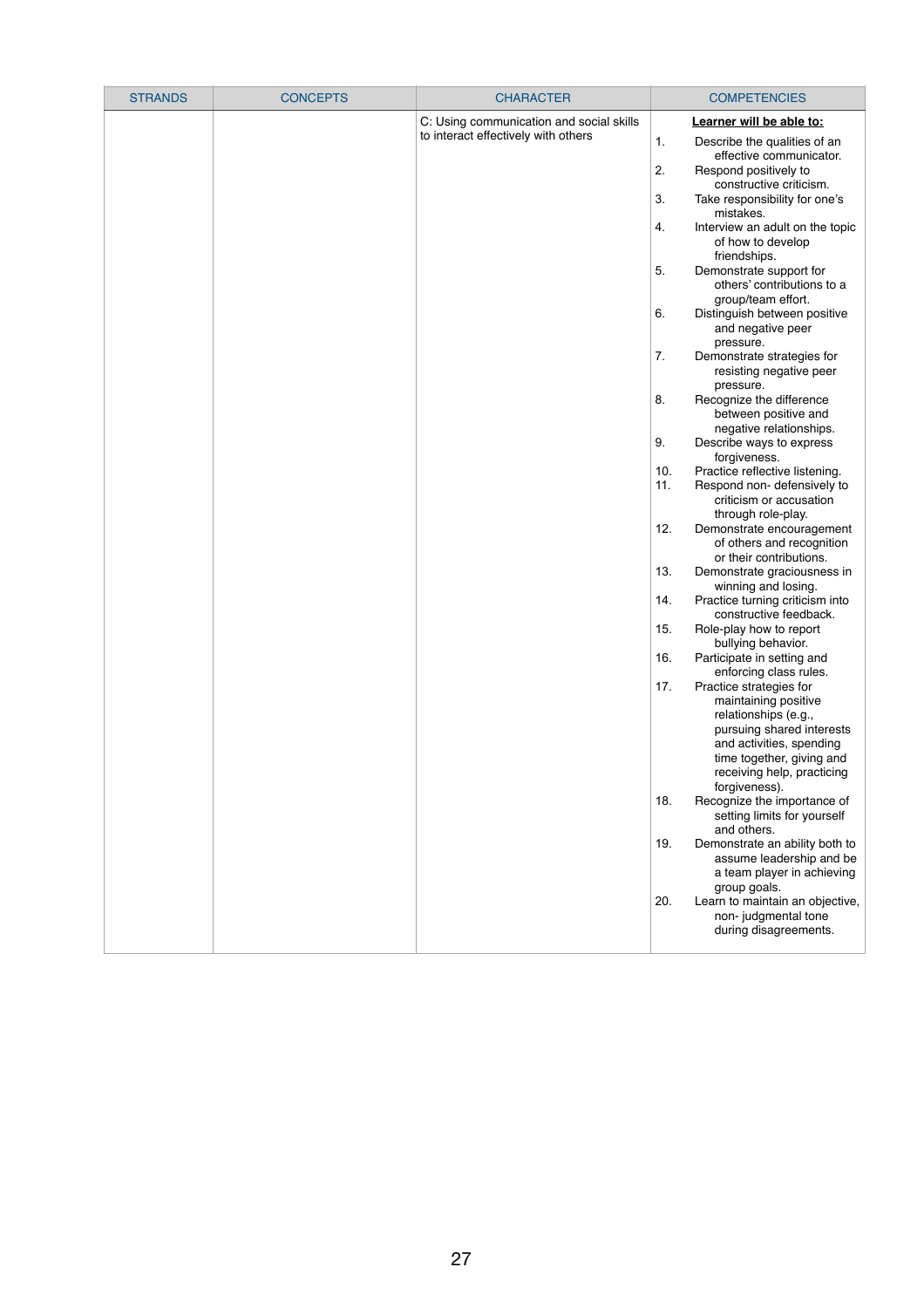| <b>STRANDS</b> | <b>CONCEPTS</b> | <b>CHARACTER</b>                         | <b>COMPETENCIES</b>                                                                                              |
|----------------|-----------------|------------------------------------------|------------------------------------------------------------------------------------------------------------------|
|                |                 | C: Using communication and social skills | Learner will be able to:                                                                                         |
|                |                 | to interact effectively with others      | 1.<br>Describe the qualities of an<br>effective communicator.                                                    |
|                |                 |                                          | 2.<br>Respond positively to<br>constructive criticism.                                                           |
|                |                 |                                          | 3.<br>Take responsibility for one's<br>mistakes.                                                                 |
|                |                 |                                          | Interview an adult on the topic<br>4.<br>of how to develop<br>friendships.                                       |
|                |                 |                                          | 5.<br>Demonstrate support for<br>others' contributions to a<br>group/team effort.                                |
|                |                 |                                          | 6.<br>Distinguish between positive<br>and negative peer                                                          |
|                |                 |                                          | pressure.<br>7.<br>Demonstrate strategies for<br>resisting negative peer                                         |
|                |                 |                                          | pressure.<br>8.<br>Recognize the difference<br>between positive and                                              |
|                |                 |                                          | negative relationships.<br>Describe ways to express<br>9.<br>forgiveness.                                        |
|                |                 |                                          | 10.<br>Practice reflective listening.<br>11.<br>Respond non-defensively to<br>criticism or accusation            |
|                |                 |                                          | through role-play.<br>12.<br>Demonstrate encouragement<br>of others and recognition<br>or their contributions.   |
|                |                 |                                          | 13.<br>Demonstrate graciousness in<br>winning and losing.                                                        |
|                |                 |                                          | Practice turning criticism into<br>14.<br>constructive feedback.                                                 |
|                |                 |                                          | 15.<br>Role-play how to report<br>bullying behavior.                                                             |
|                |                 |                                          | 16.<br>Participate in setting and<br>enforcing class rules.                                                      |
|                |                 |                                          | Practice strategies for<br>17.<br>maintaining positive<br>relationships (e.g.,                                   |
|                |                 |                                          | pursuing shared interests<br>and activities, spending<br>time together, giving and<br>receiving help, practicing |
|                |                 |                                          | forgiveness).<br>18.<br>Recognize the importance of<br>setting limits for yourself                               |
|                |                 |                                          | and others.<br>19.<br>Demonstrate an ability both to<br>assume leadership and be<br>a team player in achieving   |
|                |                 |                                          | group goals.<br>20.<br>Learn to maintain an objective,<br>non-judgmental tone                                    |
|                |                 |                                          | during disagreements.                                                                                            |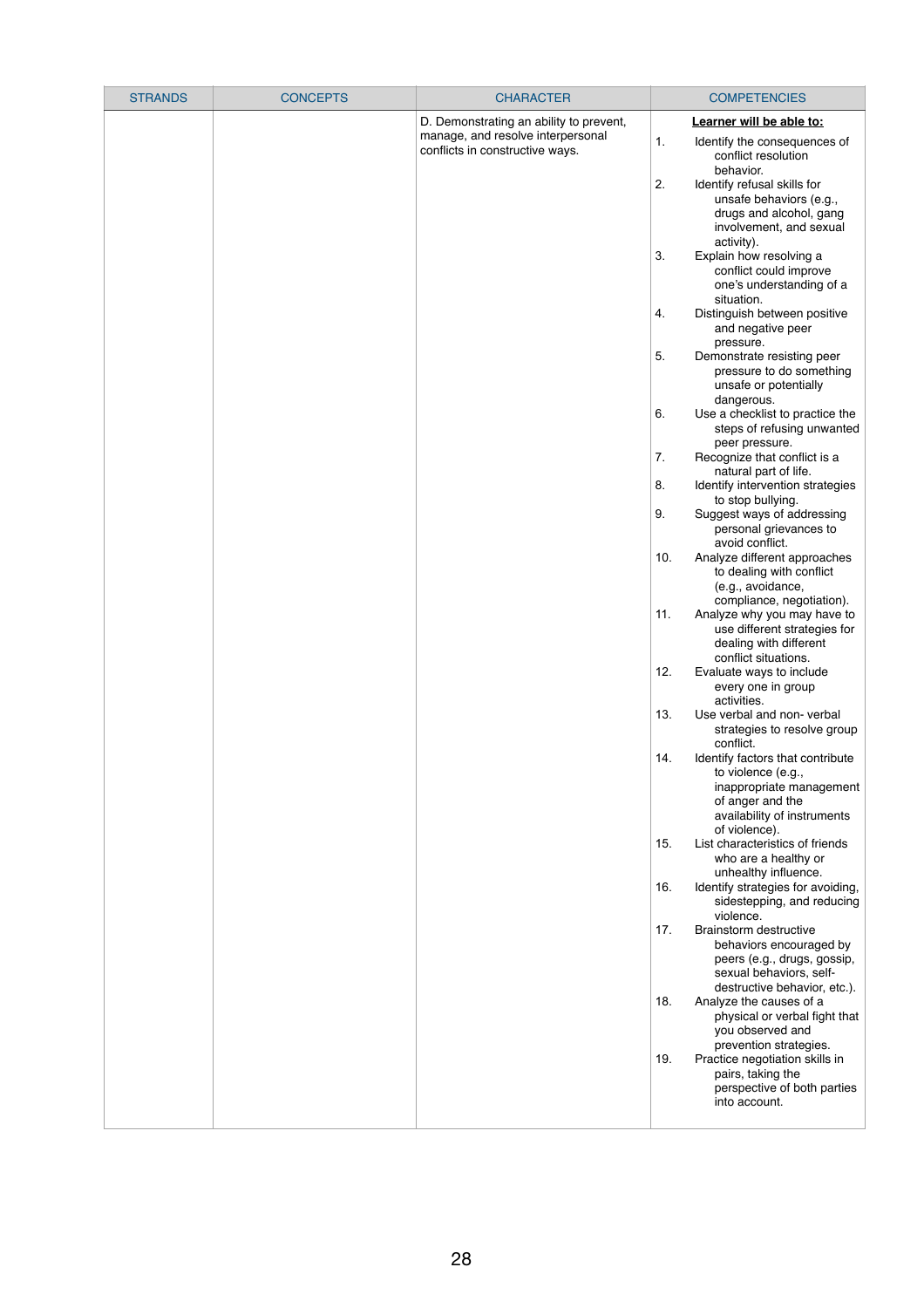| <b>STRANDS</b> | <b>CONCEPTS</b> | <b>CHARACTER</b>                                                     |     | <b>COMPETENCIES</b>                                                                                                                                    |
|----------------|-----------------|----------------------------------------------------------------------|-----|--------------------------------------------------------------------------------------------------------------------------------------------------------|
|                |                 | D. Demonstrating an ability to prevent,                              |     | Learner will be able to:                                                                                                                               |
|                |                 | manage, and resolve interpersonal<br>conflicts in constructive ways. | 1.  | Identify the consequences of<br>conflict resolution<br>behavior.                                                                                       |
|                |                 |                                                                      | 2.  | Identify refusal skills for<br>unsafe behaviors (e.g.,<br>drugs and alcohol, gang<br>involvement, and sexual                                           |
|                |                 |                                                                      | 3.  | activity).<br>Explain how resolving a<br>conflict could improve<br>one's understanding of a<br>situation.                                              |
|                |                 |                                                                      | 4.  | Distinguish between positive<br>and negative peer<br>pressure.                                                                                         |
|                |                 |                                                                      | 5.  | Demonstrate resisting peer<br>pressure to do something<br>unsafe or potentially<br>dangerous.                                                          |
|                |                 |                                                                      | 6.  | Use a checklist to practice the<br>steps of refusing unwanted<br>peer pressure.                                                                        |
|                |                 |                                                                      | 7.  | Recognize that conflict is a<br>natural part of life.                                                                                                  |
|                |                 |                                                                      | 8.  | Identify intervention strategies<br>to stop bullying.                                                                                                  |
|                |                 |                                                                      | 9.  | Suggest ways of addressing<br>personal grievances to<br>avoid conflict.                                                                                |
|                |                 |                                                                      | 10. | Analyze different approaches<br>to dealing with conflict<br>(e.g., avoidance,<br>compliance, negotiation).                                             |
|                |                 |                                                                      | 11. | Analyze why you may have to<br>use different strategies for<br>dealing with different<br>conflict situations.                                          |
|                |                 |                                                                      | 12. | Evaluate ways to include<br>every one in group<br>activities.                                                                                          |
|                |                 |                                                                      | 13. | Use verbal and non-verbal<br>strategies to resolve group<br>conflict.                                                                                  |
|                |                 |                                                                      | 14. | Identify factors that contribute<br>to violence (e.g.,<br>inappropriate management<br>of anger and the<br>availability of instruments<br>of violence). |
|                |                 |                                                                      | 15. | List characteristics of friends<br>who are a healthy or<br>unhealthy influence.                                                                        |
|                |                 |                                                                      | 16. | Identify strategies for avoiding,<br>sidestepping, and reducing<br>violence.                                                                           |
|                |                 |                                                                      | 17. | Brainstorm destructive<br>behaviors encouraged by<br>peers (e.g., drugs, gossip,<br>sexual behaviors, self-<br>destructive behavior, etc.).            |
|                |                 |                                                                      | 18. | Analyze the causes of a<br>physical or verbal fight that<br>you observed and<br>prevention strategies.                                                 |
|                |                 |                                                                      | 19. | Practice negotiation skills in<br>pairs, taking the<br>perspective of both parties<br>into account.                                                    |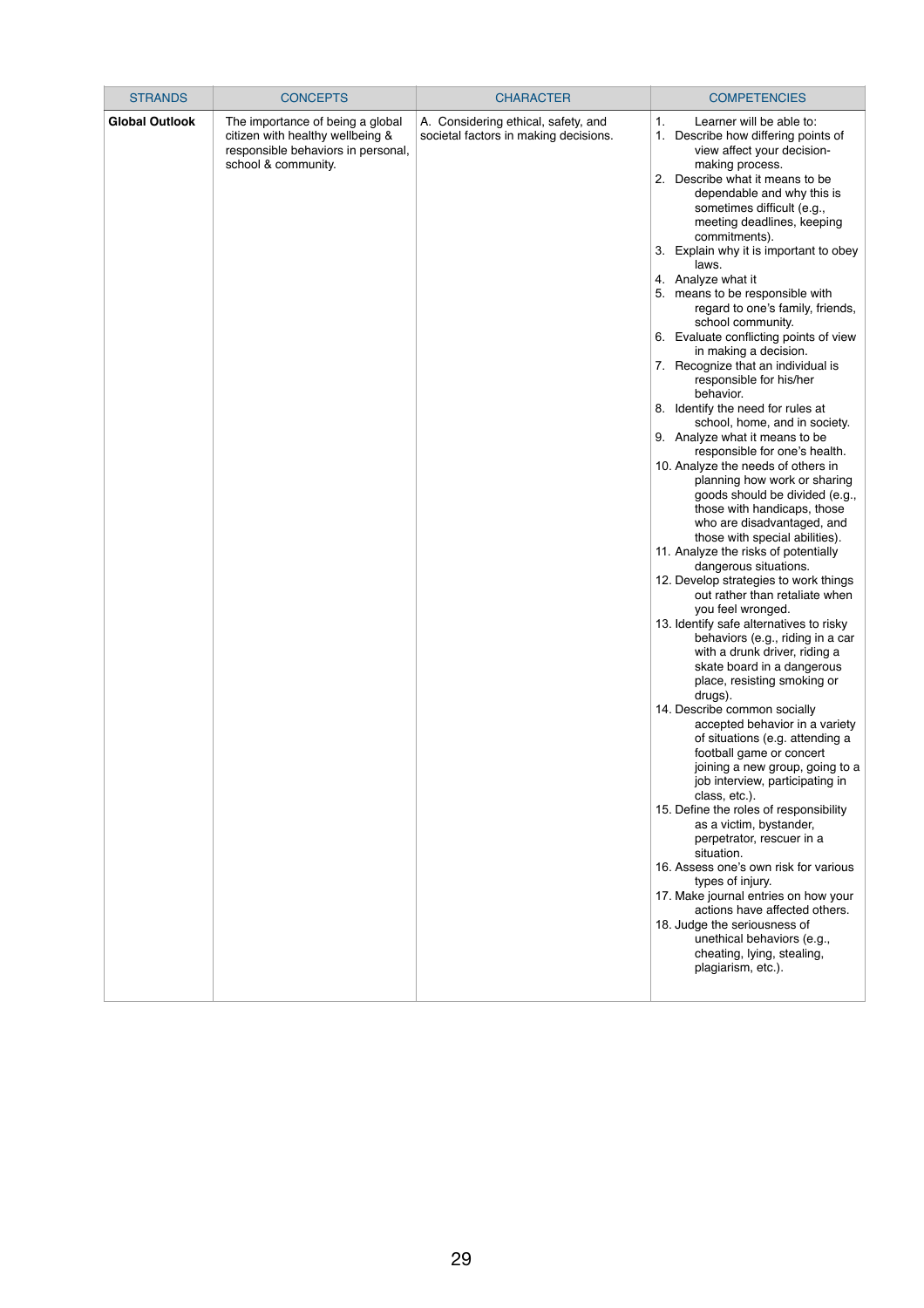| <b>STRANDS</b>        | <b>CONCEPTS</b>                                                                                                                   | <b>CHARACTER</b>                                                             | <b>COMPETENCIES</b>                                                                                                                                                                                                                                                                                                                                                                                                                                                                                                                                                                                                                                                                                                                                                                                                                                                                                                                                                                                                                                                                                                                                                                                                                                                                                                                                                                                                                                                                                                                                                                                                                                                                                                                                                                                                                                                                                         |
|-----------------------|-----------------------------------------------------------------------------------------------------------------------------------|------------------------------------------------------------------------------|-------------------------------------------------------------------------------------------------------------------------------------------------------------------------------------------------------------------------------------------------------------------------------------------------------------------------------------------------------------------------------------------------------------------------------------------------------------------------------------------------------------------------------------------------------------------------------------------------------------------------------------------------------------------------------------------------------------------------------------------------------------------------------------------------------------------------------------------------------------------------------------------------------------------------------------------------------------------------------------------------------------------------------------------------------------------------------------------------------------------------------------------------------------------------------------------------------------------------------------------------------------------------------------------------------------------------------------------------------------------------------------------------------------------------------------------------------------------------------------------------------------------------------------------------------------------------------------------------------------------------------------------------------------------------------------------------------------------------------------------------------------------------------------------------------------------------------------------------------------------------------------------------------------|
| <b>Global Outlook</b> | The importance of being a global<br>citizen with healthy wellbeing &<br>responsible behaviors in personal,<br>school & community. | A. Considering ethical, safety, and<br>societal factors in making decisions. | Learner will be able to:<br>1.<br>Describe how differing points of<br>$1_{-}$<br>view affect your decision-<br>making process.<br>2. Describe what it means to be<br>dependable and why this is<br>sometimes difficult (e.g.,<br>meeting deadlines, keeping<br>commitments).<br>3. Explain why it is important to obey<br>laws.<br>4. Analyze what it<br>5. means to be responsible with<br>regard to one's family, friends,<br>school community.<br>6. Evaluate conflicting points of view<br>in making a decision.<br>7. Recognize that an individual is<br>responsible for his/her<br>behavior.<br>8. Identify the need for rules at<br>school, home, and in society.<br>9. Analyze what it means to be<br>responsible for one's health.<br>10. Analyze the needs of others in<br>planning how work or sharing<br>goods should be divided (e.g.,<br>those with handicaps, those<br>who are disadvantaged, and<br>those with special abilities).<br>11. Analyze the risks of potentially<br>dangerous situations.<br>12. Develop strategies to work things<br>out rather than retaliate when<br>you feel wronged.<br>13. Identify safe alternatives to risky<br>behaviors (e.g., riding in a car<br>with a drunk driver, riding a<br>skate board in a dangerous<br>place, resisting smoking or<br>drugs).<br>14. Describe common socially<br>accepted behavior in a variety<br>of situations (e.g. attending a<br>football game or concert<br>joining a new group, going to a<br>job interview, participating in<br>class, etc.).<br>15. Define the roles of responsibility<br>as a victim, bystander,<br>perpetrator, rescuer in a<br>situation.<br>16. Assess one's own risk for various<br>types of injury.<br>17. Make journal entries on how your<br>actions have affected others.<br>18. Judge the seriousness of<br>unethical behaviors (e.g.,<br>cheating, lying, stealing,<br>plagiarism, etc.). |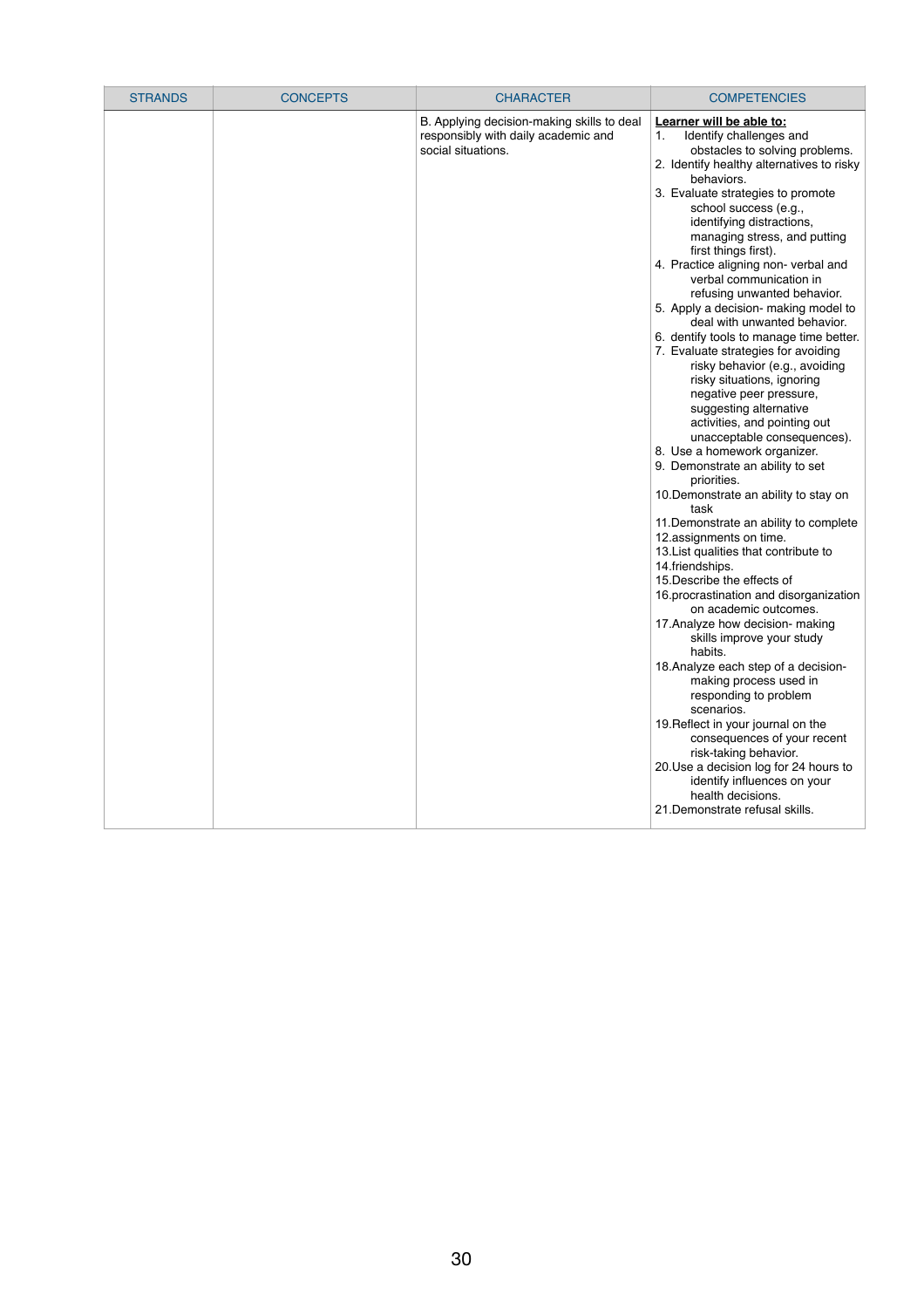| <b>STRANDS</b> | <b>CONCEPTS</b> | <b>CHARACTER</b>                                                                                        | <b>COMPETENCIES</b>                                                                                                                                                                                                                                                                                                                                                                                                                                                                                                                                                                                                                                                                                                                                                                                                                                                                                                                                                                                                                                                                                                                                                                                                                                                                                                                                                                                                                                                                                                                                   |
|----------------|-----------------|---------------------------------------------------------------------------------------------------------|-------------------------------------------------------------------------------------------------------------------------------------------------------------------------------------------------------------------------------------------------------------------------------------------------------------------------------------------------------------------------------------------------------------------------------------------------------------------------------------------------------------------------------------------------------------------------------------------------------------------------------------------------------------------------------------------------------------------------------------------------------------------------------------------------------------------------------------------------------------------------------------------------------------------------------------------------------------------------------------------------------------------------------------------------------------------------------------------------------------------------------------------------------------------------------------------------------------------------------------------------------------------------------------------------------------------------------------------------------------------------------------------------------------------------------------------------------------------------------------------------------------------------------------------------------|
|                |                 | B. Applying decision-making skills to deal<br>responsibly with daily academic and<br>social situations. | Learner will be able to:<br>Identify challenges and<br>1.<br>obstacles to solving problems.<br>2. Identify healthy alternatives to risky<br>behaviors.<br>3. Evaluate strategies to promote<br>school success (e.g.,<br>identifying distractions,<br>managing stress, and putting<br>first things first).<br>4. Practice aligning non- verbal and<br>verbal communication in<br>refusing unwanted behavior.<br>5. Apply a decision- making model to<br>deal with unwanted behavior.<br>6. dentify tools to manage time better.<br>7. Evaluate strategies for avoiding<br>risky behavior (e.g., avoiding<br>risky situations, ignoring<br>negative peer pressure,<br>suggesting alternative<br>activities, and pointing out<br>unacceptable consequences).<br>8. Use a homework organizer.<br>9. Demonstrate an ability to set<br>priorities.<br>10. Demonstrate an ability to stay on<br>task<br>11. Demonstrate an ability to complete<br>12.assignments on time.<br>13. List qualities that contribute to<br>14.friendships.<br>15. Describe the effects of<br>16. procrastination and disorganization<br>on academic outcomes.<br>17. Analyze how decision- making<br>skills improve your study<br>habits.<br>18. Analyze each step of a decision-<br>making process used in<br>responding to problem<br>scenarios.<br>19. Reflect in your journal on the<br>consequences of your recent<br>risk-taking behavior.<br>20. Use a decision log for 24 hours to<br>identify influences on your<br>health decisions.<br>21. Demonstrate refusal skills. |

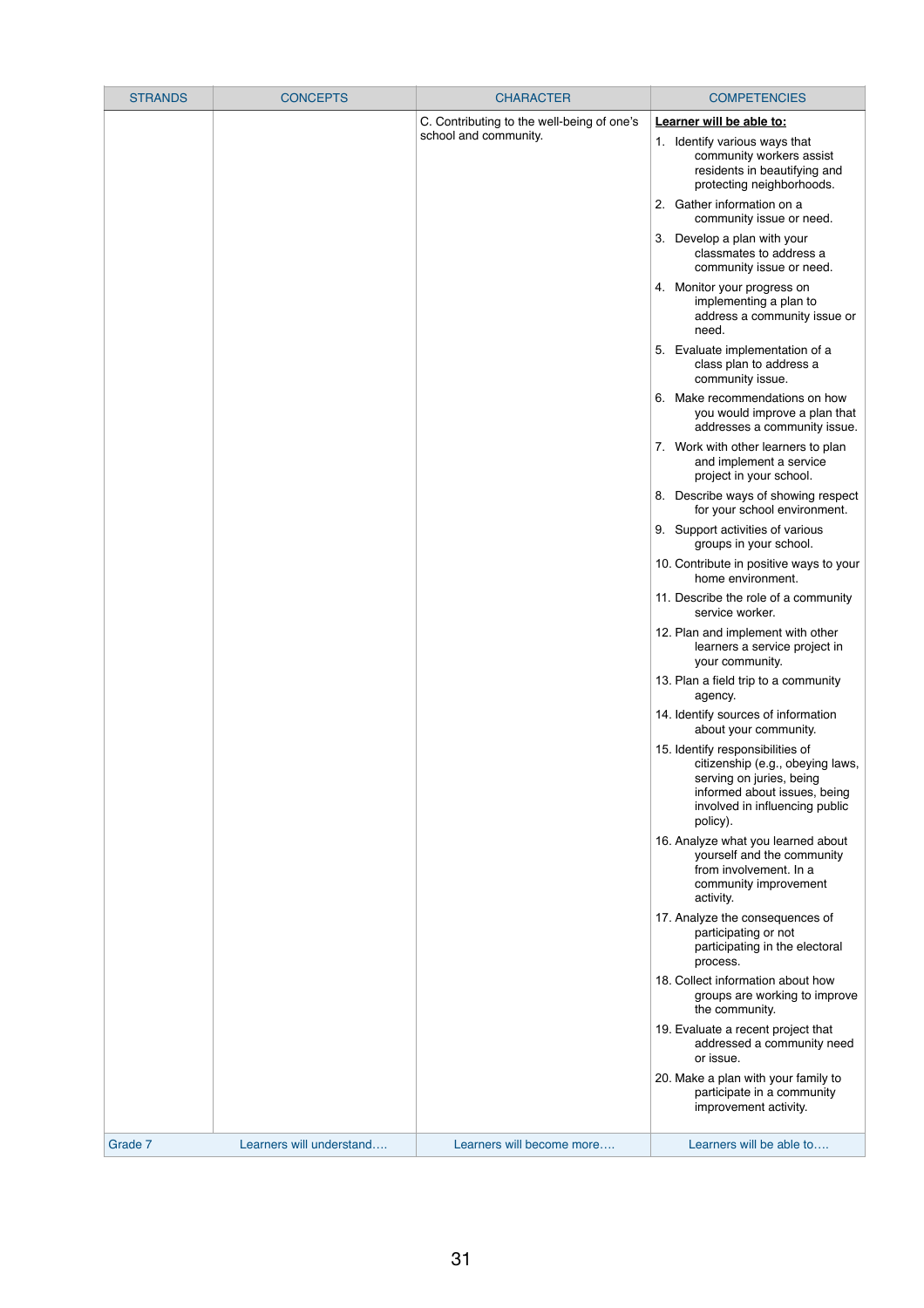| <b>STRANDS</b> | <b>CONCEPTS</b> | <b>CHARACTER</b>                           | <b>COMPETENCIES</b>                                                                                                                                                            |
|----------------|-----------------|--------------------------------------------|--------------------------------------------------------------------------------------------------------------------------------------------------------------------------------|
|                |                 | C. Contributing to the well-being of one's | Learner will be able to:                                                                                                                                                       |
|                |                 | school and community.                      | 1. Identify various ways that<br>community workers assist<br>residents in beautifying and<br>protecting neighborhoods.                                                         |
|                |                 |                                            | 2. Gather information on a<br>community issue or need.                                                                                                                         |
|                |                 |                                            | 3. Develop a plan with your<br>classmates to address a<br>community issue or need.                                                                                             |
|                |                 |                                            | 4. Monitor your progress on<br>implementing a plan to<br>address a community issue or<br>need.                                                                                 |
|                |                 |                                            | 5. Evaluate implementation of a<br>class plan to address a<br>community issue.                                                                                                 |
|                |                 |                                            | Make recommendations on how<br>6.<br>you would improve a plan that<br>addresses a community issue.                                                                             |
|                |                 |                                            | 7. Work with other learners to plan<br>and implement a service<br>project in your school.                                                                                      |
|                |                 |                                            | 8. Describe ways of showing respect<br>for your school environment.                                                                                                            |
|                |                 |                                            | 9. Support activities of various<br>groups in your school.                                                                                                                     |
|                |                 |                                            | 10. Contribute in positive ways to your<br>home environment.                                                                                                                   |
|                |                 |                                            | 11. Describe the role of a community<br>service worker.                                                                                                                        |
|                |                 |                                            | 12. Plan and implement with other<br>learners a service project in<br>your community.                                                                                          |
|                |                 |                                            | 13. Plan a field trip to a community<br>agency.                                                                                                                                |
|                |                 |                                            | 14. Identify sources of information<br>about your community.                                                                                                                   |
|                |                 |                                            | 15. Identify responsibilities of<br>citizenship (e.g., obeying laws,<br>serving on juries, being<br>informed about issues, being<br>involved in influencing public<br>policy). |
|                |                 |                                            | 16. Analyze what you learned about<br>yourself and the community<br>from involvement. In a<br>community improvement<br>activity.                                               |
|                |                 |                                            | 17. Analyze the consequences of<br>participating or not<br>participating in the electoral<br>process.                                                                          |
|                |                 |                                            | 18. Collect information about how                                                                                                                                              |

| Grade 7 | Learners will understand | Learners will become more | Learners will be able to                                                                   |
|---------|--------------------------|---------------------------|--------------------------------------------------------------------------------------------|
|         |                          |                           | 20. Make a plan with your family to<br>participate in a community<br>improvement activity. |
|         |                          |                           | 19. Evaluate a recent project that<br>addressed a community need<br>or issue.              |
|         |                          |                           | groups are working to improve<br>the community.                                            |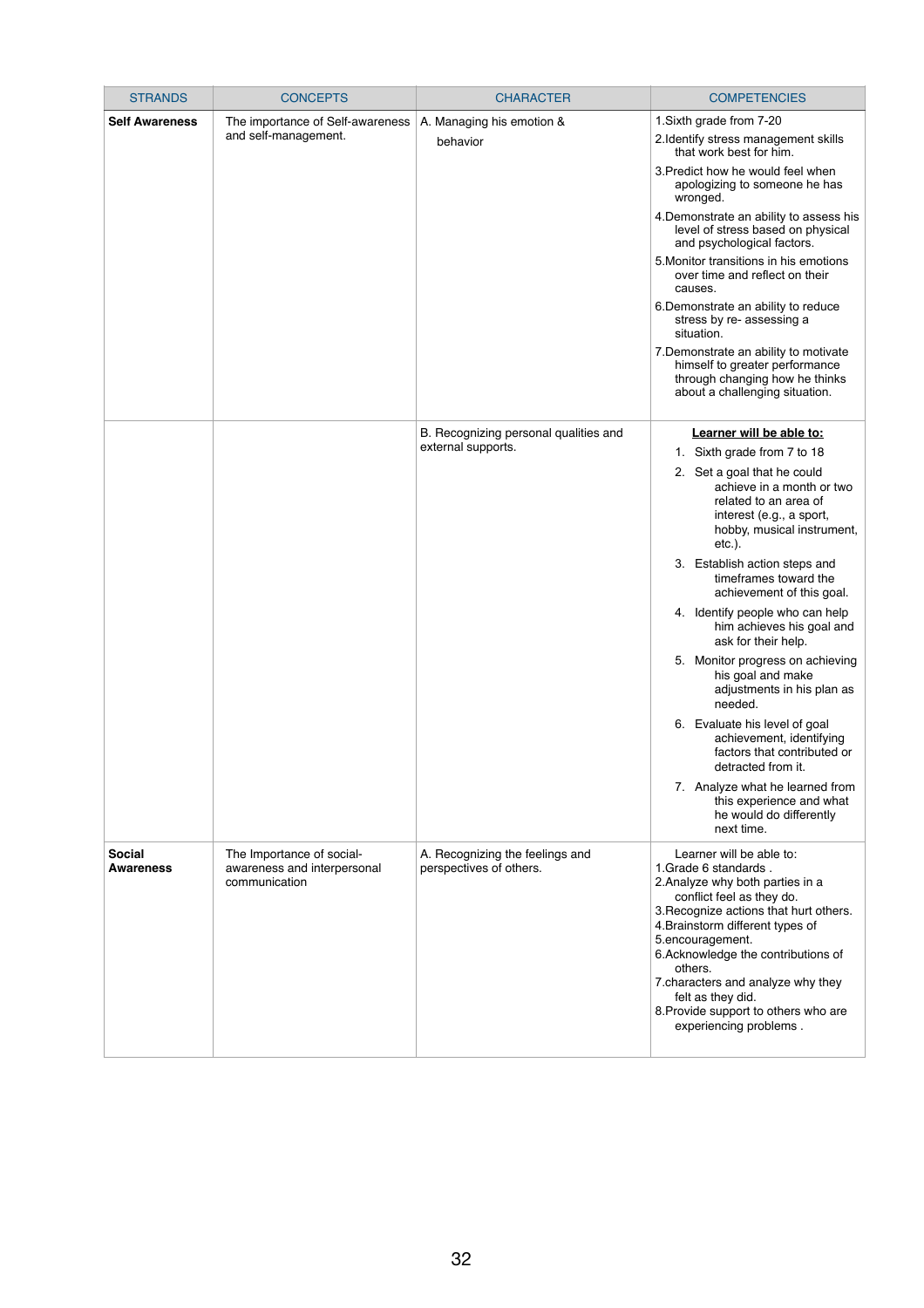| <b>STRANDS</b>                    | <b>CONCEPTS</b>                                                           | <b>CHARACTER</b>                                           | <b>COMPETENCIES</b>                                                                                                                                                                                                                                                                                         |
|-----------------------------------|---------------------------------------------------------------------------|------------------------------------------------------------|-------------------------------------------------------------------------------------------------------------------------------------------------------------------------------------------------------------------------------------------------------------------------------------------------------------|
| <b>Self Awareness</b>             | The importance of Self-awareness                                          | A. Managing his emotion &                                  | 1. Sixth grade from 7-20                                                                                                                                                                                                                                                                                    |
|                                   | and self-management.                                                      | behavior                                                   | 2.Identify stress management skills<br>that work best for him.                                                                                                                                                                                                                                              |
|                                   |                                                                           |                                                            | 3. Predict how he would feel when<br>apologizing to someone he has<br>wronged.                                                                                                                                                                                                                              |
|                                   |                                                                           |                                                            | 4. Demonstrate an ability to assess his<br>level of stress based on physical<br>and psychological factors.                                                                                                                                                                                                  |
|                                   |                                                                           |                                                            | 5. Monitor transitions in his emotions<br>over time and reflect on their<br>causes.                                                                                                                                                                                                                         |
|                                   |                                                                           |                                                            | 6. Demonstrate an ability to reduce<br>stress by re- assessing a<br>situation.                                                                                                                                                                                                                              |
|                                   |                                                                           |                                                            | 7. Demonstrate an ability to motivate<br>himself to greater performance<br>through changing how he thinks<br>about a challenging situation.                                                                                                                                                                 |
|                                   |                                                                           | B. Recognizing personal qualities and                      | Learner will be able to:                                                                                                                                                                                                                                                                                    |
|                                   |                                                                           | external supports.                                         | Sixth grade from 7 to 18<br>1.                                                                                                                                                                                                                                                                              |
|                                   |                                                                           |                                                            | 2. Set a goal that he could<br>achieve in a month or two<br>related to an area of<br>interest (e.g., a sport,<br>hobby, musical instrument,<br>$etc.$ ).                                                                                                                                                    |
|                                   |                                                                           |                                                            | Establish action steps and<br>3.<br>timeframes toward the<br>achievement of this goal.                                                                                                                                                                                                                      |
|                                   |                                                                           |                                                            | 4. Identify people who can help<br>him achieves his goal and<br>ask for their help.                                                                                                                                                                                                                         |
|                                   |                                                                           |                                                            | 5. Monitor progress on achieving<br>his goal and make<br>adjustments in his plan as<br>needed.                                                                                                                                                                                                              |
|                                   |                                                                           |                                                            | 6. Evaluate his level of goal<br>achievement, identifying<br>factors that contributed or<br>detracted from it.                                                                                                                                                                                              |
|                                   |                                                                           |                                                            | 7. Analyze what he learned from<br>this experience and what<br>he would do differently<br>next time.                                                                                                                                                                                                        |
| <b>Social</b><br><b>Awareness</b> | The Importance of social-<br>awareness and interpersonal<br>communication | A. Recognizing the feelings and<br>perspectives of others. | Learner will be able to:<br>1. Grade 6 standards.<br>2. Analyze why both parties in a<br>conflict feel as they do.<br>3. Recognize actions that hurt others.<br>4. Brainstorm different types of<br>5.encouragement.<br>6.Acknowledge the contributions of<br>others.<br>7. characters and analyze why they |

|  | felt as they did.                    |
|--|--------------------------------------|
|  | 8. Provide support to others who are |
|  | experiencing problems.               |
|  |                                      |
|  |                                      |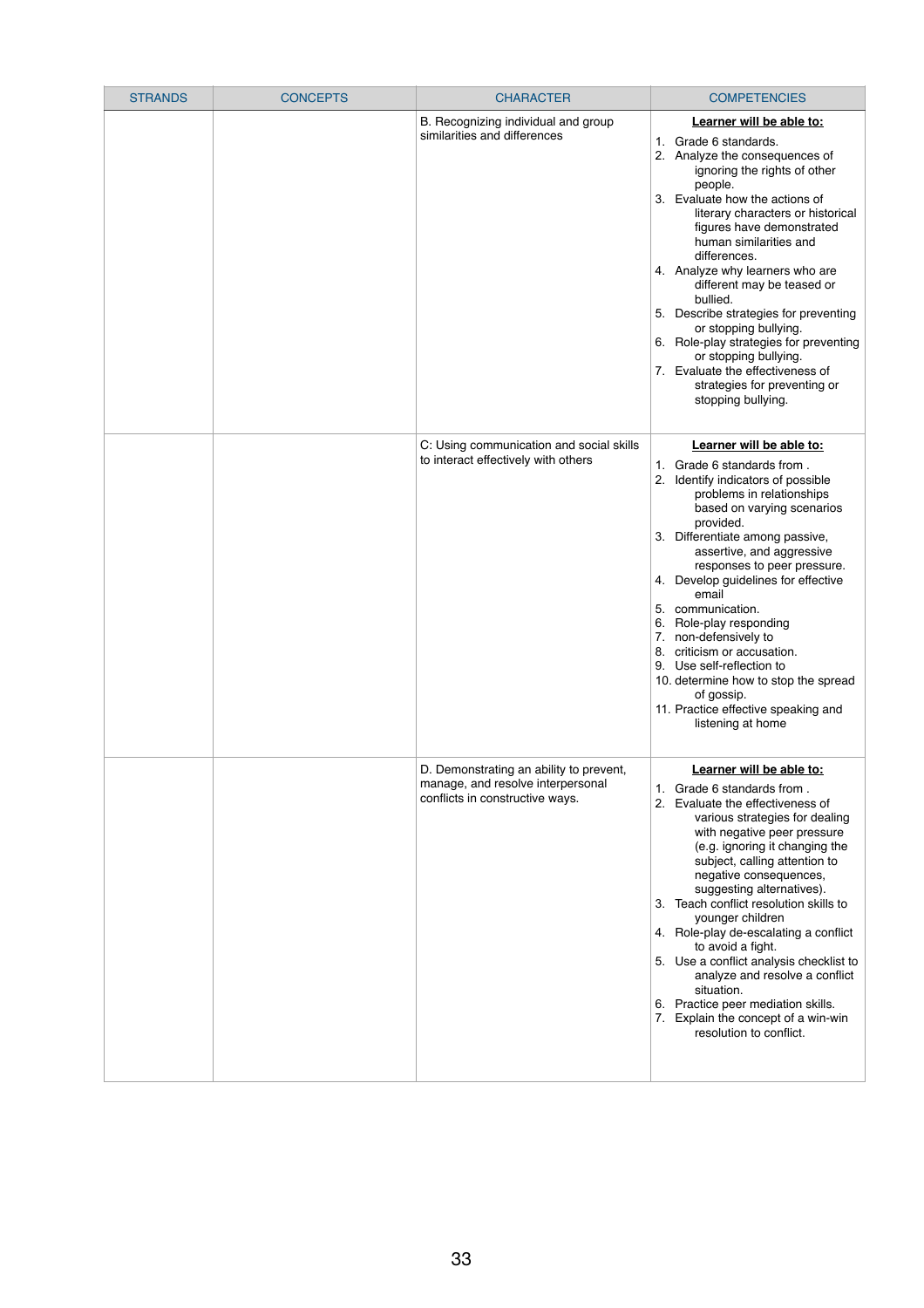| <b>STRANDS</b> | <b>CONCEPTS</b> | <b>CHARACTER</b>                                                                                                | <b>COMPETENCIES</b>                                                                                                                                                                                                                                                                                                                                                                                                                                                                                                                                                                      |
|----------------|-----------------|-----------------------------------------------------------------------------------------------------------------|------------------------------------------------------------------------------------------------------------------------------------------------------------------------------------------------------------------------------------------------------------------------------------------------------------------------------------------------------------------------------------------------------------------------------------------------------------------------------------------------------------------------------------------------------------------------------------------|
|                |                 | B. Recognizing individual and group<br>similarities and differences                                             | Learner will be able to:<br>1. Grade 6 standards.<br>2. Analyze the consequences of<br>ignoring the rights of other<br>people.<br>3. Evaluate how the actions of<br>literary characters or historical<br>figures have demonstrated<br>human similarities and<br>differences.<br>4. Analyze why learners who are<br>different may be teased or<br>bullied.<br>5. Describe strategies for preventing<br>or stopping bullying.<br>6. Role-play strategies for preventing<br>or stopping bullying.<br>7. Evaluate the effectiveness of<br>strategies for preventing or<br>stopping bullying. |
|                |                 | C: Using communication and social skills<br>to interact effectively with others                                 | Learner will be able to:<br>1. Grade 6 standards from.<br>Identify indicators of possible<br>problems in relationships<br>based on varying scenarios<br>provided.<br>3. Differentiate among passive,<br>assertive, and aggressive<br>responses to peer pressure.<br>4. Develop guidelines for effective<br>email<br>communication.<br>5.<br>Role-play responding<br>6.<br>7. non-defensively to<br>criticism or accusation.<br>8.<br>9. Use self-reflection to<br>10. determine how to stop the spread<br>of gossip.<br>11. Practice effective speaking and<br>listening at home         |
|                |                 | D. Demonstrating an ability to prevent,<br>manage, and resolve interpersonal<br>conflicts in constructive ways. | Learner will be able to:<br>1. Grade 6 standards from.<br>2. Evaluate the effectiveness of<br>various strategies for dealing<br>with negative peer pressure<br>(e.g. ignoring it changing the<br>subject, calling attention to<br>negative consequences,<br>suggesting alternatives).<br>Teach conflict resolution skills to<br>3.<br>younger children<br>4. Role-play de-escalating a conflict<br>to avoid a fight.<br>5. Use a conflict analysis checklist to<br>analyze and resolve a conflict<br>situation                                                                           |

|  | 6. | oituutivii.<br>Practice peer mediation skills.<br>Explain the concept of a win-win<br>resolution to conflict. |
|--|----|---------------------------------------------------------------------------------------------------------------|
|  |    |                                                                                                               |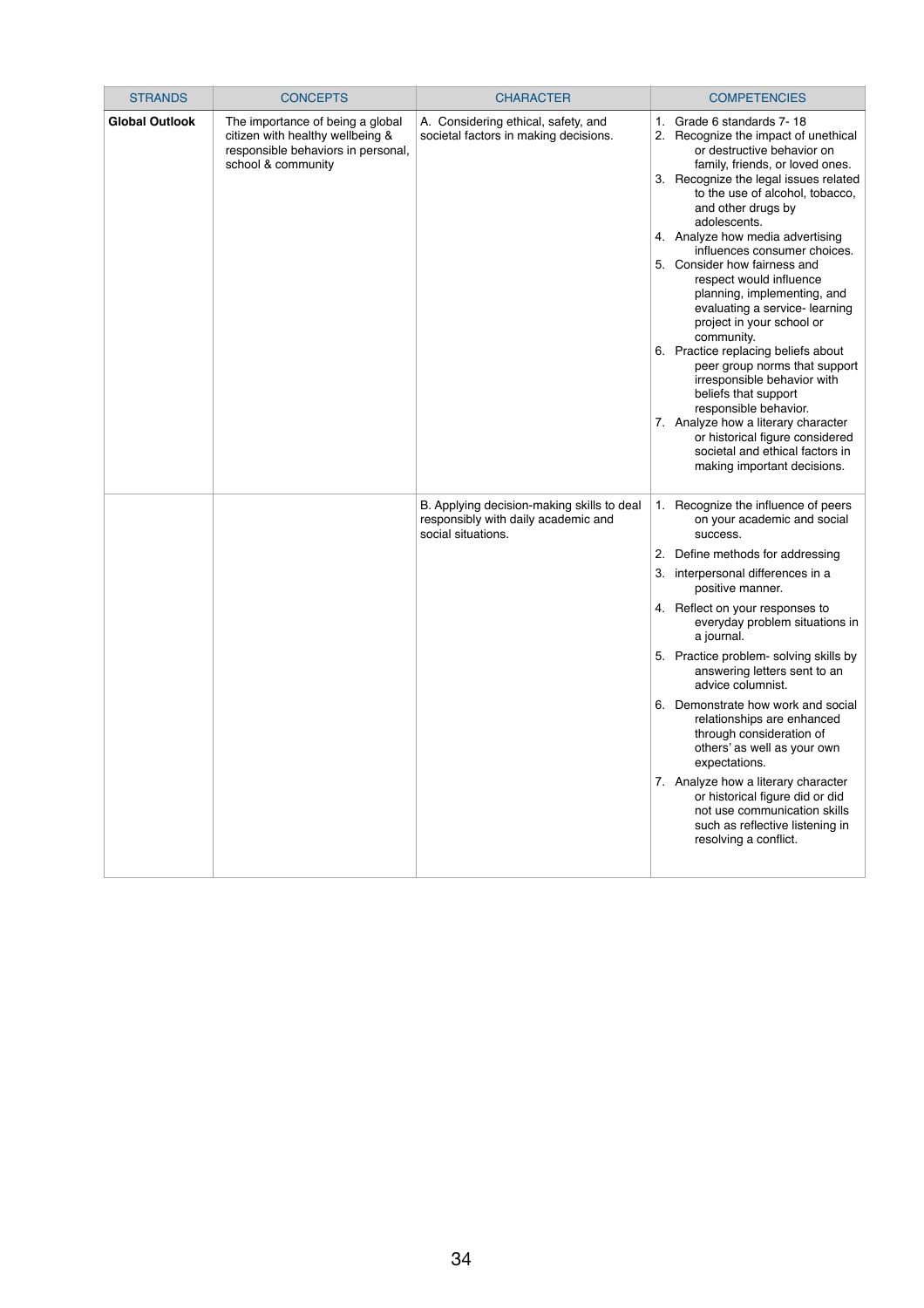| <b>STRANDS</b>        | <b>CONCEPTS</b>                                                                                                                  | <b>CHARACTER</b>                                                                                        | <b>COMPETENCIES</b>                                                                                                                                                                                                                                                                                                                                                                                                                                                                                                                                                                                                                                                                                                                                                                                 |
|-----------------------|----------------------------------------------------------------------------------------------------------------------------------|---------------------------------------------------------------------------------------------------------|-----------------------------------------------------------------------------------------------------------------------------------------------------------------------------------------------------------------------------------------------------------------------------------------------------------------------------------------------------------------------------------------------------------------------------------------------------------------------------------------------------------------------------------------------------------------------------------------------------------------------------------------------------------------------------------------------------------------------------------------------------------------------------------------------------|
| <b>Global Outlook</b> | The importance of being a global<br>citizen with healthy wellbeing &<br>responsible behaviors in personal,<br>school & community | A. Considering ethical, safety, and<br>societal factors in making decisions.                            | 1. Grade 6 standards 7-18<br>2. Recognize the impact of unethical<br>or destructive behavior on<br>family, friends, or loved ones.<br>3. Recognize the legal issues related<br>to the use of alcohol, tobacco,<br>and other drugs by<br>adolescents.<br>4. Analyze how media advertising<br>influences consumer choices.<br>5. Consider how fairness and<br>respect would influence<br>planning, implementing, and<br>evaluating a service- learning<br>project in your school or<br>community.<br>6. Practice replacing beliefs about<br>peer group norms that support<br>irresponsible behavior with<br>beliefs that support<br>responsible behavior.<br>7. Analyze how a literary character<br>or historical figure considered<br>societal and ethical factors in<br>making important decisions. |
|                       |                                                                                                                                  | B. Applying decision-making skills to deal<br>responsibly with daily academic and<br>social situations. | 1. Recognize the influence of peers<br>on your academic and social<br>success.<br>2. Define methods for addressing<br>3. interpersonal differences in a<br>positive manner.<br>4. Reflect on your responses to<br>everyday problem situations in<br>a journal.<br>5. Practice problem- solving skills by<br>answering letters sent to an<br>advice columnist.<br>6. Demonstrate how work and social<br>relationships are enhanced<br>through consideration of<br>others' as well as your own<br>expectations.<br>7. Analyze how a literary character<br>or historical figure did or did<br>not use communication skills<br>such as reflective listening in<br>resolving a conflict.                                                                                                                 |

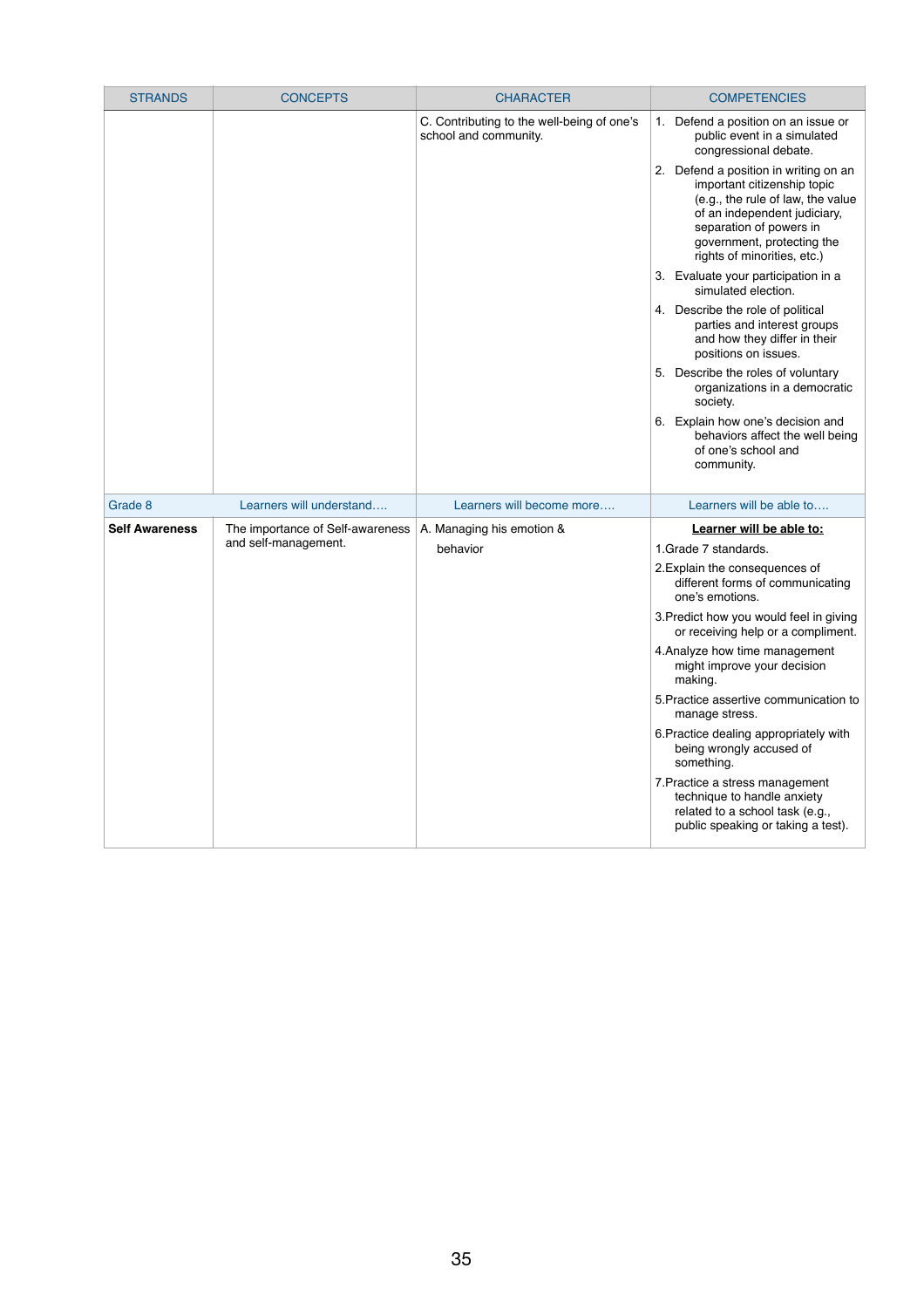| <b>STRANDS</b>        | <b>CONCEPTS</b>                                          | <b>CHARACTER</b>                                                    | <b>COMPETENCIES</b>                                                                                                                                                                                                                  |
|-----------------------|----------------------------------------------------------|---------------------------------------------------------------------|--------------------------------------------------------------------------------------------------------------------------------------------------------------------------------------------------------------------------------------|
|                       |                                                          | C. Contributing to the well-being of one's<br>school and community. | Defend a position on an issue or<br>1.<br>public event in a simulated<br>congressional debate.                                                                                                                                       |
|                       |                                                          |                                                                     | Defend a position in writing on an<br>2.<br>important citizenship topic<br>(e.g., the rule of law, the value<br>of an independent judiciary,<br>separation of powers in<br>government, protecting the<br>rights of minorities, etc.) |
|                       |                                                          |                                                                     | 3. Evaluate your participation in a<br>simulated election.                                                                                                                                                                           |
|                       |                                                          |                                                                     | 4. Describe the role of political<br>parties and interest groups<br>and how they differ in their<br>positions on issues.                                                                                                             |
|                       |                                                          |                                                                     | 5. Describe the roles of voluntary<br>organizations in a democratic<br>society.                                                                                                                                                      |
|                       |                                                          |                                                                     | Explain how one's decision and<br>6.<br>behaviors affect the well being<br>of one's school and<br>community.                                                                                                                         |
| Grade 8               | Learners will understand                                 | Learners will become more                                           | Learners will be able to                                                                                                                                                                                                             |
| <b>Self Awareness</b> | The importance of Self-awareness<br>and self-management. | A. Managing his emotion &                                           | Learner will be able to:                                                                                                                                                                                                             |
|                       |                                                          | behavior                                                            | 1. Grade 7 standards.                                                                                                                                                                                                                |
|                       |                                                          |                                                                     | 2. Explain the consequences of<br>different forms of communicating<br>one's emotions.                                                                                                                                                |
|                       |                                                          |                                                                     | 3. Predict how you would feel in giving<br>or receiving help or a compliment.                                                                                                                                                        |
|                       |                                                          |                                                                     | 4. Analyze how time management<br>might improve your decision<br>making.                                                                                                                                                             |
|                       |                                                          |                                                                     | 5. Practice assertive communication to<br>manage stress.                                                                                                                                                                             |
|                       |                                                          |                                                                     | 6. Practice dealing appropriately with<br>being wrongly accused of<br>something.                                                                                                                                                     |
|                       |                                                          |                                                                     | 7. Practice a stress management<br>technique to handle anxiety<br>related to a school task (e.g.,<br>public speaking or taking a test).                                                                                              |

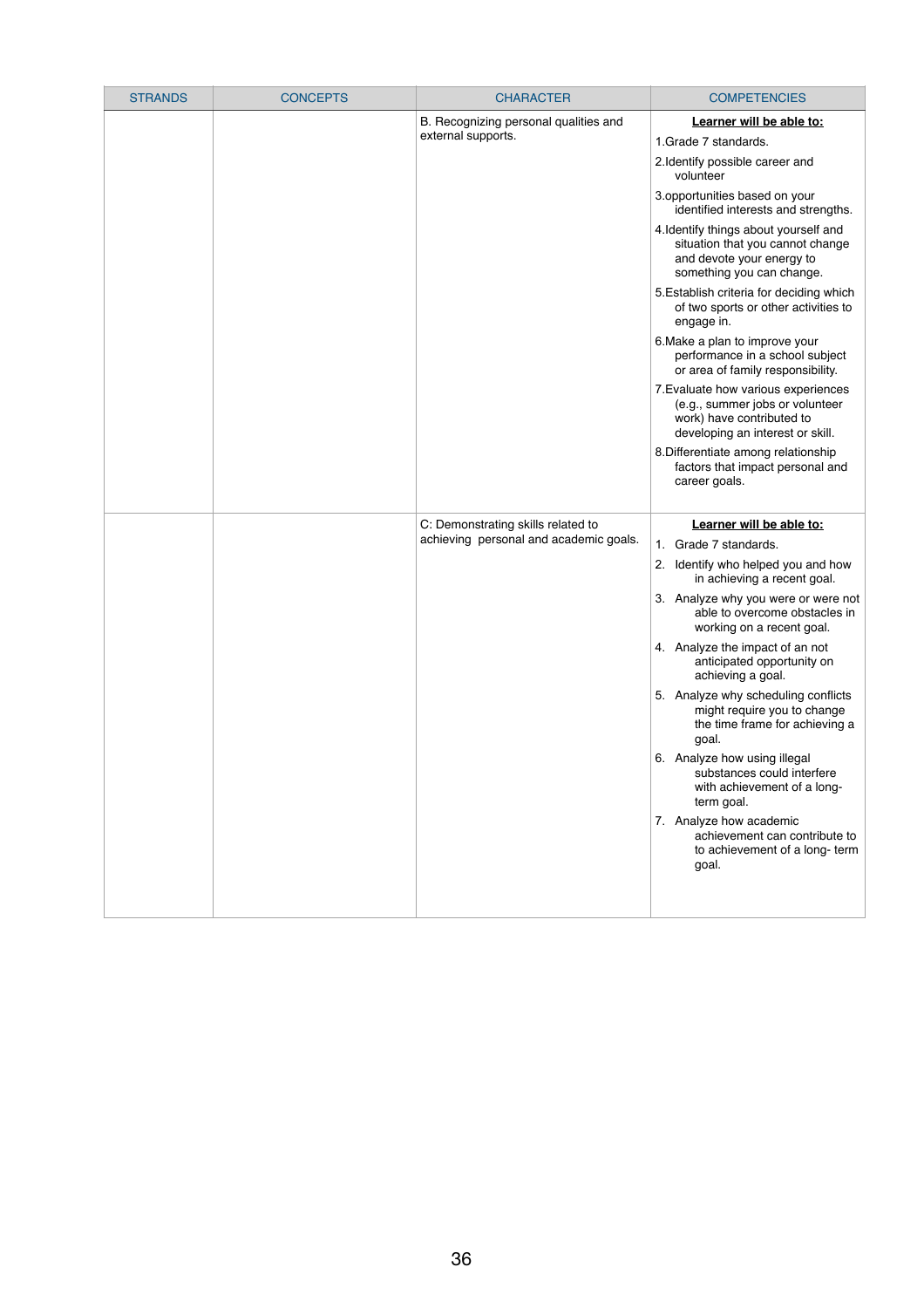| <b>STRANDS</b> | <b>CONCEPTS</b> | <b>CHARACTER</b>                                            | <b>COMPETENCIES</b>                                                                                                                     |
|----------------|-----------------|-------------------------------------------------------------|-----------------------------------------------------------------------------------------------------------------------------------------|
|                |                 | B. Recognizing personal qualities and<br>external supports. | Learner will be able to:<br>1. Grade 7 standards.<br>2. Identify possible career and<br>volunteer                                       |
|                |                 |                                                             | 3.opportunities based on your<br>identified interests and strengths.                                                                    |
|                |                 |                                                             | 4. Identify things about yourself and<br>situation that you cannot change<br>and devote your energy to<br>something you can change.     |
|                |                 |                                                             | 5. Establish criteria for deciding which<br>of two sports or other activities to<br>engage in.                                          |
|                |                 |                                                             | 6. Make a plan to improve your<br>performance in a school subject<br>or area of family responsibility.                                  |
|                |                 |                                                             | 7. Evaluate how various experiences<br>(e.g., summer jobs or volunteer<br>work) have contributed to<br>developing an interest or skill. |
|                |                 |                                                             | 8. Differentiate among relationship<br>factors that impact personal and<br>career goals.                                                |
|                |                 | C: Demonstrating skills related to                          | Learner will be able to:                                                                                                                |
|                |                 | achieving personal and academic goals.                      | Grade 7 standards.<br>$1_{\cdot}$                                                                                                       |
|                |                 |                                                             | Identify who helped you and how<br>2.<br>in achieving a recent goal.                                                                    |
|                |                 |                                                             | 3. Analyze why you were or were not<br>able to overcome obstacles in<br>working on a recent goal.                                       |
|                |                 |                                                             | 4. Analyze the impact of an not<br>anticipated opportunity on<br>achieving a goal.                                                      |
|                |                 |                                                             | 5. Analyze why scheduling conflicts<br>might require you to change<br>the time frame for achieving a<br>goal.                           |
|                |                 |                                                             | 6. Analyze how using illegal<br>substances could interfere<br>with achievement of a long-<br>term goal.                                 |
|                |                 |                                                             | 7. Analyze how academic<br>achievement can contribute to<br>to achievement of a long-term<br>goal.                                      |
|                |                 |                                                             |                                                                                                                                         |

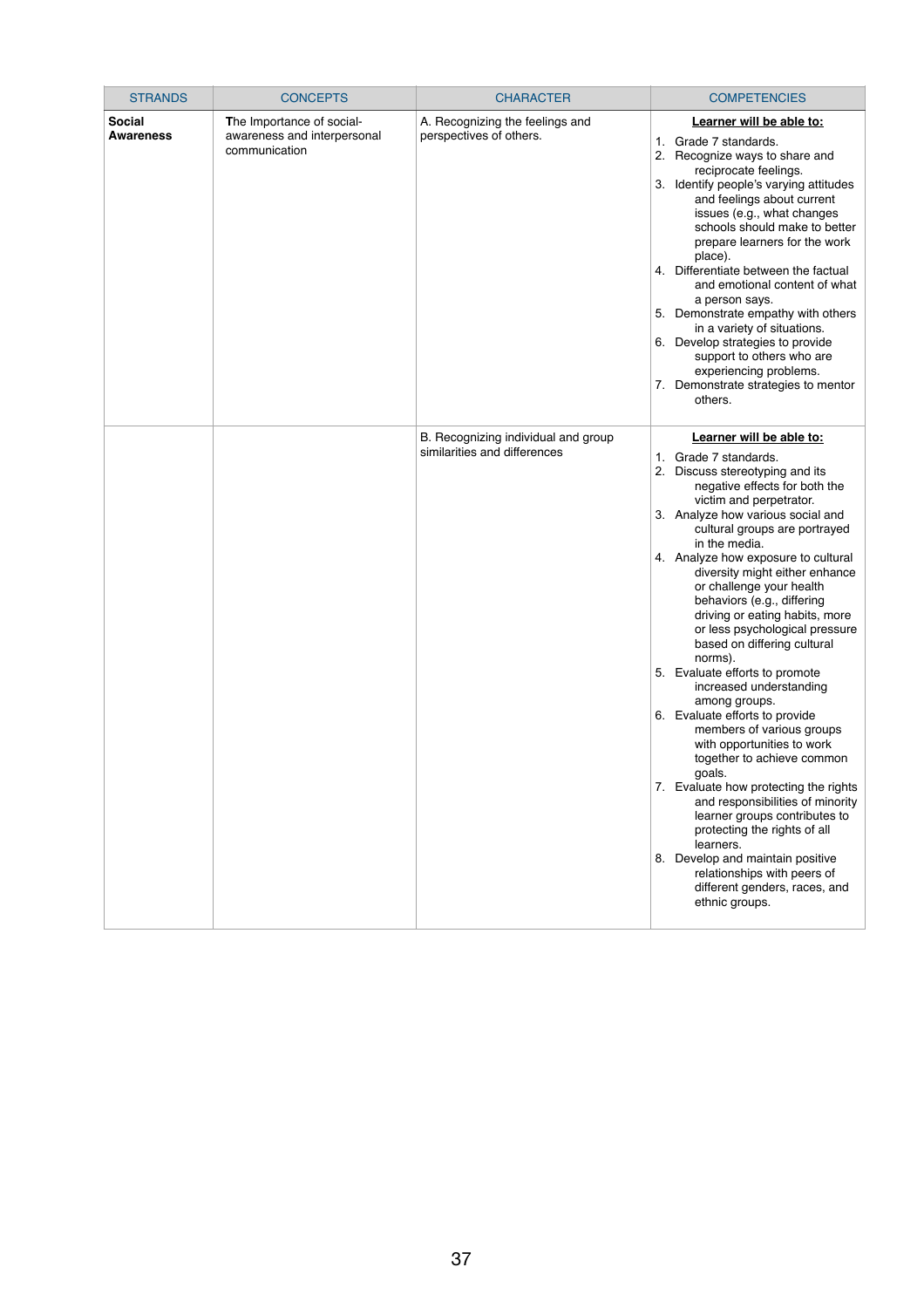| <b>STRANDS</b>                    | <b>CONCEPTS</b>                                                           | <b>CHARACTER</b>                                                    | <b>COMPETENCIES</b>                                                                                                                                                                                                                                                                                                                                                                                                                                                                                                                                                                                                                                                                                                                                                                                                                                                                                                                                                                                         |
|-----------------------------------|---------------------------------------------------------------------------|---------------------------------------------------------------------|-------------------------------------------------------------------------------------------------------------------------------------------------------------------------------------------------------------------------------------------------------------------------------------------------------------------------------------------------------------------------------------------------------------------------------------------------------------------------------------------------------------------------------------------------------------------------------------------------------------------------------------------------------------------------------------------------------------------------------------------------------------------------------------------------------------------------------------------------------------------------------------------------------------------------------------------------------------------------------------------------------------|
| <b>Social</b><br><b>Awareness</b> | The Importance of social-<br>awareness and interpersonal<br>communication | A. Recognizing the feelings and<br>perspectives of others.          | Learner will be able to:<br>Grade 7 standards.<br>1.<br>2.<br>Recognize ways to share and<br>reciprocate feelings.<br>3. Identify people's varying attitudes<br>and feelings about current<br>issues (e.g., what changes<br>schools should make to better<br>prepare learners for the work<br>place).<br>4. Differentiate between the factual<br>and emotional content of what<br>a person says.<br>5. Demonstrate empathy with others<br>in a variety of situations.<br>6. Develop strategies to provide<br>support to others who are<br>experiencing problems.<br>7. Demonstrate strategies to mentor<br>others.                                                                                                                                                                                                                                                                                                                                                                                          |
|                                   |                                                                           | B. Recognizing individual and group<br>similarities and differences | Learner will be able to:<br>Grade 7 standards.<br>$1_{\cdot}$<br>Discuss stereotyping and its<br>2.<br>negative effects for both the<br>victim and perpetrator.<br>3. Analyze how various social and<br>cultural groups are portrayed<br>in the media.<br>4. Analyze how exposure to cultural<br>diversity might either enhance<br>or challenge your health<br>behaviors (e.g., differing<br>driving or eating habits, more<br>or less psychological pressure<br>based on differing cultural<br>norms).<br>5. Evaluate efforts to promote<br>increased understanding<br>among groups.<br>6. Evaluate efforts to provide<br>members of various groups<br>with opportunities to work<br>together to achieve common<br>goals.<br>7. Evaluate how protecting the rights<br>and responsibilities of minority<br>learner groups contributes to<br>protecting the rights of all<br>learners.<br>8. Develop and maintain positive<br>relationships with peers of<br>different genders, races, and<br>ethnic groups. |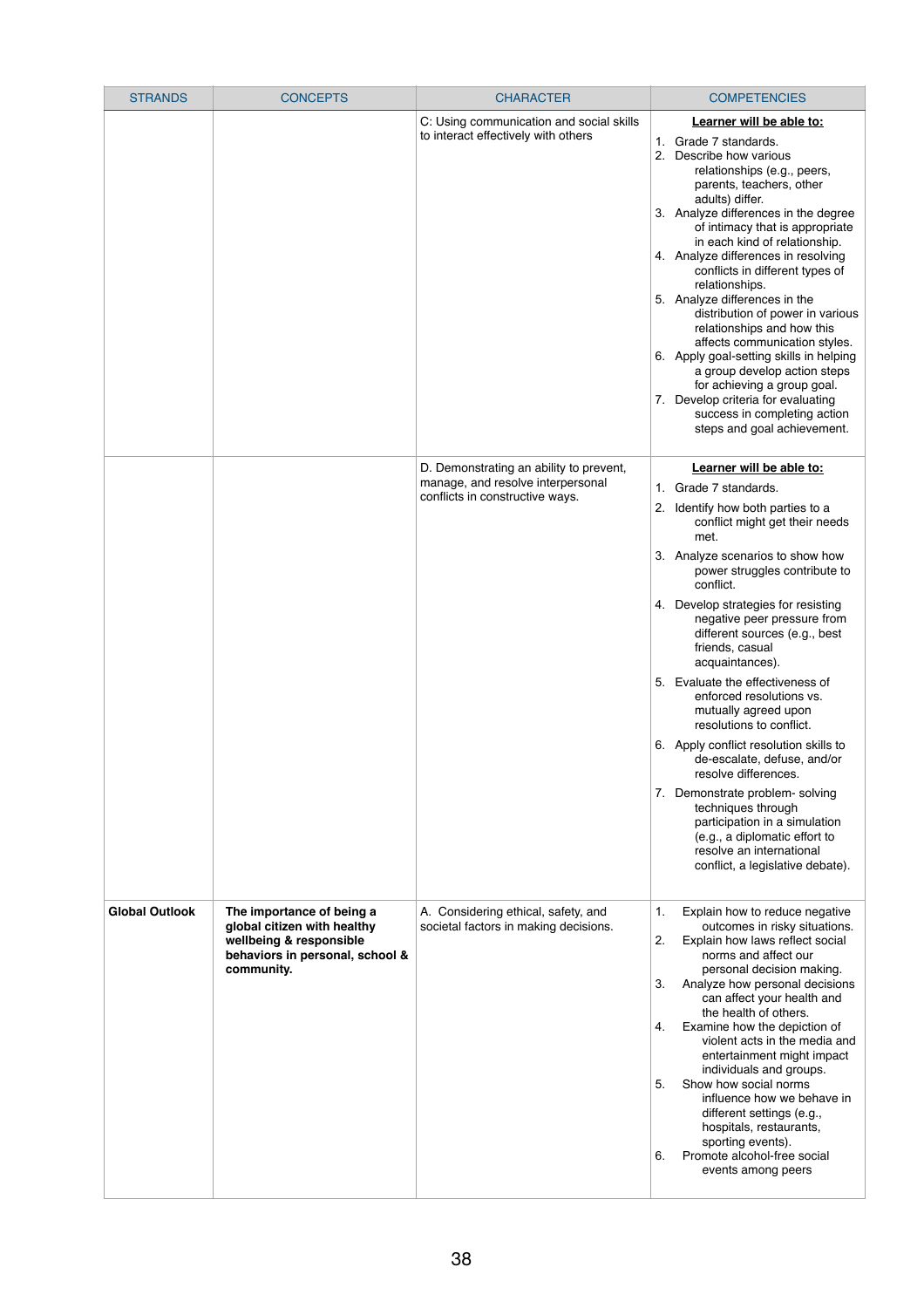| <b>STRANDS</b>        | <b>CONCEPTS</b>                                                                                                                      | <b>CHARACTER</b>                                                                                                | <b>COMPETENCIES</b>                                                                                                                                                                                                                                                                                                                                                                                                                                                                                                                                                                                                                                                                                                                                                                      |
|-----------------------|--------------------------------------------------------------------------------------------------------------------------------------|-----------------------------------------------------------------------------------------------------------------|------------------------------------------------------------------------------------------------------------------------------------------------------------------------------------------------------------------------------------------------------------------------------------------------------------------------------------------------------------------------------------------------------------------------------------------------------------------------------------------------------------------------------------------------------------------------------------------------------------------------------------------------------------------------------------------------------------------------------------------------------------------------------------------|
|                       |                                                                                                                                      | C: Using communication and social skills<br>to interact effectively with others                                 | Learner will be able to:<br>1. Grade 7 standards.<br>2. Describe how various<br>relationships (e.g., peers,<br>parents, teachers, other<br>adults) differ.<br>3. Analyze differences in the degree<br>of intimacy that is appropriate<br>in each kind of relationship.<br>4. Analyze differences in resolving<br>conflicts in different types of<br>relationships.<br>5. Analyze differences in the<br>distribution of power in various<br>relationships and how this<br>affects communication styles.<br>6. Apply goal-setting skills in helping<br>a group develop action steps<br>for achieving a group goal.<br>7. Develop criteria for evaluating<br>success in completing action<br>steps and goal achievement.                                                                    |
|                       |                                                                                                                                      | D. Demonstrating an ability to prevent,<br>manage, and resolve interpersonal<br>conflicts in constructive ways. | Learner will be able to:<br>Grade 7 standards.<br>1.<br>Identify how both parties to a<br>2.<br>conflict might get their needs<br>met.<br>Analyze scenarios to show how<br>3.<br>power struggles contribute to<br>conflict.<br>4. Develop strategies for resisting<br>negative peer pressure from<br>different sources (e.g., best<br>friends, casual<br>acquaintances).<br>5. Evaluate the effectiveness of<br>enforced resolutions vs.<br>mutually agreed upon<br>resolutions to conflict.<br>6. Apply conflict resolution skills to<br>de-escalate, defuse, and/or<br>resolve differences.<br>7. Demonstrate problem- solving<br>techniques through<br>participation in a simulation<br>(e.g., a diplomatic effort to<br>resolve an international<br>conflict, a legislative debate). |
| <b>Global Outlook</b> | The importance of being a<br>global citizen with healthy<br>wellbeing & responsible<br>behaviors in personal, school &<br>community. | A. Considering ethical, safety, and<br>societal factors in making decisions.                                    | Explain how to reduce negative<br>1.<br>outcomes in risky situations.<br>2.<br>Explain how laws reflect social<br>norms and affect our<br>personal decision making.<br>3.<br>Analyze how personal decisions<br>can affect your health and<br>the health of others.<br>Examine how the depiction of<br>4.<br>violent acts in the media and<br>entertainment might impact<br>individuals and groups.<br>5.<br>Show how social norms<br>influence how we behave in<br>different settings (e.g.,<br>hospitals, restaurants,<br>sporting events).<br>Promote alcohol-free social<br>6.<br>events among peers                                                                                                                                                                                  |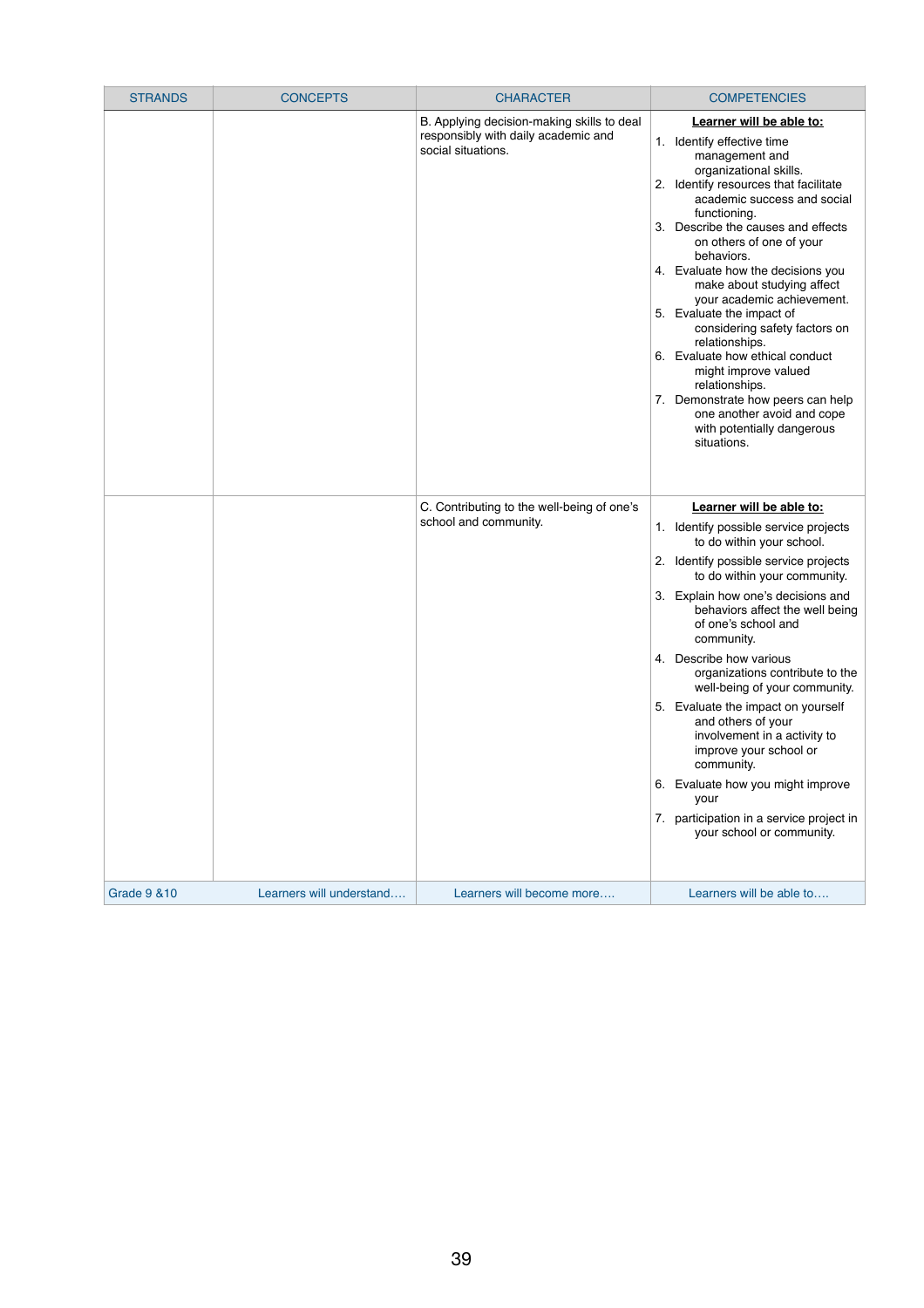| <b>STRANDS</b>          | <b>CONCEPTS</b>          | <b>CHARACTER</b>                                                                                        | <b>COMPETENCIES</b>                                                                                                                                                                                                                                                                                                                                                                                                                                                                                                                                                                                                                                                  |
|-------------------------|--------------------------|---------------------------------------------------------------------------------------------------------|----------------------------------------------------------------------------------------------------------------------------------------------------------------------------------------------------------------------------------------------------------------------------------------------------------------------------------------------------------------------------------------------------------------------------------------------------------------------------------------------------------------------------------------------------------------------------------------------------------------------------------------------------------------------|
|                         |                          | B. Applying decision-making skills to deal<br>responsibly with daily academic and<br>social situations. | Learner will be able to:<br>Identify effective time<br>1.<br>management and<br>organizational skills.<br>Identify resources that facilitate<br>2.<br>academic success and social<br>functioning.<br>Describe the causes and effects<br>3.<br>on others of one of your<br>behaviors.<br>4. Evaluate how the decisions you<br>make about studying affect<br>your academic achievement.<br>5. Evaluate the impact of<br>considering safety factors on<br>relationships.<br>6. Evaluate how ethical conduct<br>might improve valued<br>relationships.<br>Demonstrate how peers can help<br>7.<br>one another avoid and cope<br>with potentially dangerous<br>situations. |
|                         |                          | C. Contributing to the well-being of one's<br>school and community.                                     | Learner will be able to:<br>1. Identify possible service projects<br>to do within your school.<br>Identify possible service projects<br>2.<br>to do within your community.<br>3. Explain how one's decisions and<br>behaviors affect the well being<br>of one's school and<br>community.<br>4. Describe how various<br>organizations contribute to the<br>well-being of your community.<br>5. Evaluate the impact on yourself<br>and others of your<br>involvement in a activity to<br>improve your school or<br>community.<br>6. Evaluate how you might improve<br>your<br>7. participation in a service project in<br>your school or community.                    |
| <b>Grade 9 &amp; 10</b> | Learners will understand | Learners will become more                                                                               | Learners will be able to                                                                                                                                                                                                                                                                                                                                                                                                                                                                                                                                                                                                                                             |

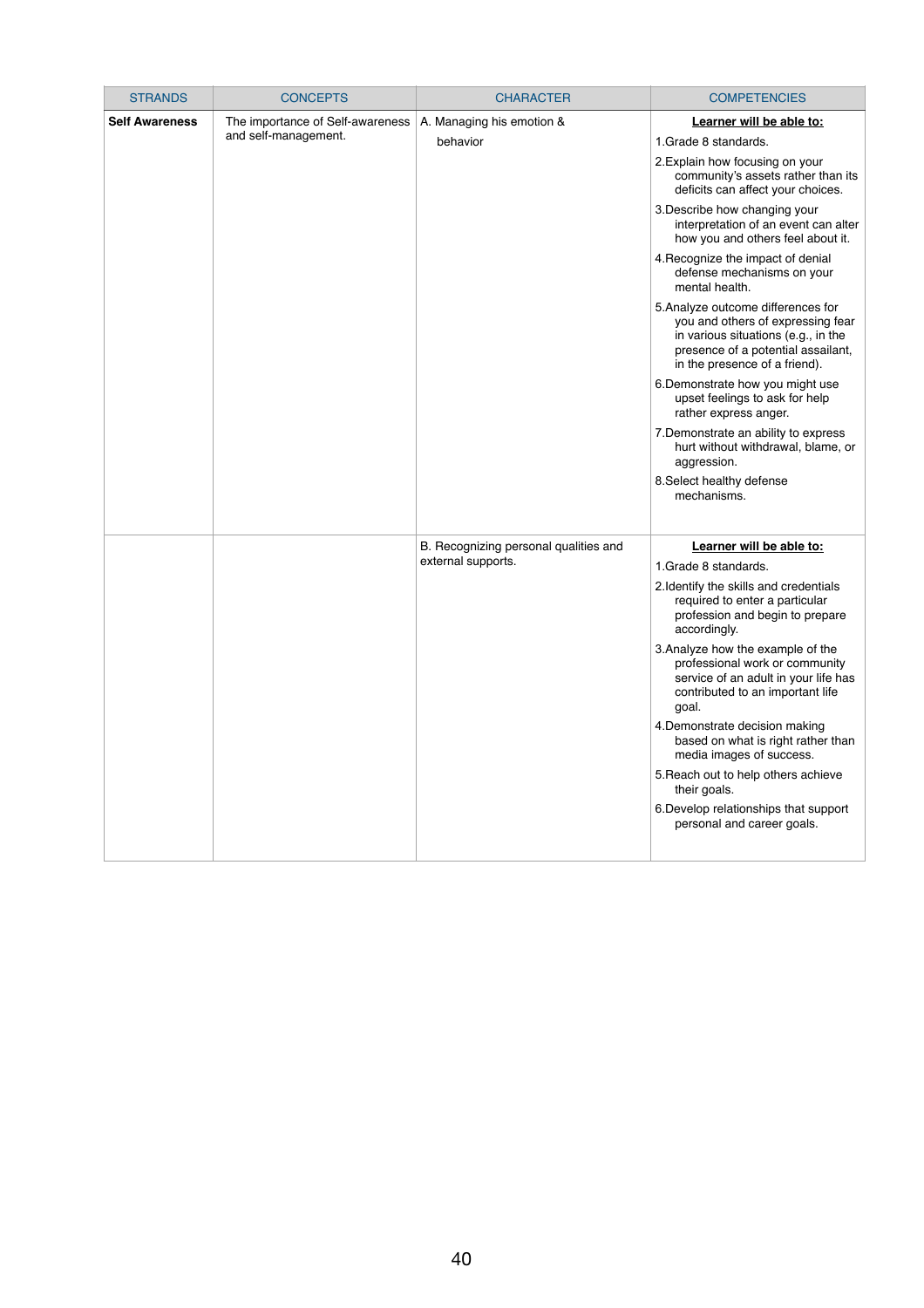| <b>STRANDS</b>        | <b>CONCEPTS</b>                                          | <b>CHARACTER</b>                                            | <b>COMPETENCIES</b>                                                                                                                                                                                                                                                                                                                                                                                                                                                                                                                                                                                                                                                                                                                                                                                 |
|-----------------------|----------------------------------------------------------|-------------------------------------------------------------|-----------------------------------------------------------------------------------------------------------------------------------------------------------------------------------------------------------------------------------------------------------------------------------------------------------------------------------------------------------------------------------------------------------------------------------------------------------------------------------------------------------------------------------------------------------------------------------------------------------------------------------------------------------------------------------------------------------------------------------------------------------------------------------------------------|
| <b>Self Awareness</b> | The importance of Self-awareness<br>and self-management. | A. Managing his emotion &<br>behavior                       | Learner will be able to:<br>1. Grade 8 standards.<br>2. Explain how focusing on your<br>community's assets rather than its<br>deficits can affect your choices.<br>3. Describe how changing your<br>interpretation of an event can alter<br>how you and others feel about it.<br>4. Recognize the impact of denial<br>defense mechanisms on your<br>mental health.<br>5. Analyze outcome differences for<br>you and others of expressing fear<br>in various situations (e.g., in the<br>presence of a potential assailant,<br>in the presence of a friend).<br>6. Demonstrate how you might use<br>upset feelings to ask for help<br>rather express anger.<br>7. Demonstrate an ability to express<br>hurt without withdrawal, blame, or<br>aggression.<br>8. Select healthy defense<br>mechanisms. |
|                       |                                                          | B. Recognizing personal qualities and<br>external supports. | Learner will be able to:<br>1. Grade 8 standards.<br>2. Identify the skills and credentials<br>required to enter a particular<br>profession and begin to prepare<br>accordingly.<br>3. Analyze how the example of the<br>professional work or community<br>service of an adult in your life has<br>contributed to an important life<br>goal.<br>4. Demonstrate decision making<br>based on what is right rather than<br>media images of success.<br>5. Reach out to help others achieve<br>their goals.<br>6. Develop relationships that support<br>personal and career goals.                                                                                                                                                                                                                      |

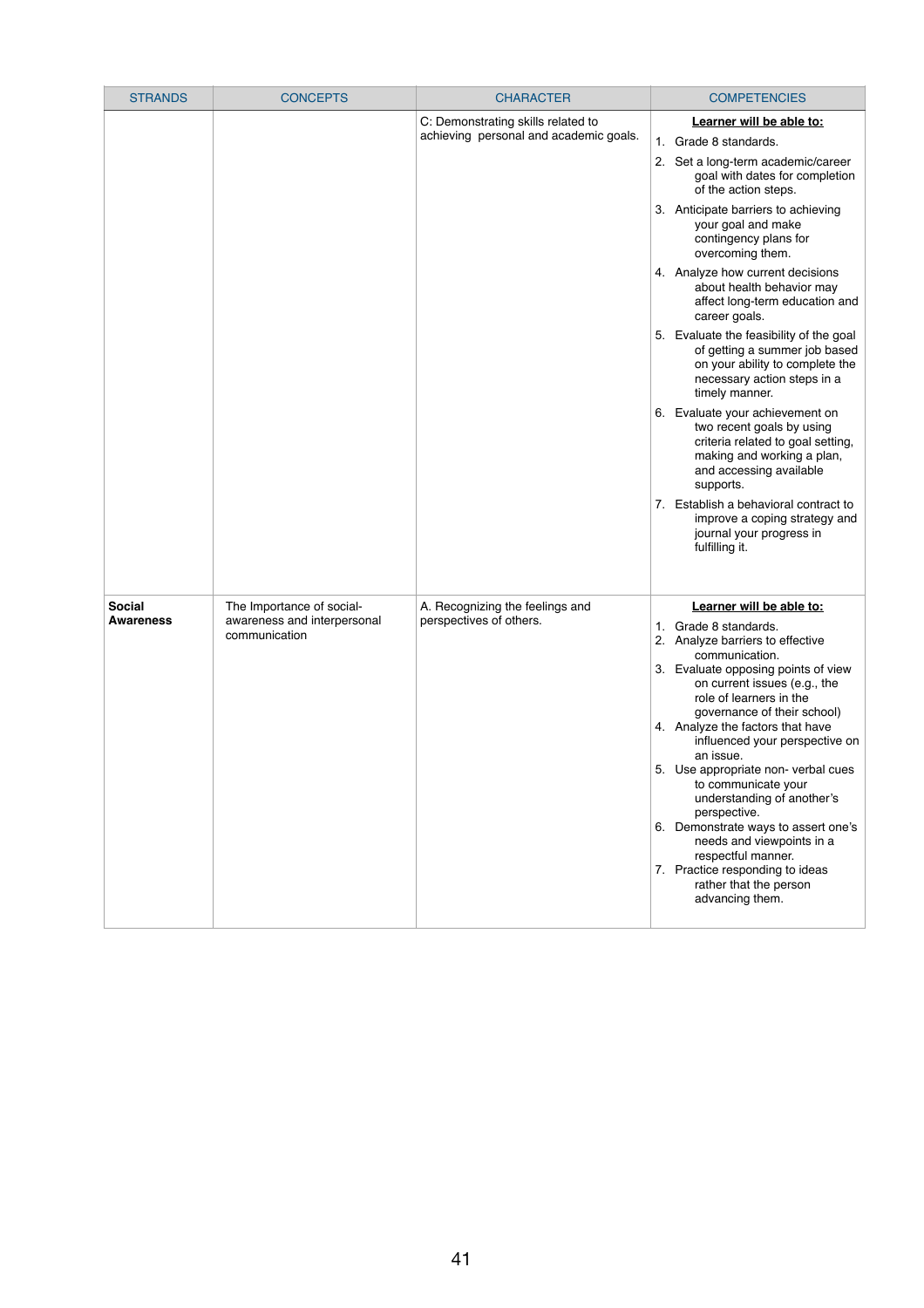| <b>STRANDS</b>                    | <b>CONCEPTS</b>                                                           | <b>CHARACTER</b>                                                             | <b>COMPETENCIES</b>                                                                                                                                                                                                                                                                                                                                                                                                                                                                                                                                                                                                          |
|-----------------------------------|---------------------------------------------------------------------------|------------------------------------------------------------------------------|------------------------------------------------------------------------------------------------------------------------------------------------------------------------------------------------------------------------------------------------------------------------------------------------------------------------------------------------------------------------------------------------------------------------------------------------------------------------------------------------------------------------------------------------------------------------------------------------------------------------------|
|                                   |                                                                           | C: Demonstrating skills related to<br>achieving personal and academic goals. | Learner will be able to:<br>1. Grade 8 standards.<br>2. Set a long-term academic/career<br>goal with dates for completion<br>of the action steps.                                                                                                                                                                                                                                                                                                                                                                                                                                                                            |
|                                   |                                                                           |                                                                              | 3. Anticipate barriers to achieving<br>your goal and make<br>contingency plans for<br>overcoming them.                                                                                                                                                                                                                                                                                                                                                                                                                                                                                                                       |
|                                   |                                                                           |                                                                              | 4. Analyze how current decisions<br>about health behavior may<br>affect long-term education and<br>career goals.                                                                                                                                                                                                                                                                                                                                                                                                                                                                                                             |
|                                   |                                                                           |                                                                              | 5. Evaluate the feasibility of the goal<br>of getting a summer job based<br>on your ability to complete the<br>necessary action steps in a<br>timely manner.                                                                                                                                                                                                                                                                                                                                                                                                                                                                 |
|                                   |                                                                           |                                                                              | 6. Evaluate your achievement on<br>two recent goals by using<br>criteria related to goal setting,<br>making and working a plan,<br>and accessing available<br>supports.                                                                                                                                                                                                                                                                                                                                                                                                                                                      |
|                                   |                                                                           |                                                                              | 7. Establish a behavioral contract to<br>improve a coping strategy and<br>journal your progress in<br>fulfilling it.                                                                                                                                                                                                                                                                                                                                                                                                                                                                                                         |
| <b>Social</b><br><b>Awareness</b> | The Importance of social-<br>awareness and interpersonal<br>communication | A. Recognizing the feelings and<br>perspectives of others.                   | Learner will be able to:<br>Grade 8 standards.<br>$1_{\cdot}$<br>2. Analyze barriers to effective<br>communication.<br>3. Evaluate opposing points of view<br>on current issues (e.g., the<br>role of learners in the<br>governance of their school)<br>4. Analyze the factors that have<br>influenced your perspective on<br>an issue.<br>5. Use appropriate non-verbal cues<br>to communicate your<br>understanding of another's<br>perspective.<br>6. Demonstrate ways to assert one's<br>needs and viewpoints in a<br>respectful manner.<br>7. Practice responding to ideas<br>rather that the person<br>advancing them. |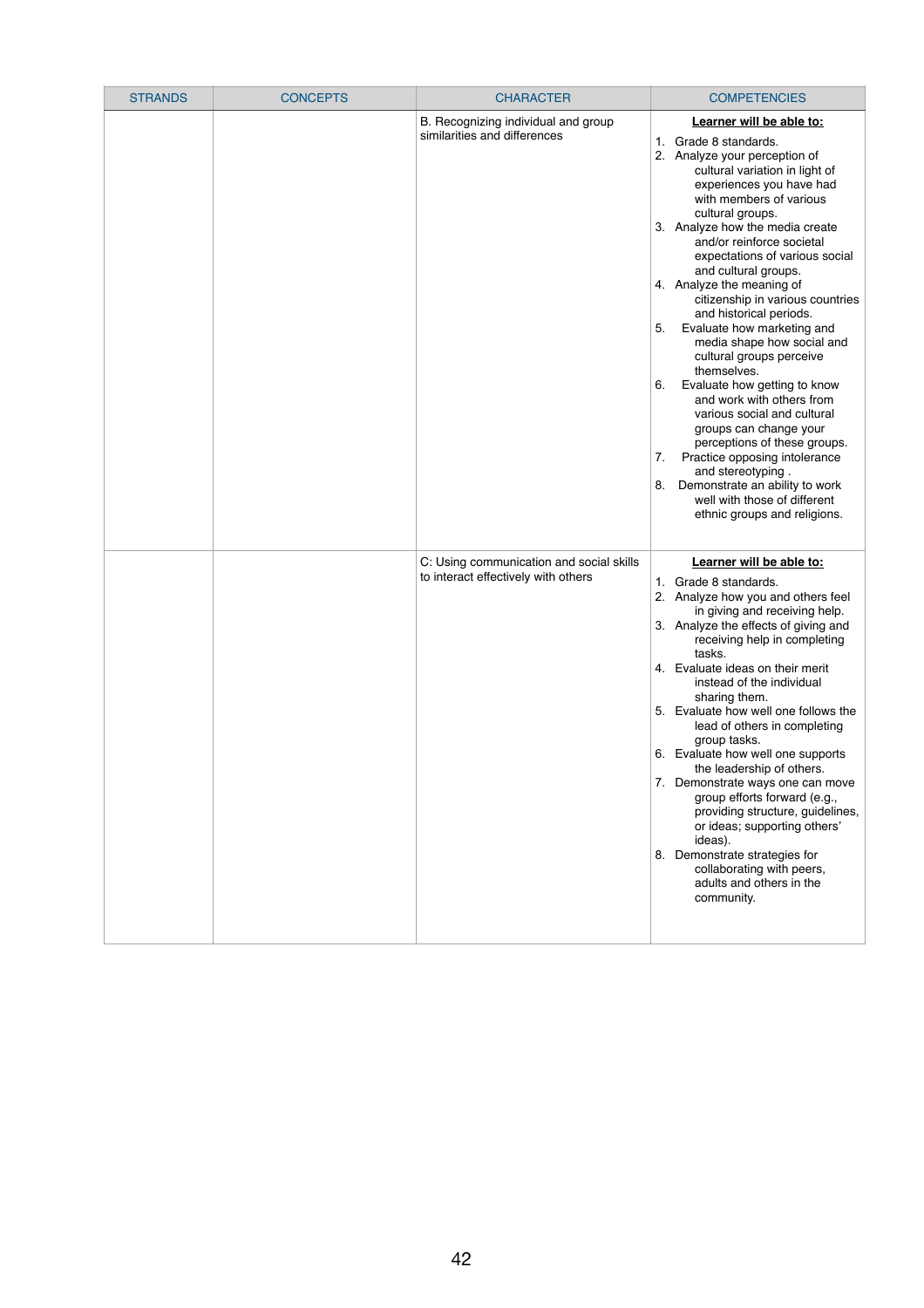| <b>STRANDS</b> | <b>CONCEPTS</b> | <b>CHARACTER</b>                                                                | <b>COMPETENCIES</b>                                                                                                                                                                                                                                                                                                                                                                                                                                                                                                                                                                                                                                                                                                                                                                                                                                                   |
|----------------|-----------------|---------------------------------------------------------------------------------|-----------------------------------------------------------------------------------------------------------------------------------------------------------------------------------------------------------------------------------------------------------------------------------------------------------------------------------------------------------------------------------------------------------------------------------------------------------------------------------------------------------------------------------------------------------------------------------------------------------------------------------------------------------------------------------------------------------------------------------------------------------------------------------------------------------------------------------------------------------------------|
|                |                 | B. Recognizing individual and group<br>similarities and differences             | Learner will be able to:<br>Grade 8 standards.<br>1.<br>2. Analyze your perception of<br>cultural variation in light of<br>experiences you have had<br>with members of various<br>cultural groups.<br>3. Analyze how the media create<br>and/or reinforce societal<br>expectations of various social<br>and cultural groups.<br>4. Analyze the meaning of<br>citizenship in various countries<br>and historical periods.<br>Evaluate how marketing and<br>5.<br>media shape how social and<br>cultural groups perceive<br>themselves.<br>Evaluate how getting to know<br>6.<br>and work with others from<br>various social and cultural<br>groups can change your<br>perceptions of these groups.<br>Practice opposing intolerance<br>7.<br>and stereotyping.<br>Demonstrate an ability to work<br>8.<br>well with those of different<br>ethnic groups and religions. |
|                |                 | C: Using communication and social skills<br>to interact effectively with others | Learner will be able to:<br>1. Grade 8 standards.<br>2. Analyze how you and others feel<br>in giving and receiving help.<br>3. Analyze the effects of giving and<br>receiving help in completing<br>tasks.<br>4. Evaluate ideas on their merit<br>instead of the individual<br>sharing them.<br>5. Evaluate how well one follows the<br>lead of others in completing<br>group tasks.<br>6. Evaluate how well one supports<br>the leadership of others.<br>7. Demonstrate ways one can move<br>group efforts forward (e.g.,<br>providing structure, guidelines,<br>or ideas; supporting others'<br>ideas).<br>8. Demonstrate strategies for<br>collaborating with peers,<br>adults and others in the<br>community.                                                                                                                                                     |

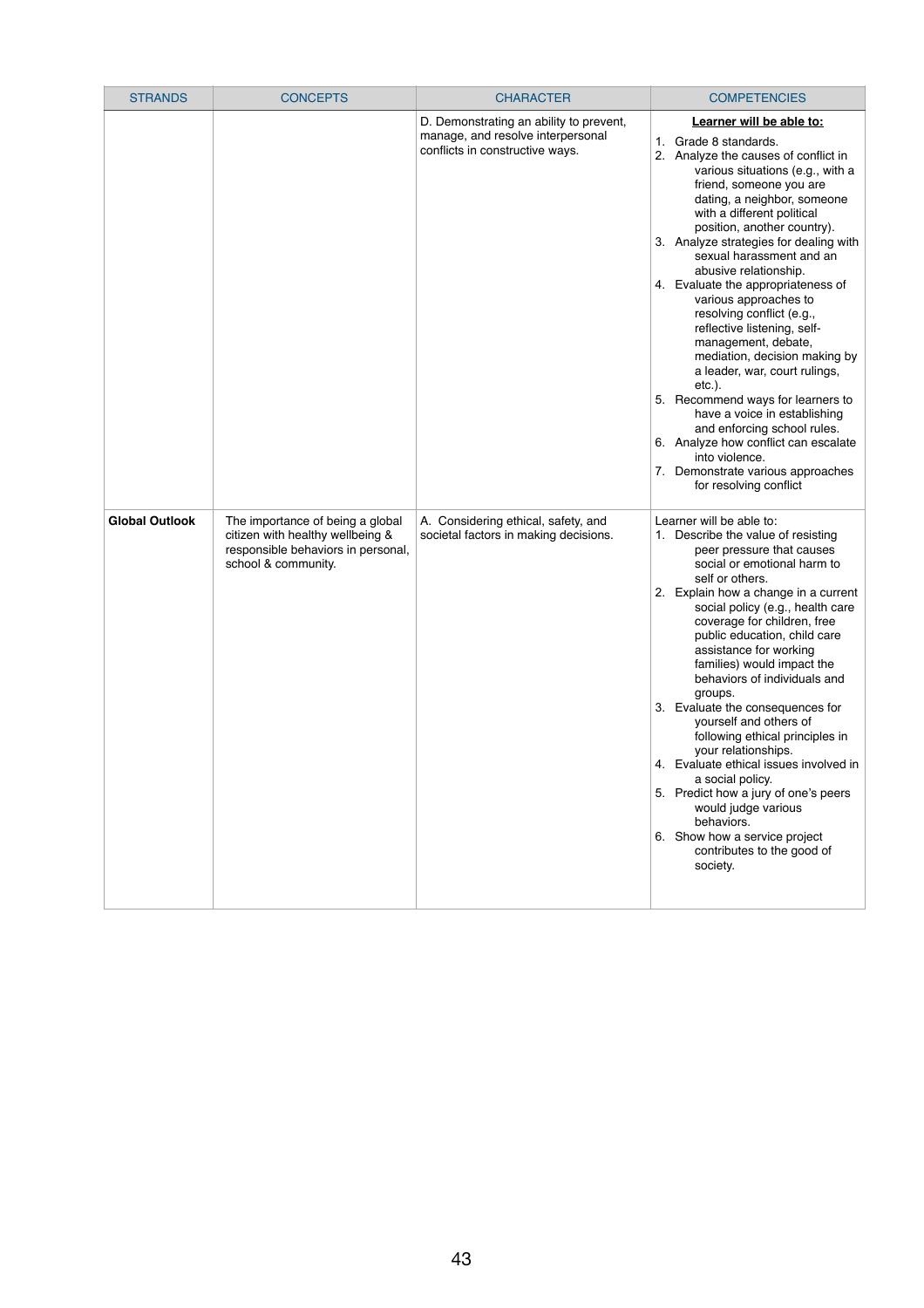| <b>STRANDS</b>        | <b>CONCEPTS</b>                                                                                                                   | <b>CHARACTER</b>                                                                                                | <b>COMPETENCIES</b>                                                                                                                                                                                                                                                                                                                                                                                                                                                                                                                                                                                                                                                                                                                                                                                               |
|-----------------------|-----------------------------------------------------------------------------------------------------------------------------------|-----------------------------------------------------------------------------------------------------------------|-------------------------------------------------------------------------------------------------------------------------------------------------------------------------------------------------------------------------------------------------------------------------------------------------------------------------------------------------------------------------------------------------------------------------------------------------------------------------------------------------------------------------------------------------------------------------------------------------------------------------------------------------------------------------------------------------------------------------------------------------------------------------------------------------------------------|
|                       |                                                                                                                                   | D. Demonstrating an ability to prevent,<br>manage, and resolve interpersonal<br>conflicts in constructive ways. | Learner will be able to:<br>1. Grade 8 standards.<br>2. Analyze the causes of conflict in<br>various situations (e.g., with a<br>friend, someone you are<br>dating, a neighbor, someone<br>with a different political<br>position, another country).<br>3. Analyze strategies for dealing with<br>sexual harassment and an<br>abusive relationship.<br>4. Evaluate the appropriateness of<br>various approaches to<br>resolving conflict (e.g.,<br>reflective listening, self-<br>management, debate,<br>mediation, decision making by<br>a leader, war, court rulings,<br>$etc.$ ).<br>5. Recommend ways for learners to<br>have a voice in establishing<br>and enforcing school rules.<br>6. Analyze how conflict can escalate<br>into violence.<br>7. Demonstrate various approaches<br>for resolving conflict |
| <b>Global Outlook</b> | The importance of being a global<br>citizen with healthy wellbeing &<br>responsible behaviors in personal,<br>school & community. | A. Considering ethical, safety, and<br>societal factors in making decisions.                                    | Learner will be able to:<br>1. Describe the value of resisting<br>peer pressure that causes<br>social or emotional harm to<br>self or others.<br>2. Explain how a change in a current<br>social policy (e.g., health care<br>coverage for children, free<br>public education, child care<br>assistance for working<br>families) would impact the<br>behaviors of individuals and<br>groups.<br>3. Evaluate the consequences for<br>yourself and others of<br>following ethical principles in<br>your relationships.<br>4. Evaluate ethical issues involved in<br>a social policy.<br>5. Predict how a jury of one's peers<br>would judge various<br>behaviors.<br>6. Show how a service project<br>contributes to the good of<br>society.                                                                         |

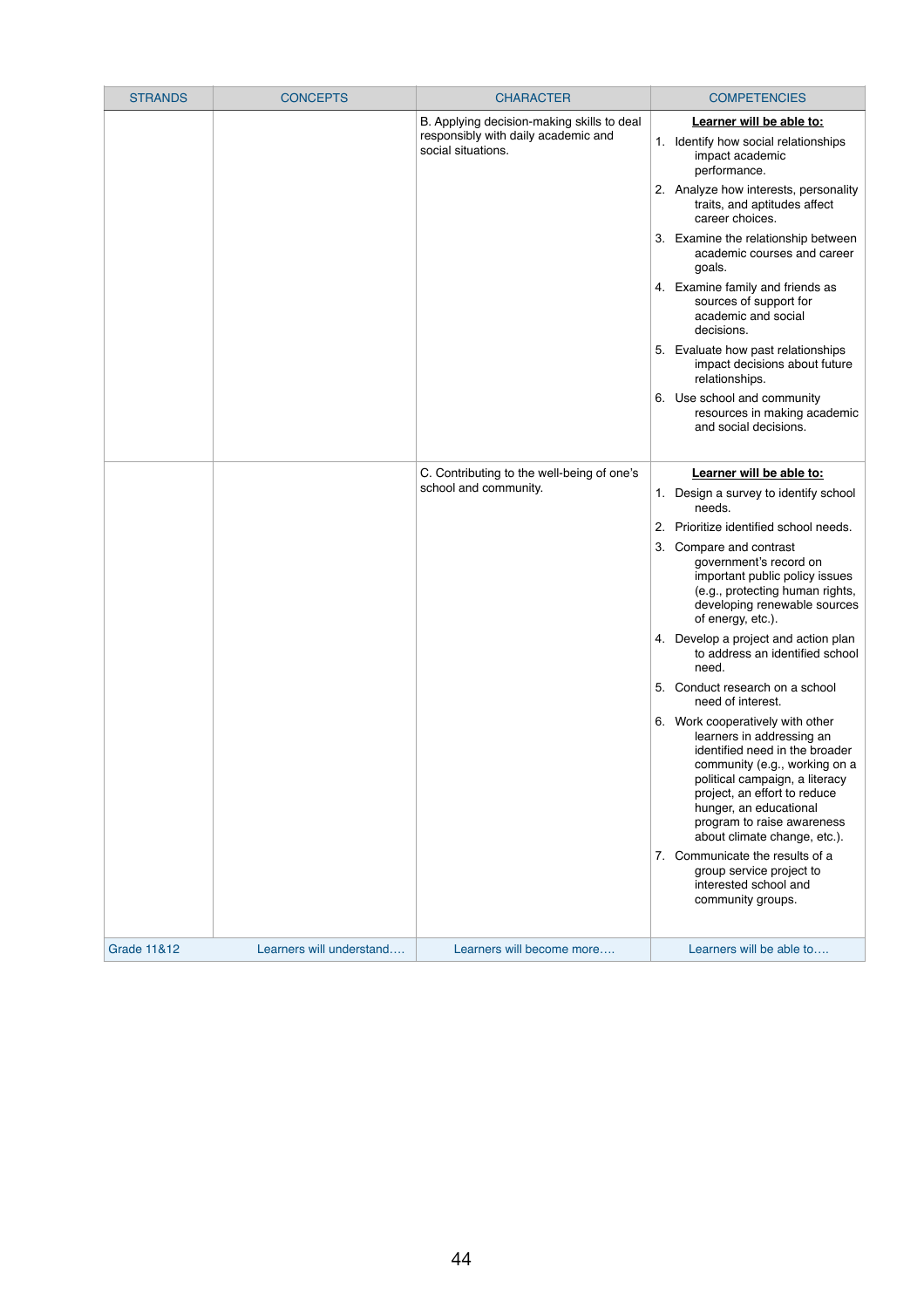| <b>STRANDS</b>         | <b>CONCEPTS</b>                                           | <b>CHARACTER</b>                                                    | <b>COMPETENCIES</b>                                                                                                                                                                                                                                                                                                                                                                                                                                                                                                                                                                                                                                                                                                                                                                                                                                                  |
|------------------------|-----------------------------------------------------------|---------------------------------------------------------------------|----------------------------------------------------------------------------------------------------------------------------------------------------------------------------------------------------------------------------------------------------------------------------------------------------------------------------------------------------------------------------------------------------------------------------------------------------------------------------------------------------------------------------------------------------------------------------------------------------------------------------------------------------------------------------------------------------------------------------------------------------------------------------------------------------------------------------------------------------------------------|
|                        | responsibly with daily academic and<br>social situations. | B. Applying decision-making skills to deal                          | Learner will be able to:<br>1. Identify how social relationships<br>impact academic<br>performance.<br>2. Analyze how interests, personality                                                                                                                                                                                                                                                                                                                                                                                                                                                                                                                                                                                                                                                                                                                         |
|                        |                                                           |                                                                     | traits, and aptitudes affect<br>career choices.<br>3. Examine the relationship between<br>academic courses and career<br>goals.<br>4. Examine family and friends as<br>sources of support for<br>academic and social<br>decisions.<br>5. Evaluate how past relationships<br>impact decisions about future                                                                                                                                                                                                                                                                                                                                                                                                                                                                                                                                                            |
|                        |                                                           |                                                                     | relationships.<br>6. Use school and community<br>resources in making academic<br>and social decisions.                                                                                                                                                                                                                                                                                                                                                                                                                                                                                                                                                                                                                                                                                                                                                               |
|                        |                                                           | C. Contributing to the well-being of one's<br>school and community. | Learner will be able to:<br>1. Design a survey to identify school<br>needs.<br>Prioritize identified school needs.<br>2.<br>Compare and contrast<br>3.<br>government's record on<br>important public policy issues<br>(e.g., protecting human rights,<br>developing renewable sources<br>of energy, etc.).<br>4. Develop a project and action plan<br>to address an identified school<br>need.<br>Conduct research on a school<br>5.<br>need of interest.<br>6. Work cooperatively with other<br>learners in addressing an<br>identified need in the broader<br>community (e.g., working on a<br>political campaign, a literacy<br>project, an effort to reduce<br>hunger, an educational<br>program to raise awareness<br>about climate change, etc.).<br>7. Communicate the results of a<br>group service project to<br>interested school and<br>community groups. |
| <b>Grade 11&amp;12</b> | Learners will understand                                  | Learners will become more                                           | Learners will be able to                                                                                                                                                                                                                                                                                                                                                                                                                                                                                                                                                                                                                                                                                                                                                                                                                                             |